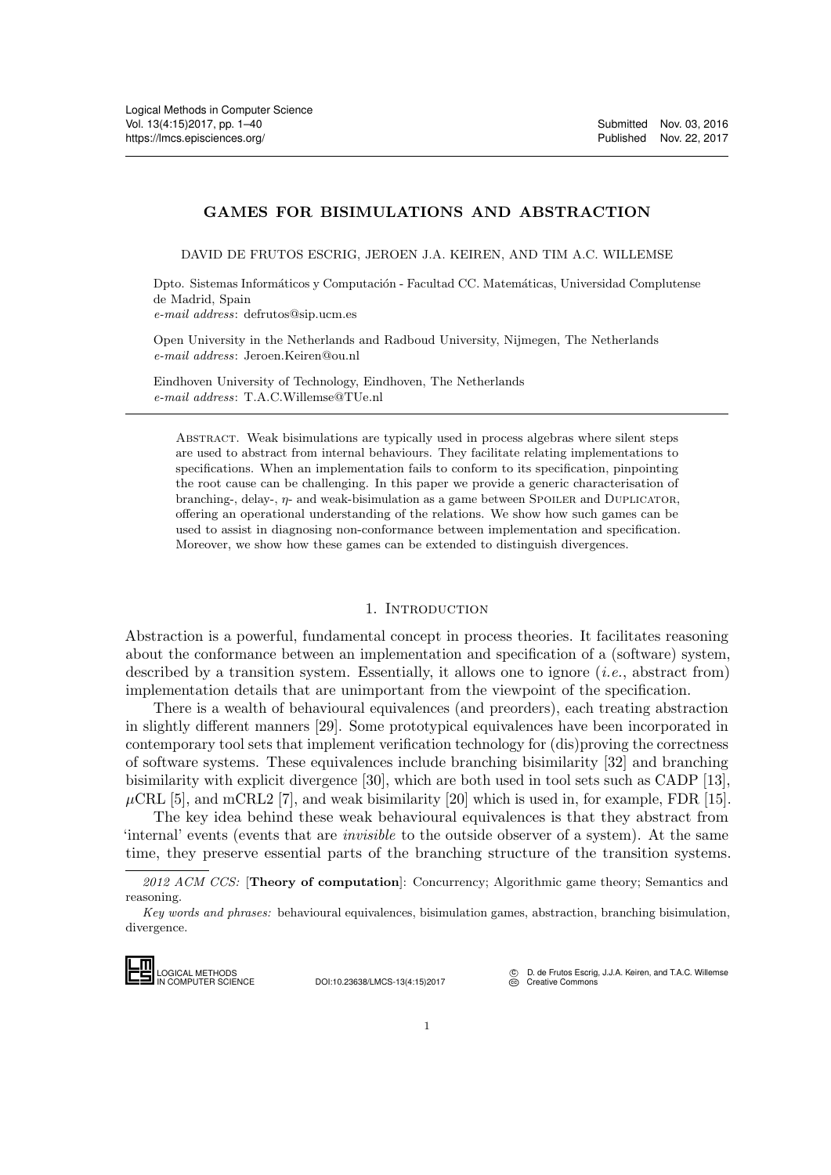### GAMES FOR BISIMULATIONS AND ABSTRACTION

DAVID DE FRUTOS ESCRIG, JEROEN J.A. KEIREN, AND TIM A.C. WILLEMSE

Dpto. Sistemas Informáticos y Computación - Facultad CC. Matemáticas, Universidad Complutense de Madrid, Spain e-mail address: defrutos@sip.ucm.es

Open University in the Netherlands and Radboud University, Nijmegen, The Netherlands e-mail address: Jeroen.Keiren@ou.nl

Eindhoven University of Technology, Eindhoven, The Netherlands e-mail address: T.A.C.Willemse@TUe.nl

Abstract. Weak bisimulations are typically used in process algebras where silent steps are used to abstract from internal behaviours. They facilitate relating implementations to specifications. When an implementation fails to conform to its specification, pinpointing the root cause can be challenging. In this paper we provide a generic characterisation of branching-, delay-,  $\eta$ - and weak-bisimulation as a game between SPOILER and DUPLICATOR, offering an operational understanding of the relations. We show how such games can be used to assist in diagnosing non-conformance between implementation and specification. Moreover, we show how these games can be extended to distinguish divergences.

#### 1. INTRODUCTION

Abstraction is a powerful, fundamental concept in process theories. It facilitates reasoning about the conformance between an implementation and specification of a (software) system, described by a transition system. Essentially, it allows one to ignore  $(i.e.,$  abstract from) implementation details that are unimportant from the viewpoint of the specification.

There is a wealth of behavioural equivalences (and preorders), each treating abstraction in slightly different manners [\[29\]](#page-38-0). Some prototypical equivalences have been incorporated in contemporary tool sets that implement verification technology for (dis)proving the correctness of software systems. These equivalences include branching bisimilarity [\[32\]](#page-38-1) and branching bisimilarity with explicit divergence [\[30\]](#page-38-2), which are both used in tool sets such as CADP [\[13\]](#page-38-3),  $\mu$ CRL [\[5\]](#page-37-0), and mCRL2 [\[7\]](#page-37-1), and weak bisimilarity [\[20\]](#page-38-4) which is used in, for example, FDR [\[15\]](#page-38-5).

The key idea behind these weak behavioural equivalences is that they abstract from 'internal' events (events that are invisible to the outside observer of a system). At the same time, they preserve essential parts of the branching structure of the transition systems. The key ides<br>
internal' events (<br>
time, they prese<br>  $\frac{2012 \text{ } ACM \text{ } CCS}{2012 \text{ } ACM \text{ } CCS}$ <br>  $Key words and pl$ <br>
divergence.

IN COMPUTER SCIENCE DOI:10.23638/LMCS-13(4:15)2017

D. de Frutos Escrig, J.J.A. Keiren, and T.A.C. Willemse [Creative Commons](http://creativecommons.org/about/licenses)

<sup>2012</sup> ACM CCS: [Theory of computation]: Concurrency; Algorithmic game theory; Semantics and reasoning.

Key words and phrases: behavioural equivalences, bisimulation games, abstraction, branching bisimulation, divergence.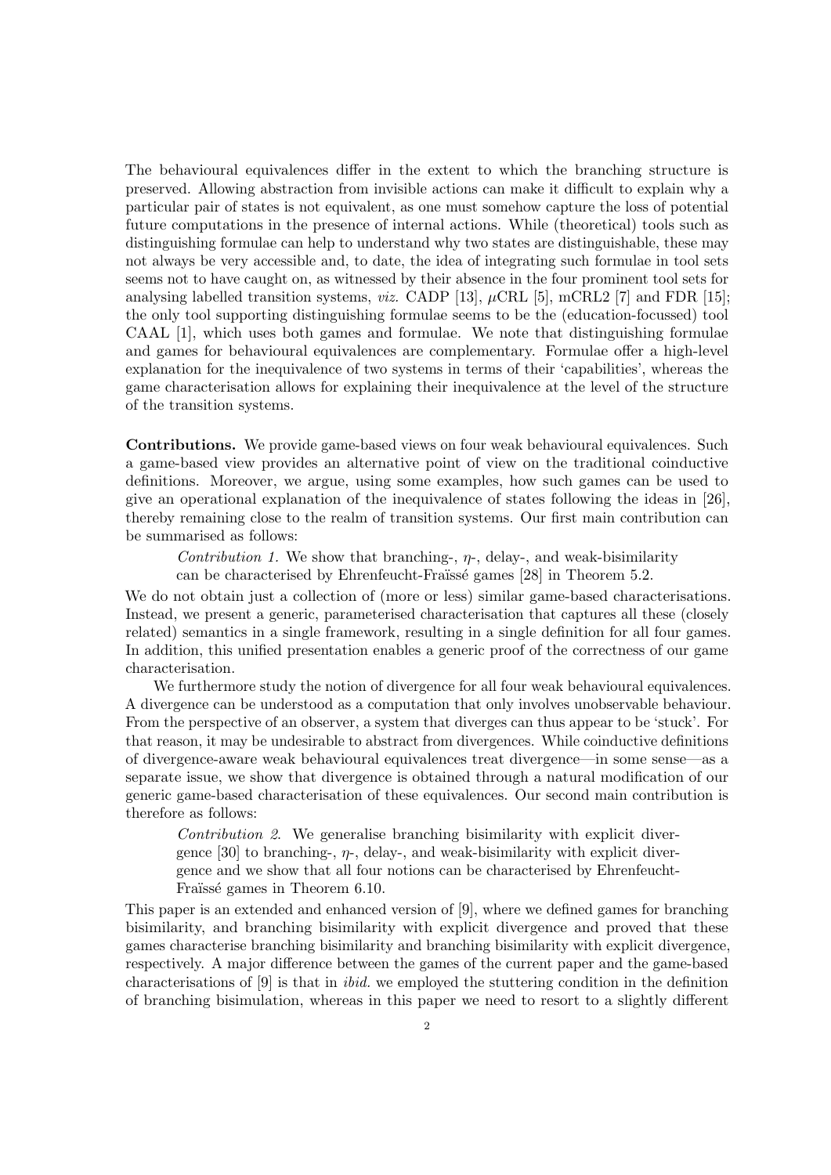The behavioural equivalences differ in the extent to which the branching structure is preserved. Allowing abstraction from invisible actions can make it difficult to explain why a particular pair of states is not equivalent, as one must somehow capture the loss of potential future computations in the presence of internal actions. While (theoretical) tools such as distinguishing formulae can help to understand why two states are distinguishable, these may not always be very accessible and, to date, the idea of integrating such formulae in tool sets seems not to have caught on, as witnessed by their absence in the four prominent tool sets for analysing labelled transition systems, *viz.* CADP [\[13\]](#page-38-3),  $\mu$ CRL [\[5\]](#page-37-0), mCRL2 [\[7\]](#page-37-1) and FDR [\[15\]](#page-38-5); the only tool supporting distinguishing formulae seems to be the (education-focussed) tool CAAL [\[1\]](#page-37-2), which uses both games and formulae. We note that distinguishing formulae and games for behavioural equivalences are complementary. Formulae offer a high-level explanation for the inequivalence of two systems in terms of their 'capabilities', whereas the game characterisation allows for explaining their inequivalence at the level of the structure of the transition systems.

Contributions. We provide game-based views on four weak behavioural equivalences. Such a game-based view provides an alternative point of view on the traditional coinductive definitions. Moreover, we argue, using some examples, how such games can be used to give an operational explanation of the inequivalence of states following the ideas in [\[26\]](#page-38-6), thereby remaining close to the realm of transition systems. Our first main contribution can be summarised as follows:

Contribution 1. We show that branching-,  $\eta$ -, delay-, and weak-bisimilarity can be characterised by Ehrenfeucht-Fraïssé games [\[28\]](#page-38-7) in Theorem [5.2.](#page-15-0)

We do not obtain just a collection of (more or less) similar game-based characterisations. Instead, we present a generic, parameterised characterisation that captures all these (closely related) semantics in a single framework, resulting in a single definition for all four games. In addition, this unified presentation enables a generic proof of the correctness of our game characterisation.

We furthermore study the notion of divergence for all four weak behavioural equivalences. A divergence can be understood as a computation that only involves unobservable behaviour. From the perspective of an observer, a system that diverges can thus appear to be 'stuck'. For that reason, it may be undesirable to abstract from divergences. While coinductive definitions of divergence-aware weak behavioural equivalences treat divergence—in some sense—as a separate issue, we show that divergence is obtained through a natural modification of our generic game-based characterisation of these equivalences. Our second main contribution is therefore as follows:

Contribution 2. We generalise branching bisimilarity with explicit divergence  $[30]$  to branching-,  $\eta$ -, delay-, and weak-bisimilarity with explicit divergence and we show that all four notions can be characterised by Ehrenfeucht-Fraüssé games in Theorem [6.10.](#page-31-0)

This paper is an extended and enhanced version of [\[9\]](#page-38-8), where we defined games for branching bisimilarity, and branching bisimilarity with explicit divergence and proved that these games characterise branching bisimilarity and branching bisimilarity with explicit divergence, respectively. A major difference between the games of the current paper and the game-based characterisations of [\[9\]](#page-38-8) is that in ibid. we employed the stuttering condition in the definition of branching bisimulation, whereas in this paper we need to resort to a slightly different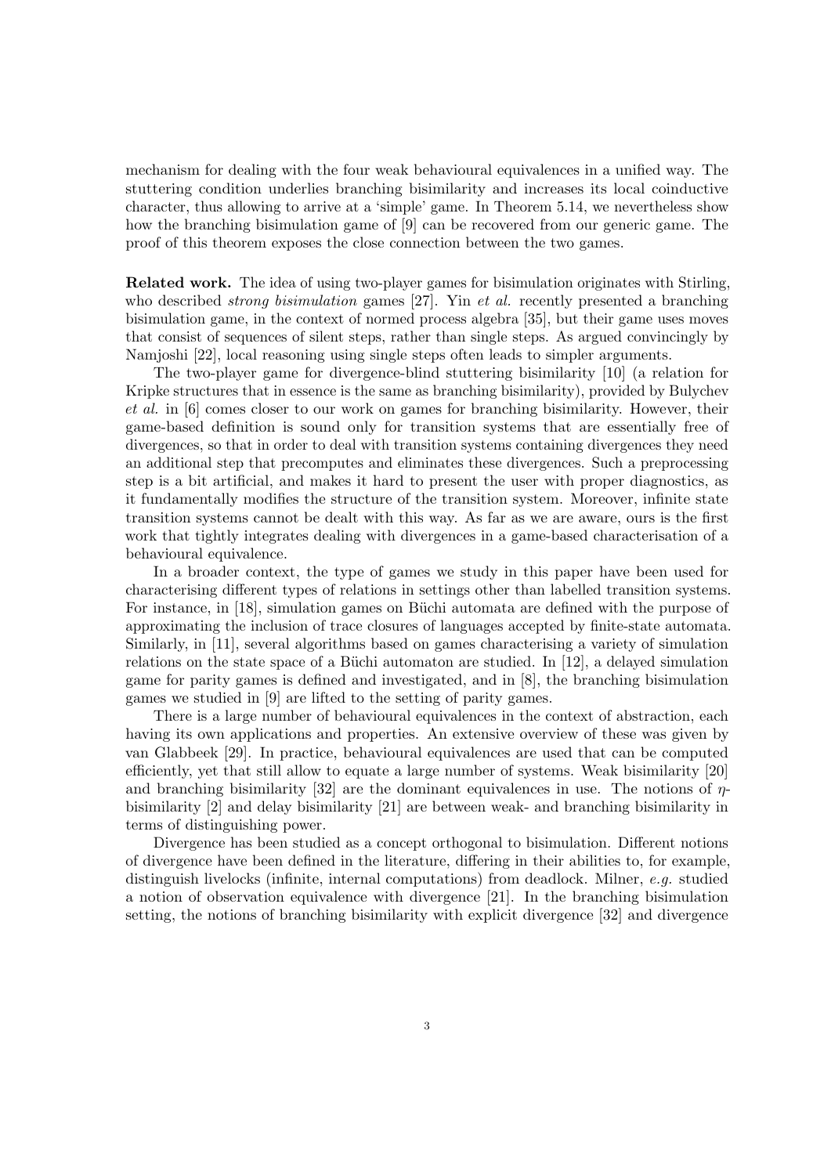mechanism for dealing with the four weak behavioural equivalences in a unified way. The stuttering condition underlies branching bisimilarity and increases its local coinductive character, thus allowing to arrive at a 'simple' game. In Theorem [5.14,](#page-23-0) we nevertheless show how the branching bisimulation game of [\[9\]](#page-38-8) can be recovered from our generic game. The proof of this theorem exposes the close connection between the two games.

Related work. The idea of using two-player games for bisimulation originates with Stirling, who described *strong bisimulation* games [\[27\]](#page-38-9). Yin *et al.* recently presented a branching bisimulation game, in the context of normed process algebra [\[35\]](#page-39-1), but their game uses moves that consist of sequences of silent steps, rather than single steps. As argued convincingly by Namjoshi [\[22\]](#page-38-10), local reasoning using single steps often leads to simpler arguments.

The two-player game for divergence-blind stuttering bisimilarity [\[10\]](#page-38-11) (a relation for Kripke structures that in essence is the same as branching bisimilarity), provided by Bulychev et al. in [\[6\]](#page-37-3) comes closer to our work on games for branching bisimilarity. However, their game-based definition is sound only for transition systems that are essentially free of divergences, so that in order to deal with transition systems containing divergences they need an additional step that precomputes and eliminates these divergences. Such a preprocessing step is a bit artificial, and makes it hard to present the user with proper diagnostics, as it fundamentally modifies the structure of the transition system. Moreover, infinite state transition systems cannot be dealt with this way. As far as we are aware, ours is the first work that tightly integrates dealing with divergences in a game-based characterisation of a behavioural equivalence.

In a broader context, the type of games we study in this paper have been used for characterising different types of relations in settings other than labelled transition systems. For instance, in [\[18\]](#page-38-12), simulation games on Büchi automata are defined with the purpose of approximating the inclusion of trace closures of languages accepted by finite-state automata. Similarly, in [\[11\]](#page-38-13), several algorithms based on games characterising a variety of simulation relations on the state space of a Büchi automaton are studied. In  $[12]$ , a delayed simulation game for parity games is defined and investigated, and in [\[8\]](#page-38-15), the branching bisimulation games we studied in [\[9\]](#page-38-8) are lifted to the setting of parity games.

There is a large number of behavioural equivalences in the context of abstraction, each having its own applications and properties. An extensive overview of these was given by van Glabbeek [\[29\]](#page-38-0). In practice, behavioural equivalences are used that can be computed efficiently, yet that still allow to equate a large number of systems. Weak bisimilarity [\[20\]](#page-38-4) and branching bisimilarity [\[32\]](#page-38-1) are the dominant equivalences in use. The notions of  $\eta$ bisimilarity [\[2\]](#page-37-4) and delay bisimilarity [\[21\]](#page-38-16) are between weak- and branching bisimilarity in terms of distinguishing power.

Divergence has been studied as a concept orthogonal to bisimulation. Different notions of divergence have been defined in the literature, differing in their abilities to, for example, distinguish livelocks (infinite, internal computations) from deadlock. Milner, e.g. studied a notion of observation equivalence with divergence [\[21\]](#page-38-16). In the branching bisimulation setting, the notions of branching bisimilarity with explicit divergence [\[32\]](#page-38-1) and divergence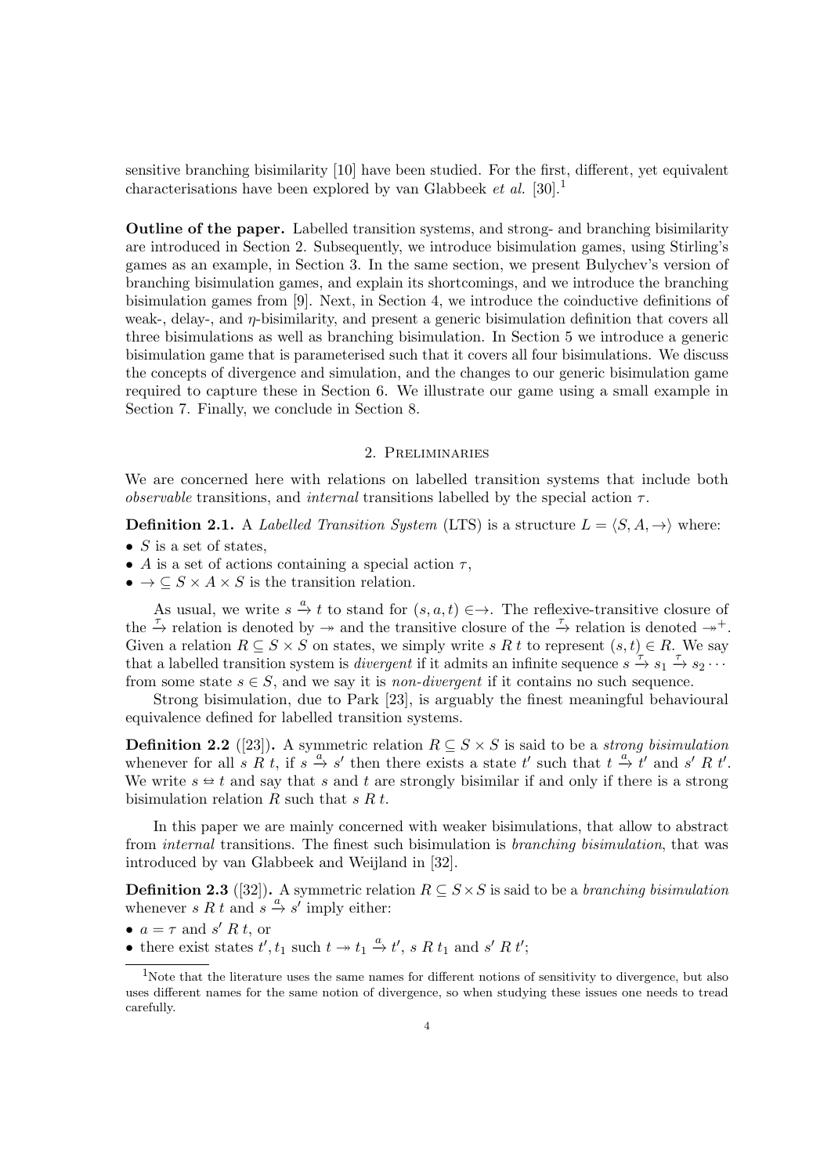sensitive branching bisimilarity [\[10\]](#page-38-11) have been studied. For the first, different, yet equivalent characterisations have been explored by van Glabbeek et al. [\[30\]](#page-38-2).<sup>[1](#page-3-0)</sup>

Outline of the paper. Labelled transition systems, and strong- and branching bisimilarity are introduced in Section [2.](#page-3-1) Subsequently, we introduce bisimulation games, using Stirling's games as an example, in Section [3.](#page-4-0) In the same section, we present Bulychev's version of branching bisimulation games, and explain its shortcomings, and we introduce the branching bisimulation games from [\[9\]](#page-38-8). Next, in Section [4,](#page-9-0) we introduce the coinductive definitions of weak-, delay-, and  $\eta$ -bisimilarity, and present a generic bisimulation definition that covers all three bisimulations as well as branching bisimulation. In Section [5](#page-13-0) we introduce a generic bisimulation game that is parameterised such that it covers all four bisimulations. We discuss the concepts of divergence and simulation, and the changes to our generic bisimulation game required to capture these in Section [6.](#page-25-0) We illustrate our game using a small example in Section [7.](#page-34-0) Finally, we conclude in Section [8.](#page-36-0)

# 2. Preliminaries

<span id="page-3-1"></span>We are concerned here with relations on labelled transition systems that include both *observable* transitions, and *internal* transitions labelled by the special action  $\tau$ .

**Definition 2.1.** A Labelled Transition System (LTS) is a structure  $L = \langle S, A, \rightarrow \rangle$  where:

- $S$  is a set of states,
- A is a set of actions containing a special action  $\tau$ ,
- $\bullet \to \subseteq S \times A \times S$  is the transition relation.

As usual, we write  $s \stackrel{a}{\to} t$  to stand for  $(s, a, t) \in \to$ . The reflexive-transitive closure of the  $\stackrel{\tau}{\to}$  relation is denoted by  $\to$  and the transitive closure of the  $\stackrel{\tau}{\to}$  relation is denoted  $\to^+$ . Given a relation  $R \subseteq S \times S$  on states, we simply write s R t to represent  $(s, t) \in R$ . We say that a labelled transition system is *divergent* if it admits an infinite sequence  $s \stackrel{\tau}{\rightarrow} s_1 \stackrel{\tau}{\rightarrow} s_2 \cdots$ from some state  $s \in S$ , and we say it is *non-divergent* if it contains no such sequence.

Strong bisimulation, due to Park [\[23\]](#page-38-17), is arguably the finest meaningful behavioural equivalence defined for labelled transition systems.

**Definition 2.2** ([\[23\]](#page-38-17)). A symmetric relation  $R \subseteq S \times S$  is said to be a *strong bisimulation* whenever for all s R<sup>t</sup>, if  $s \stackrel{a}{\rightarrow} s'$  then there exists a state t' such that  $t \stackrel{a}{\rightarrow} t'$  and s' Rt'. We write  $s \approx t$  and say that s and t are strongly bisimilar if and only if there is a strong bisimulation relation  $R$  such that  $s R t$ .

In this paper we are mainly concerned with weaker bisimulations, that allow to abstract from internal transitions. The finest such bisimulation is branching bisimulation, that was introduced by van Glabbeek and Weijland in [\[32\]](#page-38-1).

<span id="page-3-2"></span>**Definition 2.3** ([\[32\]](#page-38-1)). A symmetric relation  $R \subseteq S \times S$  is said to be a *branching bisimulation* whenever s R t and  $s \stackrel{a}{\rightarrow} s'$  imply either:

•  $a = \tau$  and s' R t, or

• there exist states  $t', t_1$  such  $t \to t_1 \xrightarrow{a} t', s R t_1$  and  $s' R t'$ ;

<span id="page-3-0"></span><sup>&</sup>lt;sup>1</sup>Note that the literature uses the same names for different notions of sensitivity to divergence, but also uses different names for the same notion of divergence, so when studying these issues one needs to tread carefully.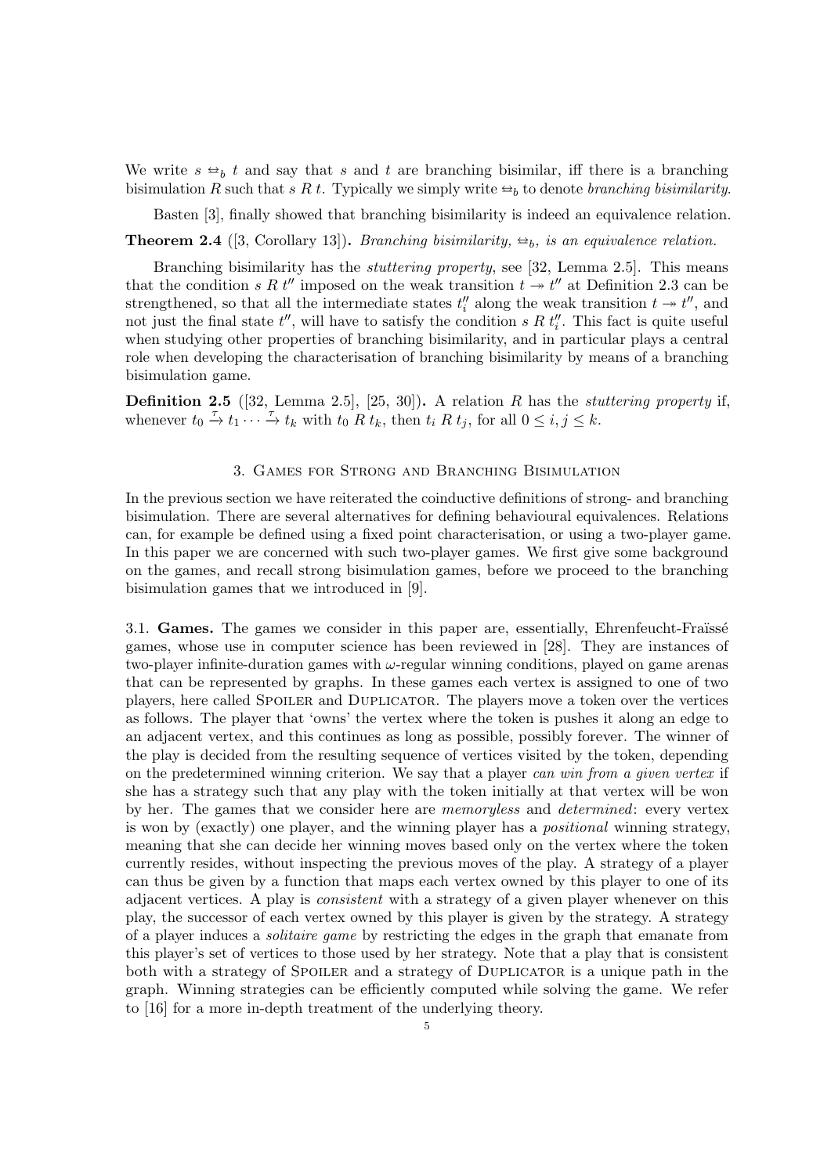We write  $s \leftrightarrow b$  t and say that s and t are branching bisimilar, iff there is a branching bisimulation R such that s R t. Typically we simply write  $\Rightarrow_b$  to denote branching bisimilarity.

Basten [\[3\]](#page-37-5), finally showed that branching bisimilarity is indeed an equivalence relation.

<span id="page-4-1"></span>**Theorem 2.4** ([\[3,](#page-37-5) Corollary 13]). Branching bisimilarity,  $\Rightarrow_b$ , is an equivalence relation.

Branching bisimilarity has the stuttering property, see [\[32,](#page-38-1) Lemma 2.5]. This means that the condition s R  $t''$  imposed on the weak transition  $t \to t''$  at Definition [2.3](#page-3-2) can be strengthened, so that all the intermediate states  $t_i''$  along the weak transition  $t \to t''$ , and not just the final state  $t''$ , will have to satisfy the condition s R  $t''_i$ . This fact is quite useful when studying other properties of branching bisimilarity, and in particular plays a central role when developing the characterisation of branching bisimilarity by means of a branching bisimulation game.

<span id="page-4-2"></span>**Definition 2.5** ([\[32,](#page-38-1) Lemma 2.5], [\[25,](#page-38-18) [30\]](#page-38-2)). A relation R has the *stuttering property* if, whenever  $t_0 \stackrel{\tau}{\rightarrow} t_1 \stackrel{\tau}{\cdots} \stackrel{\tau}{\rightarrow} t_k$  with  $t_0 \stackrel{\tau}{R} t_k$ , then  $t_i R t_j$ , for all  $0 \leq i, j \leq k$ .

## 3. Games for Strong and Branching Bisimulation

<span id="page-4-0"></span>In the previous section we have reiterated the coinductive definitions of strong- and branching bisimulation. There are several alternatives for defining behavioural equivalences. Relations can, for example be defined using a fixed point characterisation, or using a two-player game. In this paper we are concerned with such two-player games. We first give some background on the games, and recall strong bisimulation games, before we proceed to the branching bisimulation games that we introduced in [\[9\]](#page-38-8).

3.1. Games. The games we consider in this paper are, essentially, Ehrenfeucht-Fraüssé games, whose use in computer science has been reviewed in [\[28\]](#page-38-7). They are instances of two-player infinite-duration games with  $\omega$ -regular winning conditions, played on game arenas that can be represented by graphs. In these games each vertex is assigned to one of two players, here called Spoiler and Duplicator. The players move a token over the vertices as follows. The player that 'owns' the vertex where the token is pushes it along an edge to an adjacent vertex, and this continues as long as possible, possibly forever. The winner of the play is decided from the resulting sequence of vertices visited by the token, depending on the predetermined winning criterion. We say that a player can win from a given vertex if she has a strategy such that any play with the token initially at that vertex will be won by her. The games that we consider here are memoryless and determined: every vertex is won by (exactly) one player, and the winning player has a positional winning strategy, meaning that she can decide her winning moves based only on the vertex where the token currently resides, without inspecting the previous moves of the play. A strategy of a player can thus be given by a function that maps each vertex owned by this player to one of its adjacent vertices. A play is consistent with a strategy of a given player whenever on this play, the successor of each vertex owned by this player is given by the strategy. A strategy of a player induces a solitaire game by restricting the edges in the graph that emanate from this player's set of vertices to those used by her strategy. Note that a play that is consistent both with a strategy of Spoiler and a strategy of Duplicator is a unique path in the graph. Winning strategies can be efficiently computed while solving the game. We refer to [\[16\]](#page-38-19) for a more in-depth treatment of the underlying theory.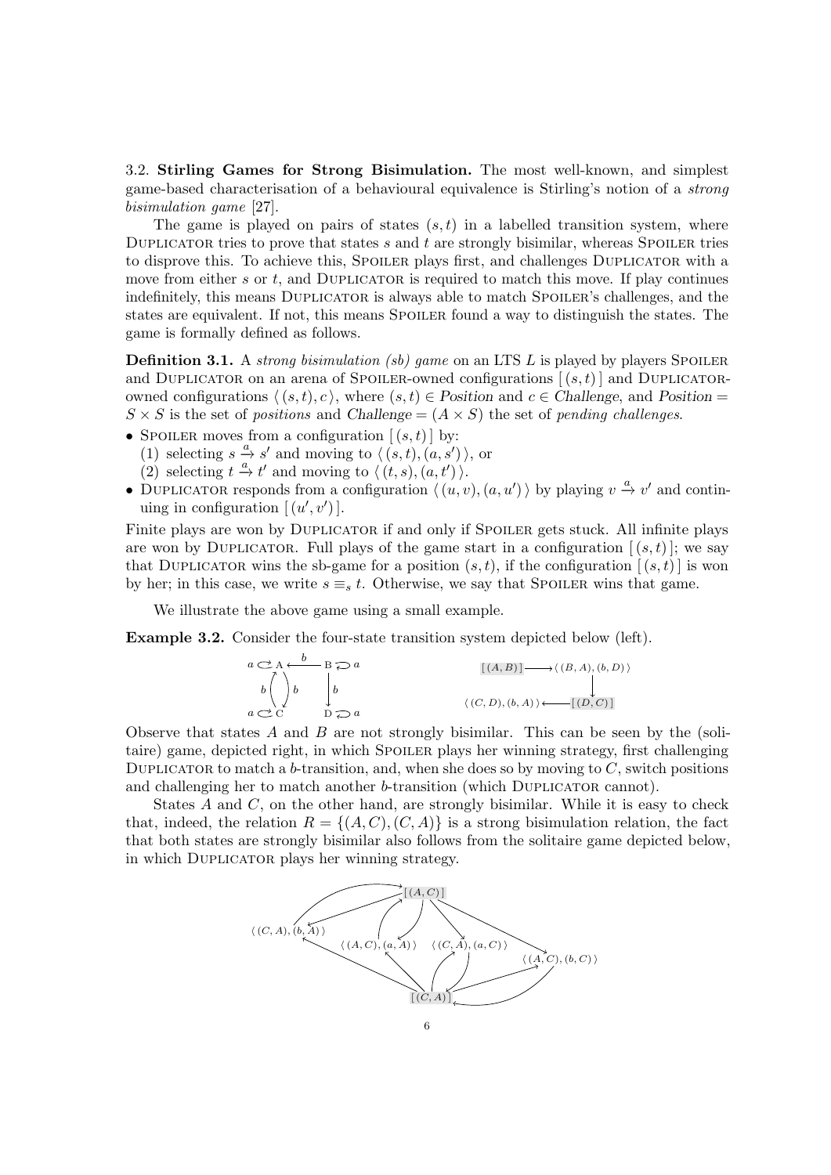3.2. Stirling Games for Strong Bisimulation. The most well-known, and simplest game-based characterisation of a behavioural equivalence is Stirling's notion of a strong bisimulation game [\[27\]](#page-38-9).

The game is played on pairs of states  $(s, t)$  in a labelled transition system, where DUPLICATOR tries to prove that states s and t are strongly bisimilar, whereas SPOILER tries to disprove this. To achieve this, SPOILER plays first, and challenges DUPLICATOR with a move from either s or  $t$ , and DUPLICATOR is required to match this move. If play continues indefinitely, this means DUPLICATOR is always able to match SPOILER's challenges, and the states are equivalent. If not, this means Spoiler found a way to distinguish the states. The game is formally defined as follows.

**Definition 3.1.** A strong bisimulation (sb) game on an LTS L is played by players SPOILER and DUPLICATOR on an arena of SPOILER-owned configurations  $[(s,t)]$  and DUPLICATORowned configurations  $\langle (s, t), c \rangle$ , where  $(s, t) \in$  Position and  $c \in$  Challenge, and Position =  $S \times S$  is the set of positions and Challenge =  $(A \times S)$  the set of pending challenges.

- SPOILER moves from a configuration  $[(s,t)]$  by:
	- (1) selecting  $s \stackrel{a}{\rightarrow} s'$  and moving to  $\langle (s, t), (a, s') \rangle$ , or
	- (2) selecting  $t \stackrel{a}{\rightarrow} t'$  and moving to  $\langle (t, s), (a, t') \rangle$ .
- DUPLICATOR responds from a configuration  $\langle (u, v), (a, u') \rangle$  by playing  $v \stackrel{a}{\rightarrow} v'$  and continuing in configuration  $[(u', v')]$ .

Finite plays are won by DUPLICATOR if and only if SPOILER gets stuck. All infinite plays are won by DUPLICATOR. Full plays of the game start in a configuration  $[(s,t)]$ ; we say that DUPLICATOR wins the sb-game for a position  $(s,t)$ , if the configuration  $[(s,t)]$  is won by her; in this case, we write  $s \equiv_s t$ . Otherwise, we say that SPOILER wins that game.

We illustrate the above game using a small example.

Example 3.2. Consider the four-state transition system depicted below (left).

$$
a \underset{b}{\longleftrightarrow} A \underset{b}{\longleftrightarrow} B \underset{b}{\longleftrightarrow} a
$$
\n
$$
\begin{array}{c}\n\begin{array}{c}\n\begin{array}{c}\n\begin{array}{c}\n\end{array} \\
\begin{array}{c}\n\end{array} \\
\begin{array}{c}\n\end{array} \\
\begin{array}{c}\n\end{array} \\
\begin{array}{c}\n\end{array} \\
\begin{array}{c}\n\end{array} \\
\begin{array}{c}\n\end{array} \\
\begin{array}{c}\n\end{array} \\
\begin{array}{c}\n\end{array} \\
\begin{array}{c}\n\end{array} \\
\begin{array}{c}\n\end{array} \\
\begin{array}{c}\n\end{array} \\
\begin{array}{c}\n\end{array} \\
\begin{array}{c}\n\end{array} \\
\begin{array}{c}\n\end{array} \\
\begin{array}{c}\n\end{array} \\
\begin{array}{c}\n\end{array} \\
\begin{array}{c}\n\end{array} \\
\begin{array}{c}\n\end{array} \\
\begin{array}{c}\n\end{array} \\
\begin{array}{c}\n\end{array} \\
\begin{array}{c}\n\end{array} \\
\begin{array}{c}\n\end{array} \\
\begin{array}{c}\n\end{array} \\
\begin{array}{c}\n\end{array} \\
\begin{array}{c}\n\end{array} \\
\begin{array}{c}\n\end{array} \\
\begin{array}{c}\n\end{array} \\
\begin{array}{c}\n\end{array} \\
\begin{array}{c}\n\end{array} \\
\begin{array}{c}\n\end{array} \\
\begin{array}{c}\n\end{array} \\
\begin{array}{c}\n\end{array} \\
\begin{array}{c}\n\end{array} \\
\begin{array}{c}\n\end{array} \\
\begin{array}{c}\n\end{array} \\
\begin{array}{c}\n\end{array} \\
\begin{array}{c}\n\end{array} \\
\begin{array}{c}\n\end{array} \\
\begin{array}{c}\n\end{array} \\
\begin{array}{c}\n\end{array} \\
\begin{array}{c}\n\end{array} \\
\begin{array}{c}\n\end{array} \\
\begin{array}{c}\n\end{array} \\
\begin{array}{c}\n\end{array} \\
\begin{array}{c}\n\end{array} \\
\begin{array}{c}\n\end{array} \\
\begin{array}{c}\n\end{array} \\
\begin{array}{c}\n\end{array} \\
\begin{array}{c}\n\
$$

Observe that states  $A$  and  $B$  are not strongly bisimilar. This can be seen by the (solitaire) game, depicted right, in which SPOILER plays her winning strategy, first challenging DUPLICATOR to match a b-transition, and, when she does so by moving to  $C$ , switch positions and challenging her to match another b-transition (which DUPLICATOR cannot).

States A and C, on the other hand, are strongly bisimilar. While it is easy to check that, indeed, the relation  $R = \{(A, C), (C, A)\}\$ is a strong bisimulation relation, the fact that both states are strongly bisimilar also follows from the solitaire game depicted below, in which Duplicator plays her winning strategy.

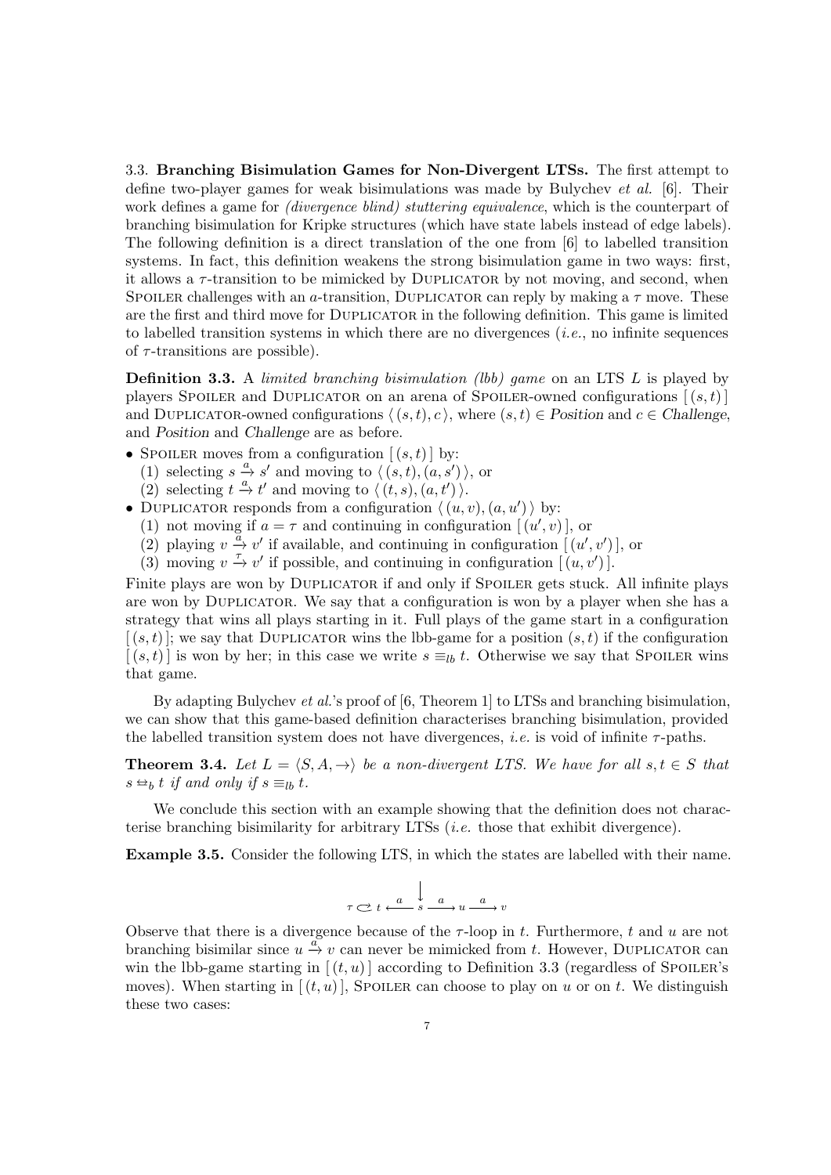3.3. Branching Bisimulation Games for Non-Divergent LTSs. The first attempt to define two-player games for weak bisimulations was made by Bulychev et al. [\[6\]](#page-37-3). Their work defines a game for *(divergence blind)* stuttering equivalence, which is the counterpart of branching bisimulation for Kripke structures (which have state labels instead of edge labels). The following definition is a direct translation of the one from [\[6\]](#page-37-3) to labelled transition systems. In fact, this definition weakens the strong bisimulation game in two ways: first, it allows a  $\tau$ -transition to be mimicked by DUPLICATOR by not moving, and second, when SPOILER challenges with an a-transition, DUPLICATOR can reply by making a  $\tau$  move. These are the first and third move for DUPLICATOR in the following definition. This game is limited to labelled transition systems in which there are no divergences  $(i.e.,$  no infinite sequences of  $\tau$ -transitions are possible).

<span id="page-6-0"></span>**Definition 3.3.** A *limited branching bisimulation (lbb) game* on an LTS  $L$  is played by players SPOILER and DUPLICATOR on an arena of SPOILER-owned configurations  $[(s,t)]$ and DUPLICATOR-owned configurations  $\langle (s, t), c \rangle$ , where  $(s, t) \in$  Position and  $c \in$  Challenge, and Position and Challenge are as before.

- SPOILER moves from a configuration  $[(s, t)]$  by:
	- (1) selecting  $s \stackrel{a}{\rightarrow} s'$  and moving to  $\langle (s, t), (a, s') \rangle$ , or
	- (2) selecting  $t \xrightarrow{a} t'$  and moving to  $\langle (t, s), (a, t') \rangle$ .
- DUPLICATOR responds from a configuration  $\langle (u, v), (a, u') \rangle$  by:
	- (1) not moving if  $a = \tau$  and continuing in configuration  $[(u', v)]$ , or
	- (2) playing  $v \stackrel{\check{a}}{\rightarrow} v'$  if available, and continuing in configuration  $((u', v'))$ , or
	- (3) moving  $v \stackrel{\tau}{\rightarrow} v'$  if possible, and continuing in configuration  $[(u, v')]$ .

Finite plays are won by DUPLICATOR if and only if SPOILER gets stuck. All infinite plays are won by Duplicator. We say that a configuration is won by a player when she has a strategy that wins all plays starting in it. Full plays of the game start in a configuration  $(s,t)$ ; we say that DUPLICATOR wins the lbb-game for a position  $(s,t)$  if the configuration  $[(s,t)]$  is won by her; in this case we write  $s \equiv_{lb} t$ . Otherwise we say that Spoiler wins that game.

By adapting Bulychev et al.'s proof of [\[6,](#page-37-3) Theorem 1] to LTSs and branching bisimulation, we can show that this game-based definition characterises branching bisimulation, provided the labelled transition system does not have divergences, *i.e.* is void of infinite  $\tau$ -paths.

**Theorem 3.4.** Let  $L = \langle S, A, \rightarrow \rangle$  be a non-divergent LTS. We have for all  $s, t \in S$  that  $s \triangleleft_b t$  if and only if  $s \equiv_{lb} t$ .

We conclude this section with an example showing that the definition does not characterise branching bisimilarity for arbitrary LTSs (i.e. those that exhibit divergence).

Example 3.5. Consider the following LTS, in which the states are labelled with their name.

$$
\tau \underset{\textstyle \sim}{\mathop{\sim}} t \overset{a}{\longleftrightarrow} \overset{b}{s} \overset{a}{\longrightarrow} u \overset{a}{\longrightarrow} v
$$

Observe that there is a divergence because of the  $\tau$ -loop in t. Furthermore, t and u are not branching bisimilar since  $u \stackrel{a}{\rightarrow} v$  can never be mimicked from t. However, DUPLICATOR can win the lbb-game starting in  $[(t, u)]$  according to Definition [3.3](#page-6-0) (regardless of SPOILER's moves). When starting in  $[(t, u)]$ , SPOILER can choose to play on u or on t. We distinguish these two cases: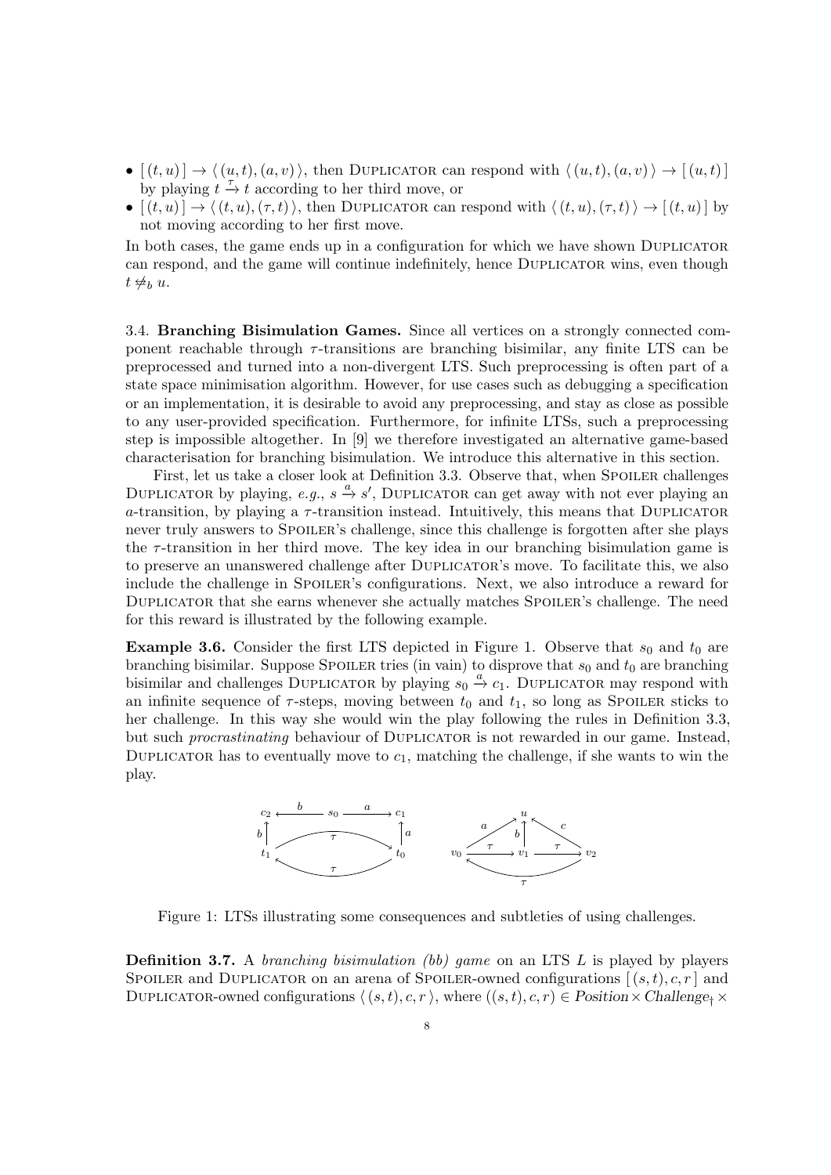- $[(t, u)] \rightarrow \langle (u, t), (a, v) \rangle$ , then DUPLICATOR can respond with  $\langle (u, t), (a, v) \rangle \rightarrow [(u, t)]$ by playing  $t \stackrel{\tau}{\rightarrow} t$  according to her third move, or
- $[(t, u)] \rightarrow \langle (t, u),(\tau, t)\rangle$ , then DUPLICATOR can respond with  $\langle (t, u),(\tau, t)\rangle \rightarrow [(t, u)]$  by not moving according to her first move.

In both cases, the game ends up in a configuration for which we have shown DUPLICATOR can respond, and the game will continue indefinitely, hence DUPLICATOR wins, even though  $t \not\not\not\not\neg_b u.$ 

3.4. Branching Bisimulation Games. Since all vertices on a strongly connected component reachable through  $\tau$ -transitions are branching bisimilar, any finite LTS can be preprocessed and turned into a non-divergent LTS. Such preprocessing is often part of a state space minimisation algorithm. However, for use cases such as debugging a specification or an implementation, it is desirable to avoid any preprocessing, and stay as close as possible to any user-provided specification. Furthermore, for infinite LTSs, such a preprocessing step is impossible altogether. In [\[9\]](#page-38-8) we therefore investigated an alternative game-based characterisation for branching bisimulation. We introduce this alternative in this section.

First, let us take a closer look at Definition [3.3.](#page-6-0) Observe that, when SPOILER challenges DUPLICATOR by playing, e.g.,  $s \stackrel{a}{\rightarrow} s'$ , DUPLICATOR can get away with not ever playing an a-transition, by playing a  $\tau$ -transition instead. Intuitively, this means that DUPLICATOR never truly answers to SPOILER's challenge, since this challenge is forgotten after she plays the  $\tau$ -transition in her third move. The key idea in our branching bisimulation game is to preserve an unanswered challenge after DUPLICATOR's move. To facilitate this, we also include the challenge in SPOILER's configurations. Next, we also introduce a reward for Duplicator that she earns whenever she actually matches Spoiler's challenge. The need for this reward is illustrated by the following example.

**Example 3.6.** Consider the first LTS depicted in Figure [1.](#page-7-0) Observe that  $s_0$  and  $t_0$  are branching bisimilar. Suppose SPOILER tries (in vain) to disprove that  $s_0$  and  $t_0$  are branching bisimilar and challenges DUPLICATOR by playing  $s_0 \stackrel{a}{\rightarrow} c_1$ . DUPLICATOR may respond with an infinite sequence of  $\tau$ -steps, moving between  $t_0$  and  $t_1$ , so long as SPOILER sticks to her challenge. In this way she would win the play following the rules in Definition [3.3,](#page-6-0) but such *procrastinating* behaviour of DUPLICATOR is not rewarded in our game. Instead, DUPLICATOR has to eventually move to  $c_1$ , matching the challenge, if she wants to win the play.



<span id="page-7-0"></span>Figure 1: LTSs illustrating some consequences and subtleties of using challenges.

<span id="page-7-1"></span>**Definition 3.7.** A *branching bisimulation (bb) game* on an LTS  $L$  is played by players SPOILER and DUPLICATOR on an arena of SPOILER-owned configurations  $[(s,t), c, r]$  and DUPLICATOR-owned configurations  $\langle (s, t), c, r \rangle$ , where  $((s, t), c, r) \in Position \times Challenge_t \times$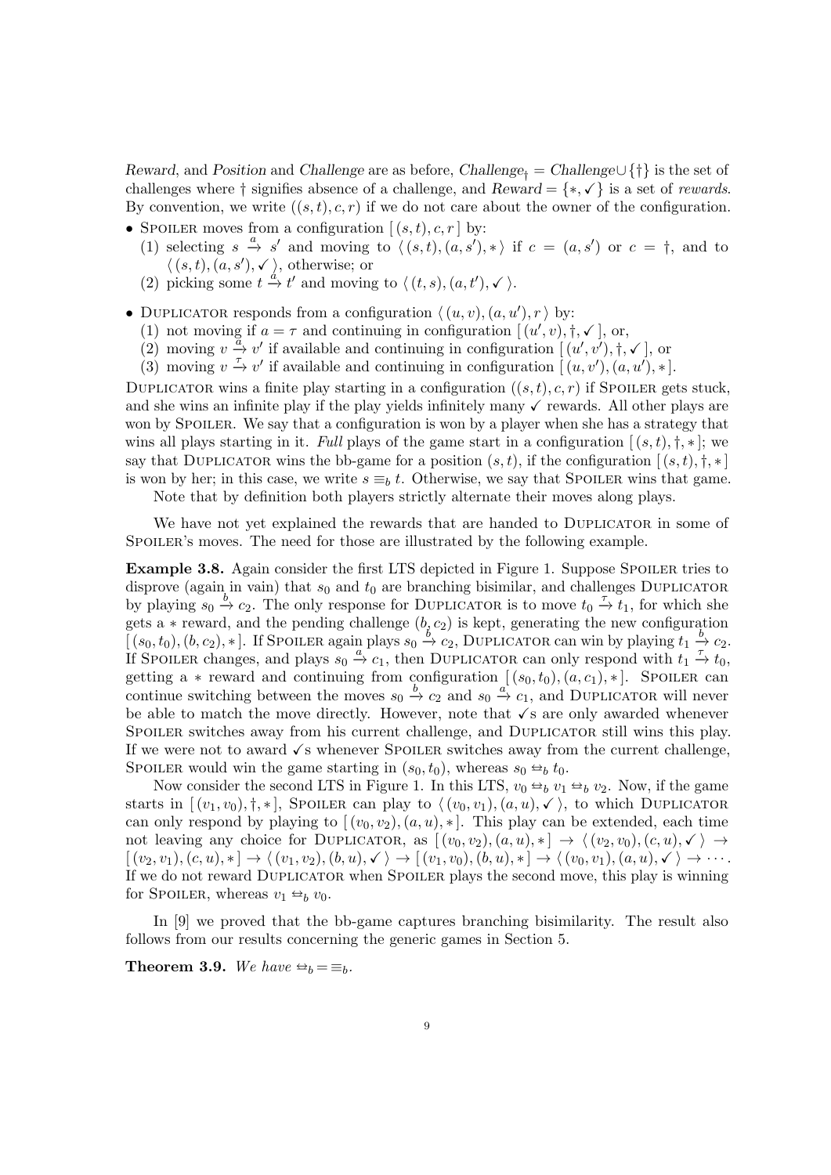Reward, and Position and Challenge are as before, Challenge<sub>†</sub> = Challenge $\cup \{\dagger\}$  is the set of challenges where  $\dagger$  signifies absence of a challenge, and  $Reward = \{*, \checkmark\}$  is a set of *rewards*. By convention, we write  $((s, t), c, r)$  if we do not care about the owner of the configuration.

- SPOILER moves from a configuration  $[(s,t), c, r]$  by:
	- (1) selecting  $s \stackrel{a}{\to} s'$  and moving to  $\langle (s, t), (a, s'), * \rangle$  if  $c = (a, s')$  or  $c = \dagger$ , and to  $\langle (s,t), (a, s'), \checkmark \rangle$ , otherwise; or
	- (2) picking some  $t \stackrel{d}{\rightarrow} t'$  and moving to  $\langle (t, s), (a, t'), \checkmark \rangle$ .
- <span id="page-8-0"></span>• DUPLICATOR responds from a configuration  $\langle (u, v), (a, u'), r \rangle$  by:
	- (1) not moving if  $a = \tau$  and continuing in configuration  $[(u', v), \dagger, \checkmark, \mathcal{N}])$ , or,
	- (2) moving  $v \stackrel{\alpha}{\rightarrow} v'$  if available and continuing in configuration  $((u', v'), \dagger, \checkmark)$ , or
	- (3) moving  $v \stackrel{\tau}{\rightarrow} v'$  if available and continuing in configuration  $[(u, v'), (a, u'), *]$ .

DUPLICATOR wins a finite play starting in a configuration  $((s, t), c, r)$  if Spoiler gets stuck, and she wins an infinite play if the play yields infinitely many  $\checkmark$  rewards. All other plays are won by SPOILER. We say that a configuration is won by a player when she has a strategy that wins all plays starting in it. Full plays of the game start in a configuration  $[(s,t), \dagger, *]$ ; we say that DUPLICATOR wins the bb-game for a position  $(s, t)$ , if the configuration  $[(s, t), \dagger, \dagger]$ is won by her; in this case, we write  $s \equiv_b t$ . Otherwise, we say that SPOILER wins that game.

Note that by definition both players strictly alternate their moves along plays.

We have not yet explained the rewards that are handed to DUPLICATOR in some of SPOILER's moves. The need for those are illustrated by the following example.

**Example 3.8.** Again consider the first LTS depicted in Figure [1.](#page-7-0) Suppose SPOILER tries to disprove (again in vain) that  $s_0$  and  $t_0$  are branching bisimilar, and challenges DUPLICATOR by playing  $s_0 \stackrel{b}{\rightarrow} c_2$ . The only response for DUPLICATOR is to move  $t_0 \stackrel{\tau}{\rightarrow} t_1$ , for which she gets a  $*$  reward, and the pending challenge  $(b, c_2)$  is kept, generating the new configuration  $[(s_0, t_0), (b, c_2), *]$ . If Spoiler again plays  $s_0 \stackrel{b}{\rightarrow} c_2$ , DUPLICATOR can win by playing  $t_1 \stackrel{b}{\rightarrow} c_2$ . If SPOILER changes, and plays  $s_0 \stackrel{a}{\rightarrow} c_1$ , then DUPLICATOR can only respond with  $t_1 \stackrel{\tau}{\rightarrow} t_0$ , getting a  $*$  reward and continuing from configuration  $[(s_0, t_0), (a, c_1), *]$ . Spoiler can continue switching between the moves  $s_0 \stackrel{b}{\rightarrow} c_2$  and  $s_0 \stackrel{a}{\rightarrow} c_1$ , and DUPLICATOR will never be able to match the move directly. However, note that  $\sqrt{s}$  are only awarded whenever SPOILER switches away from his current challenge, and DUPLICATOR still wins this play. If we were not to award  $\sqrt{s}$  whenever SPOILER switches away from the current challenge, SPOILER would win the game starting in  $(s_0, t_0)$ , whereas  $s_0 \leftrightarrow b_0 t_0$ .

Now consider the second LTS in Figure [1.](#page-7-0) In this LTS,  $v_0 \leftrightarrow_b v_1 \leftrightarrow_b v_2$ . Now, if the game starts in  $[(v_1, v_0), \dagger, *]$ , Spoiler can play to  $\langle (v_0, v_1), (a, u), \checkmark \rangle$ , to which DUPLICATOR can only respond by playing to  $[(v_0, v_2), (a, u), *]$ . This play can be extended, each time not leaving any choice for DUPLICATOR, as  $[(v_0, v_2), (a, u), *] \rightarrow \langle (v_2, v_0), (c, u), \checkmark \rangle \rightarrow$  $[(v_2, v_1), (c, u), *] \rightarrow \langle (v_1, v_2), (b, u), \checkmark \rangle \rightarrow [(v_1, v_0), (b, u), *] \rightarrow \langle (v_0, v_1), (a, u), \checkmark \rangle \rightarrow \cdots$ If we do not reward Duplicator when Spoiler plays the second move, this play is winning for SPOILER, whereas  $v_1 \leftrightarrow_b v_0$ .

In [\[9\]](#page-38-8) we proved that the bb-game captures branching bisimilarity. The result also follows from our results concerning the generic games in Section [5.](#page-13-0)

**Theorem 3.9.** We have  $\Rightarrow_b = \equiv_b$ .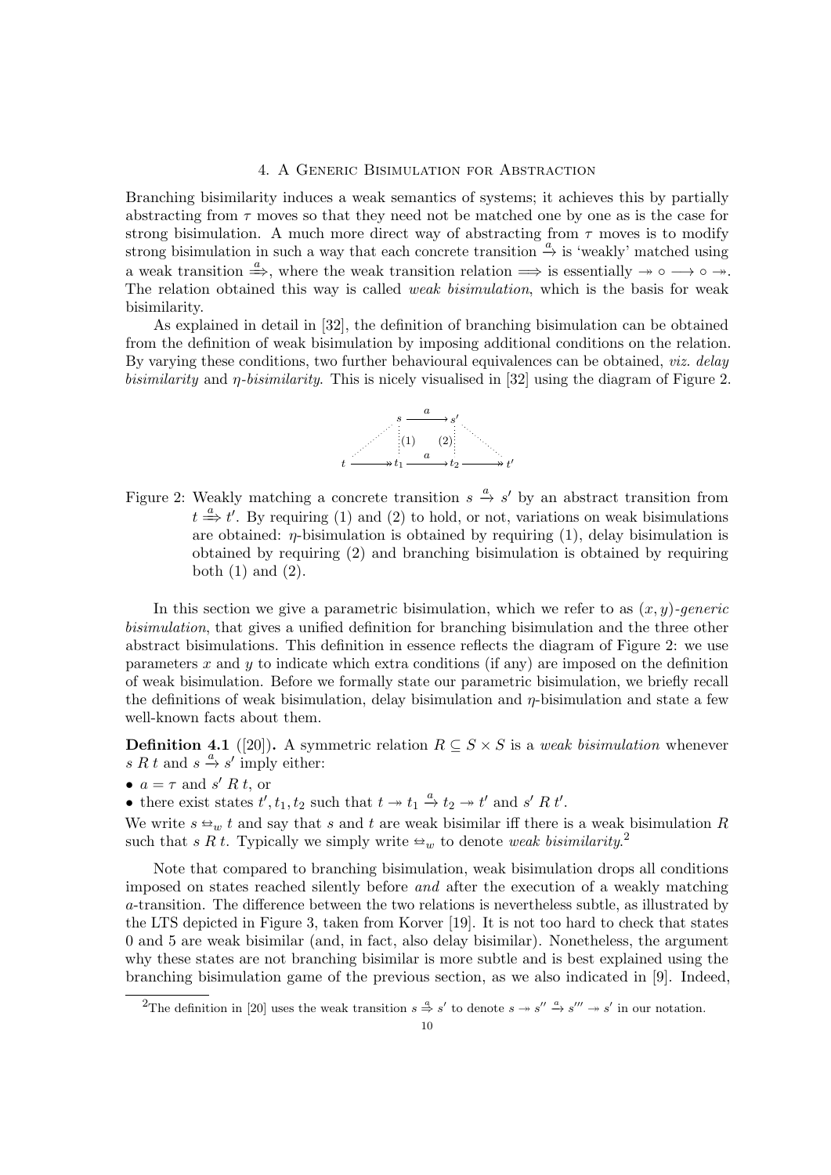### 4. A Generic Bisimulation for Abstraction

<span id="page-9-0"></span>Branching bisimilarity induces a weak semantics of systems; it achieves this by partially abstracting from  $\tau$  moves so that they need not be matched one by one as is the case for strong bisimulation. A much more direct way of abstracting from  $\tau$  moves is to modify strong bisimulation in such a way that each concrete transition  $\stackrel{a}{\rightarrow}$  is 'weakly' matched using a weak transition  $\stackrel{a}{\Rightarrow}$ , where the weak transition relation  $\Rightarrow$  is essentially  $\rightarrow \circ \rightarrow \circ \rightarrow$ . The relation obtained this way is called *weak bisimulation*, which is the basis for weak bisimilarity.

As explained in detail in [\[32\]](#page-38-1), the definition of branching bisimulation can be obtained from the definition of weak bisimulation by imposing additional conditions on the relation. By varying these conditions, two further behavioural equivalences can be obtained, *viz. delay* bisimilarity and η-bisimilarity. This is nicely visualised in [\[32\]](#page-38-1) using the diagram of Figure [2.](#page-9-1)



<span id="page-9-1"></span>Figure 2: Weakly matching a concrete transition  $s \stackrel{a}{\rightarrow} s'$  by an abstract transition from  $t \stackrel{a}{\Longrightarrow} t'$ . By requiring (1) and (2) to hold, or not, variations on weak bisimulations are obtained:  $\eta$ -bisimulation is obtained by requiring (1), delay bisimulation is obtained by requiring (2) and branching bisimulation is obtained by requiring both  $(1)$  and  $(2)$ .

In this section we give a parametric bisimulation, which we refer to as  $(x, y)$ -generic bisimulation, that gives a unified definition for branching bisimulation and the three other abstract bisimulations. This definition in essence reflects the diagram of Figure [2:](#page-9-1) we use parameters x and y to indicate which extra conditions (if any) are imposed on the definition of weak bisimulation. Before we formally state our parametric bisimulation, we briefly recall the definitions of weak bisimulation, delay bisimulation and  $\eta$ -bisimulation and state a few well-known facts about them.

**Definition 4.1** ([\[20\]](#page-38-4)). A symmetric relation  $R \subseteq S \times S$  is a weak bisimulation whenever s R t and  $s \stackrel{a}{\rightarrow} s'$  imply either:

•  $a = \tau$  and s' R t, or

• there exist states  $t', t_1, t_2$  such that  $t \to t_1 \stackrel{a}{\to} t_2 \to t'$  and  $s' R t'$ .

We write  $s \triangleleft_w t$  and say that s and t are weak bisimilar iff there is a weak bisimulation R such that s R t. Typically we simply write  $\omega_w$  to denote weak bisimilarity.<sup>[2](#page-9-2)</sup>

Note that compared to branching bisimulation, weak bisimulation drops all conditions imposed on states reached silently before and after the execution of a weakly matching a-transition. The difference between the two relations is nevertheless subtle, as illustrated by the LTS depicted in Figure [3,](#page-10-0) taken from Korver [\[19\]](#page-38-20). It is not too hard to check that states 0 and 5 are weak bisimilar (and, in fact, also delay bisimilar). Nonetheless, the argument why these states are not branching bisimilar is more subtle and is best explained using the branching bisimulation game of the previous section, as we also indicated in [\[9\]](#page-38-8). Indeed,

<span id="page-9-2"></span><sup>&</sup>lt;sup>2</sup>The definition in [\[20\]](#page-38-4) uses the weak transition  $s \stackrel{a}{\Rightarrow} s'$  to denote  $s \rightarrow s'' \stackrel{a}{\rightarrow} s''' \rightarrow s'$  in our notation.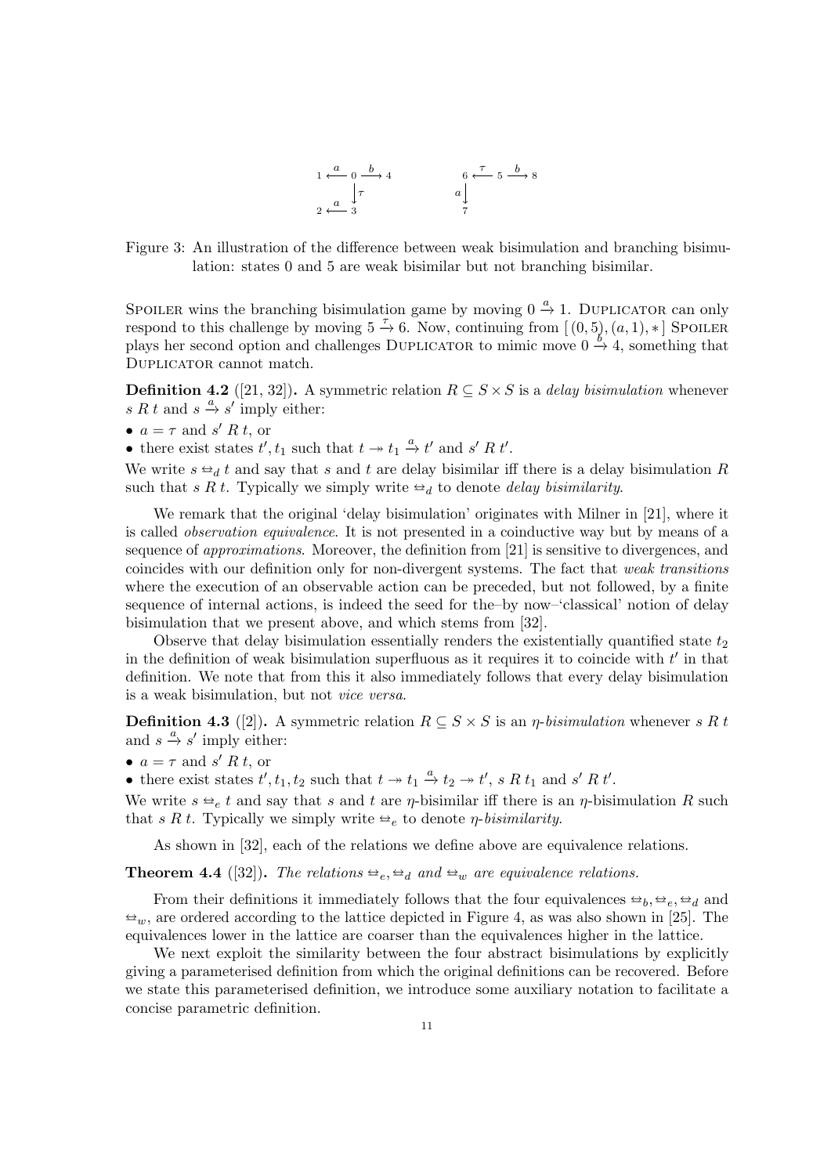

<span id="page-10-0"></span>Figure 3: An illustration of the difference between weak bisimulation and branching bisimulation: states 0 and 5 are weak bisimilar but not branching bisimilar.

SPOILER wins the branching bisimulation game by moving  $0 \stackrel{a}{\rightarrow} 1$ . DUPLICATOR can only respond to this challenge by moving  $5 \stackrel{\tau}{\rightarrow} 6$ . Now, continuing from  $[(0,5),(a,1),*]$  Spoiler plays her second option and challenges DUPLICATOR to mimic move  $0 \stackrel{b}{\rightarrow} 4$ , something that DUPLICATOR cannot match.

**Definition 4.2** ([\[21,](#page-38-16) [32\]](#page-38-1)). A symmetric relation  $R \subseteq S \times S$  is a delay bisimulation whenever s R t and  $s \stackrel{a}{\rightarrow} s'$  imply either:

•  $a = \tau$  and s' R t, or

• there exist states  $t', t_1$  such that  $t \to t_1 \xrightarrow{a} t'$  and  $s' R t'$ .

We write  $s \trianglelefteq_t t$  and say that s and t are delay bisimilar iff there is a delay bisimulation R such that s R t. Typically we simply write  $\triangleq_d$  to denote delay bisimilarity.

We remark that the original 'delay bisimulation' originates with Milner in [\[21\]](#page-38-16), where it is called observation equivalence. It is not presented in a coinductive way but by means of a sequence of approximations. Moreover, the definition from [\[21\]](#page-38-16) is sensitive to divergences, and coincides with our definition only for non-divergent systems. The fact that weak transitions where the execution of an observable action can be preceded, but not followed, by a finite sequence of internal actions, is indeed the seed for the–by now–'classical' notion of delay bisimulation that we present above, and which stems from [\[32\]](#page-38-1).

Observe that delay bisimulation essentially renders the existentially quantified state  $t_2$ in the definition of weak bisimulation superfluous as it requires it to coincide with  $t'$  in that definition. We note that from this it also immediately follows that every delay bisimulation is a weak bisimulation, but not vice versa.

**Definition 4.3** ([\[2\]](#page-37-4)). A symmetric relation  $R \subseteq S \times S$  is an *η-bisimulation* whenever s R t and  $s \stackrel{a}{\rightarrow} s'$  imply either:

•  $a = \tau$  and s' R t, or

• there exist states  $t', t_1, t_2$  such that  $t \to t_1 \stackrel{a}{\to} t_2 \to t'$ , s R  $t_1$  and s' R  $t'$ .

We write  $s \triangleq_e t$  and say that s and t are  $\eta$ -bisimilar iff there is an  $\eta$ -bisimulation R such that s R t. Typically we simply write  $\triangleq_e$  to denote *η-bisimilarity*.

As shown in [\[32\]](#page-38-1), each of the relations we define above are equivalence relations.

<span id="page-10-1"></span>**Theorem 4.4** ([\[32\]](#page-38-1)). The relations  $\triangleq_e$ ,  $\triangleq_d$  and  $\triangleq_w$  are equivalence relations.

From their definitions it immediately follows that the four equivalences  $\Rightarrow_b, \Rightarrow_c \Rightarrow_d$  and  $\omega_w$ , are ordered according to the lattice depicted in Figure [4,](#page-11-0) as was also shown in [\[25\]](#page-38-18). The equivalences lower in the lattice are coarser than the equivalences higher in the lattice.

We next exploit the similarity between the four abstract bisimulations by explicitly giving a parameterised definition from which the original definitions can be recovered. Before we state this parameterised definition, we introduce some auxiliary notation to facilitate a concise parametric definition.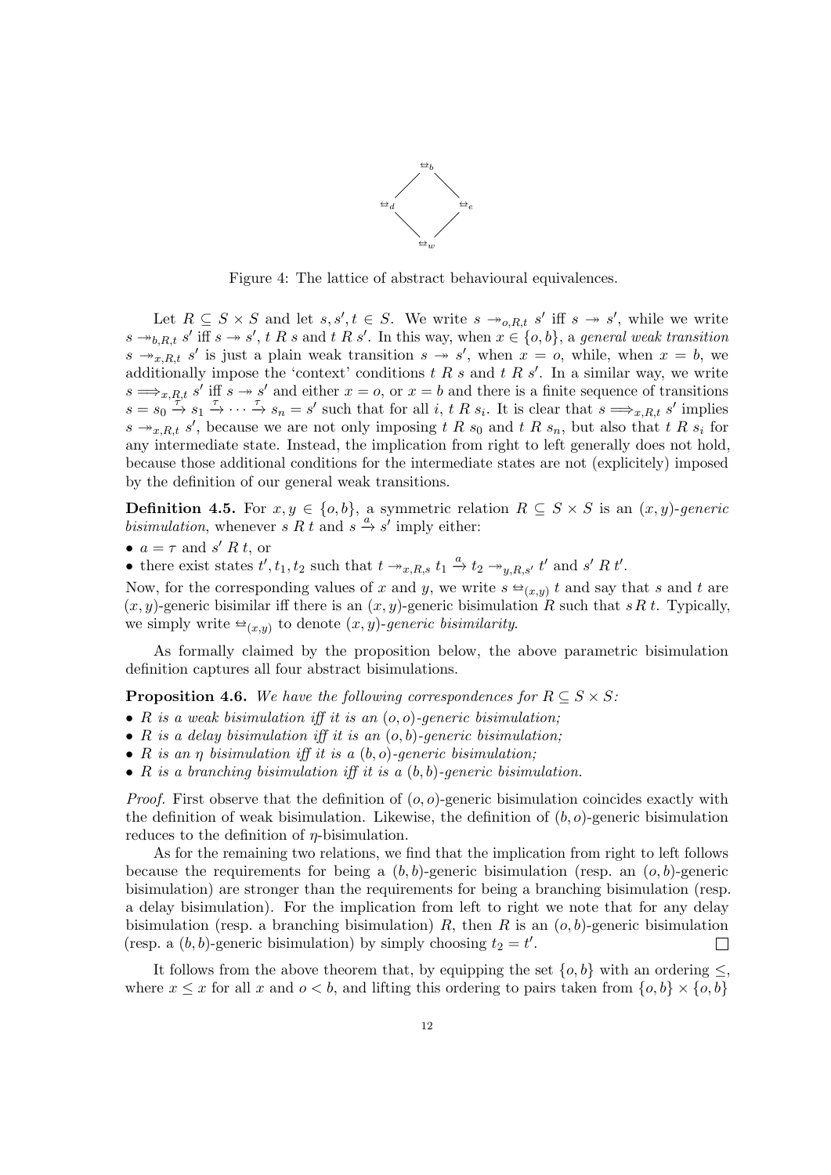

<span id="page-11-0"></span>Figure 4: The lattice of abstract behavioural equivalences.

Let  $R \subseteq S \times S$  and let  $s, s', t \in S$ . We write  $s \to_{o,R,t} s'$  iff  $s \to s'$ , while we write  $s \rightarrow_{b,R,t} s'$  iff  $s \rightarrow s'$ , t R s and t R s'. In this way, when  $x \in \{o,b\}$ , a general weak transition  $s \rightarrow x, R, t$  s' is just a plain weak transition  $s \rightarrow s'$ , when  $x = 0$ , while, when  $x = b$ , we additionally impose the 'context' conditions  $t R s$  and  $t R s'$ . In a similar way, we write  $s \Longrightarrow_{x,R,t} s'$  iff  $s \to s'$  and either  $x = o$ , or  $x = b$  and there is a finite sequence of transitions  $s = s_0 \stackrel{x_1, x_2, \dots, x_n}{\rightarrow} s_1 \stackrel{\tau}{\rightarrow} \cdots \stackrel{\tau}{\rightarrow} s_n = s'$  such that for all i, t R  $s_i$ . It is clear that  $s \implies x_i R_i t$  s' implies  $s \rightarrow_{x,R,t} s'$ , because we are not only imposing t R  $s_0$  and t R  $s_n$ , but also that t R  $s_i$  for any intermediate state. Instead, the implication from right to left generally does not hold, because those additional conditions for the intermediate states are not (explicitely) imposed by the definition of our general weak transitions.

<span id="page-11-2"></span>**Definition 4.5.** For  $x, y \in \{o, b\}$ , a symmetric relation  $R \subseteq S \times S$  is an  $(x, y)$ -generic *bisimulation*, whenever  $s R t$  and  $s \stackrel{a}{\rightarrow} s'$  imply either:

•  $a = \tau$  and s' R t, or

• there exist states  $t', t_1, t_2$  such that  $t \to_{x,R,s} t_1 \stackrel{a}{\to} t_2 \to_{y,R,s'} t'$  and  $s' R t'.$ 

Now, for the corresponding values of x and y, we write  $s \trianglelefteq_{(x,y)} t$  and say that s and t are  $(x, y)$  concrete biginally if there is an  $(x, y)$  concrete biginal tion. B such that  $s B t$ . Tunically  $(x, y)$ -generic bisimilar iff there is an  $(x, y)$ -generic bisimulation R such that sR t. Typically, we simply write  $\triangleq_{(x,y)}$  to denote  $(x, y)$ -generic bisimilarity.

As formally claimed by the proposition below, the above parametric bisimulation definition captures all four abstract bisimulations.

<span id="page-11-1"></span>**Proposition 4.6.** We have the following correspondences for  $R \subseteq S \times S$ :

- R is a weak bisimulation iff it is an  $(o, o)$ -generic bisimulation;
- R is a delay bisimulation iff it is an  $(o, b)$ -generic bisimulation;
- R is an  $\eta$  bisimulation iff it is a  $(b, o)$ -generic bisimulation;
- R is a branching bisimulation iff it is a  $(b, b)$ -generic bisimulation.

*Proof.* First observe that the definition of  $(o, o)$ -generic bisimulation coincides exactly with the definition of weak bisimulation. Likewise, the definition of  $(b, o)$ -generic bisimulation reduces to the definition of  $\eta$ -bisimulation.

As for the remaining two relations, we find that the implication from right to left follows because the requirements for being a  $(b, b)$ -generic bisimulation (resp. an  $(o, b)$ -generic bisimulation) are stronger than the requirements for being a branching bisimulation (resp. a delay bisimulation). For the implication from left to right we note that for any delay bisimulation (resp. a branching bisimulation) R, then R is an  $(o, b)$ -generic bisimulation (resp. a  $(b, b)$ -generic bisimulation) by simply choosing  $t_2 = t'$ .  $\Box$ 

It follows from the above theorem that, by equipping the set  $\{o, b\}$  with an ordering  $\leq$ , where  $x \leq x$  for all x and  $o < b$ , and lifting this ordering to pairs taken from  $\{o, b\} \times \{o, b\}$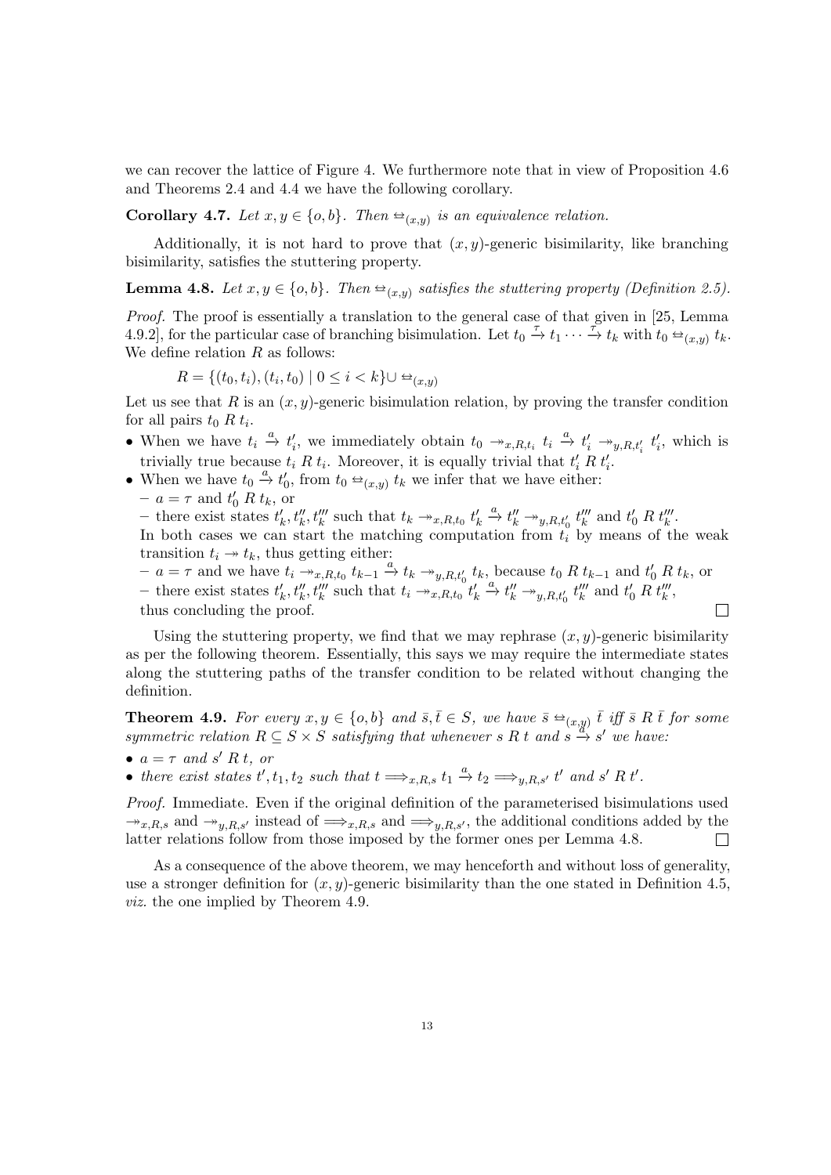we can recover the lattice of Figure [4.](#page-11-0) We furthermore note that in view of Proposition [4.6](#page-11-1) and Theorems [2.4](#page-4-1) and [4.4](#page-10-1) we have the following corollary.

**Corollary 4.7.** Let  $x, y \in \{o, b\}$ . Then  $\triangleq_{(x,y)}$  is an equivalence relation.

Additionally, it is not hard to prove that  $(x, y)$ -generic bisimilarity, like branching bisimilarity, satisfies the stuttering property.

<span id="page-12-0"></span>**Lemma 4.8.** Let  $x, y \in \{o, b\}$ . Then  $\triangleq_{(x,y)}$  satisfies the stuttering property (Definition [2.5\)](#page-4-2).

Proof. The proof is essentially a translation to the general case of that given in [\[25,](#page-38-18) Lemma 4.9.2], for the particular case of branching bisimulation. Let  $t_0 \stackrel{\tau}{\to} t_1 \cdots \stackrel{\tau}{\to} t_k$  with  $t_0 \stackrel{\leftarrow}{\to}_{(x,y)} t_k$ . We define relation  $R$  as follows:

$$
R = \{(t_0, t_i), (t_i, t_0) \mid 0 \le i < k\} \cup \triangleq_{(x, y)}
$$

Let us see that R is an  $(x, y)$ -generic bisimulation relation, by proving the transfer condition for all pairs  $t_0 R t_i$ .

- When we have  $t_i \stackrel{a}{\to} t'_i$ , we immediately obtain  $t_0 \to x, R, t_i$   $t_i \stackrel{a}{\to} t'_i \to y, R, t'_i$   $t'_i$ , which is trivially true because  $t_i R t_i$ . Moreover, it is equally trivial that  $t_i R t_i'$ .
- When we have  $t_0 \stackrel{a}{\rightarrow} t'_0$ , from  $t_0 \stackrel{\leftrightarrow}{\rightarrow}_{(x,y)} t'_k$  we infer that we have either:
- $a = \tau$  and  $t'_0 R t_k$ , or

 $\frac{1}{\sqrt{2}}$  there exist states  $t'_{k}$ ,  $t''_{k}$ ,  $t'''_{k}$  such that  $t_{k} \rightarrow x R,t_{0}$ ,  $t'_{k} \rightarrow t''_{k}$ ,  $\rightarrow t''_{k}$ ,  $\rightarrow t'''_{k}$ ,  $\rightarrow t'''_{k}$ ,  $\rightarrow t'''_{k}$ ,  $\rightarrow t'''_{k}$ ,

In both cases we can start the matching computation from  $t_i$  by means of the weak transition  $t_i \rightarrow t_k$ , thus getting either:

 $-a = \tau$  and we have  $t_i \stackrel{\circ}{\rightarrow}_{x,R,t_0} t_{k-1} \stackrel{a}{\rightarrow} t_k \stackrel{u}{\rightarrow}_{y,R,t_0'} t_k$ , because  $t_0 R t_{k-1}$  and  $t_0 R t_k$ , or - there exist states  $t'_{k}$ ,  $t''_{k}$ ,  $t'''_{k}$  such that  $t_{i} \rightarrow t''_{k}$ ,  $t''_{k} \rightarrow t''_{k}$ ,  $\rightarrow t''_{k}$ ,  $t'''_{k}$ , and  $t'_{0}$   $R$ ,  $t'''_{k}$ , thus concluding the proof.  $\Box$ 

Using the stuttering property, we find that we may rephrase  $(x, y)$ -generic bisimilarity as per the following theorem. Essentially, this says we may require the intermediate states along the stuttering paths of the transfer condition to be related without changing the definition.

<span id="page-12-1"></span>**Theorem 4.9.** For every  $x, y \in \{o, b\}$  and  $\overline{s}, \overline{t} \in S$ , we have  $\overline{s} \oplus_{(x,y)} \overline{t}$  iff  $\overline{s}$  R $\overline{t}$  for some example relation  $B \subseteq S \times S$  estisting that whenever  $s, B$  to and  $s, s'$  are have. symmetric relation  $R \subseteq S \times S$  satisfying that whenever s R t and  $s \stackrel{(x,y)}{\rightarrow} s'$  we have:

- $a = \tau$  and s' R t, or
- there exist states  $t', t_1, t_2$  such that  $t \Longrightarrow_{x,R,s} t_1 \stackrel{a}{\to} t_2 \Longrightarrow_{y,R,s'} t'$  and s' R t'.

Proof. Immediate. Even if the original definition of the parameterised bisimulations used  $\rightarrow x,R,s$  and  $\rightarrow y,R,s'$  instead of  $\Longrightarrow_{x,R,s}$  and  $\Longrightarrow_{y,R,s'}$ , the additional conditions added by the latter relations follow from those imposed by the former ones per Lemma [4.8.](#page-12-0)  $\Box$ 

As a consequence of the above theorem, we may henceforth and without loss of generality. use a stronger definition for  $(x, y)$ -generic bisimilarity than the one stated in Definition [4.5,](#page-11-2) viz. the one implied by Theorem [4.9.](#page-12-1)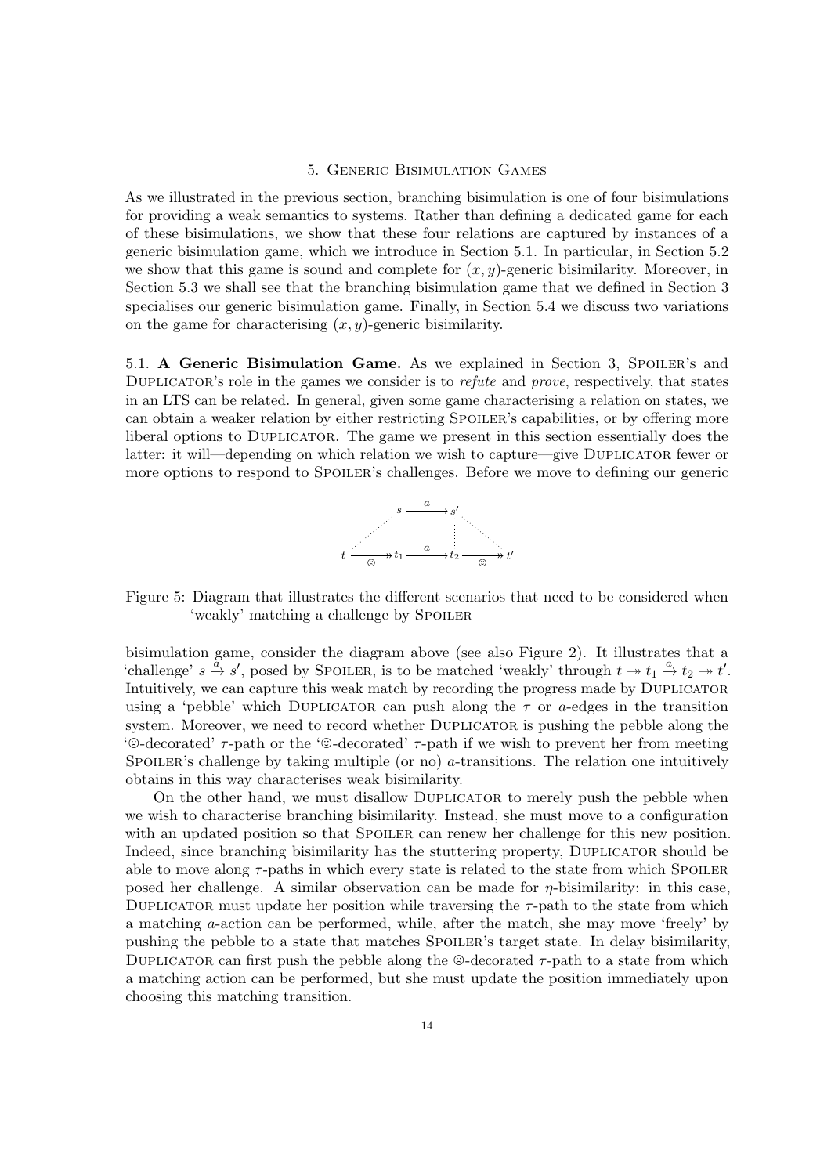### 5. Generic Bisimulation Games

<span id="page-13-0"></span>As we illustrated in the previous section, branching bisimulation is one of four bisimulations for providing a weak semantics to systems. Rather than defining a dedicated game for each of these bisimulations, we show that these four relations are captured by instances of a generic bisimulation game, which we introduce in Section [5.1.](#page-13-1) In particular, in Section [5.2](#page-16-0) we show that this game is sound and complete for  $(x, y)$ -generic bisimilarity. Moreover, in Section [5.3](#page-21-0) we shall see that the branching bisimulation game that we defined in Section [3](#page-4-0) specialises our generic bisimulation game. Finally, in Section [5.4](#page-24-0) we discuss two variations on the game for characterising  $(x, y)$ -generic bisimilarity.

<span id="page-13-1"></span>5.1. A Generic Bisimulation Game. As we explained in Section [3,](#page-4-0) SPOILER's and DUPLICATOR's role in the games we consider is to *refute* and *prove*, respectively, that states in an LTS can be related. In general, given some game characterising a relation on states, we can obtain a weaker relation by either restricting SPOILER's capabilities, or by offering more liberal options to Duplicator. The game we present in this section essentially does the latter: it will—depending on which relation we wish to capture—give Duplicator fewer or more options to respond to SPOILER's challenges. Before we move to defining our generic



<span id="page-13-2"></span>Figure 5: Diagram that illustrates the different scenarios that need to be considered when 'weakly' matching a challenge by SPOILER

bisimulation game, consider the diagram above (see also Figure [2\)](#page-9-1). It illustrates that a 'challenge'  $s \stackrel{\alpha}{\rightarrow} s'$ , posed by SPOILER, is to be matched 'weakly' through  $t \rightarrow t_1 \stackrel{a}{\rightarrow} t_2 \rightarrow t'$ . Intuitively, we can capture this weak match by recording the progress made by Duplicator using a 'pebble' which DUPLICATOR can push along the  $\tau$  or a-edges in the transition system. Moreover, we need to record whether Duplicator is pushing the pebble along the  $\degree$ -decorated'  $\tau$ -path or the  $\degree$ -decorated'  $\tau$ -path if we wish to prevent her from meeting SPOILER's challenge by taking multiple (or no)  $a$ -transitions. The relation one intuitively obtains in this way characterises weak bisimilarity.

On the other hand, we must disallow Duplicator to merely push the pebble when we wish to characterise branching bisimilarity. Instead, she must move to a configuration with an updated position so that SPOILER can renew her challenge for this new position. Indeed, since branching bisimilarity has the stuttering property, DUPLICATOR should be able to move along  $\tau$ -paths in which every state is related to the state from which SPOILER posed her challenge. A similar observation can be made for  $\eta$ -bisimilarity: in this case, DUPLICATOR must update her position while traversing the  $\tau$ -path to the state from which a matching a-action can be performed, while, after the match, she may move 'freely' by pushing the pebble to a state that matches Spoiler's target state. In delay bisimilarity, DUPLICATOR can first push the pebble along the  $\odot$ -decorated  $\tau$ -path to a state from which a matching action can be performed, but she must update the position immediately upon choosing this matching transition.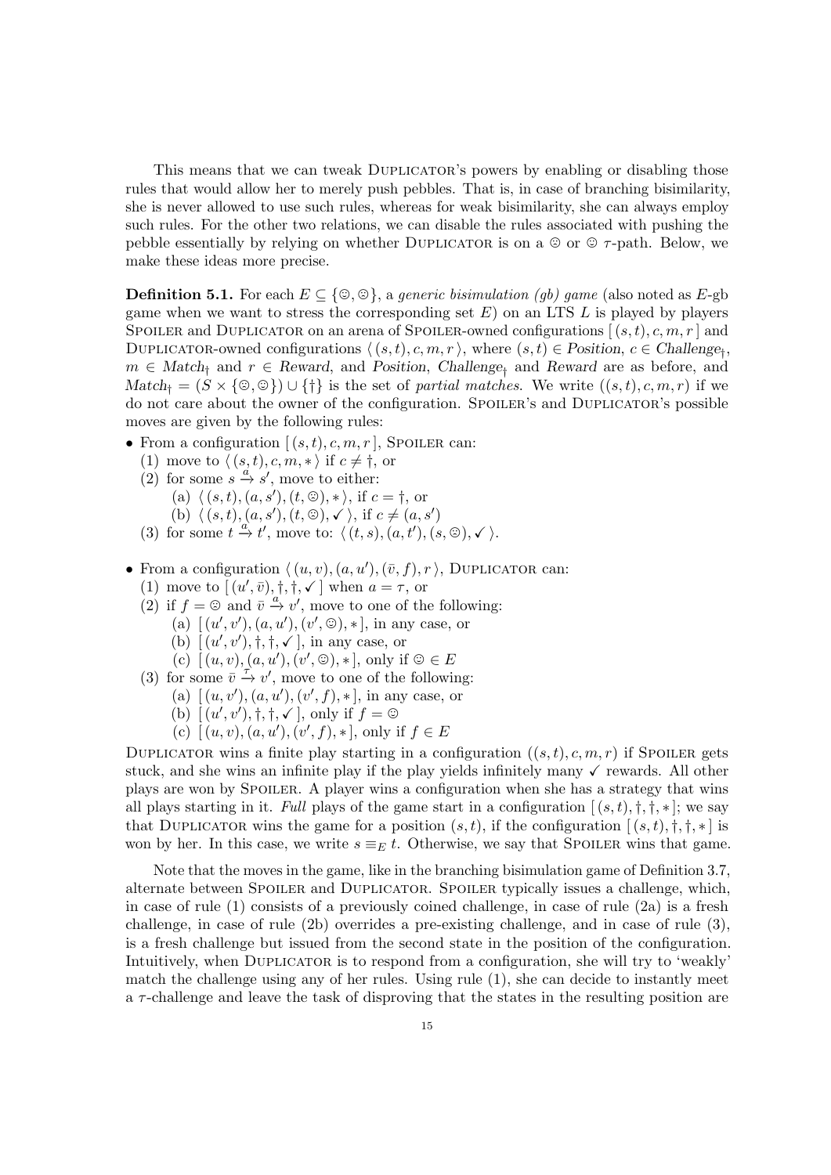This means that we can tweak DUPLICATOR's powers by enabling or disabling those rules that would allow her to merely push pebbles. That is, in case of branching bisimilarity, she is never allowed to use such rules, whereas for weak bisimilarity, she can always employ such rules. For the other two relations, we can disable the rules associated with pushing the pebble essentially by relying on whether DUPLICATOR is on a  $\circledcirc$  or  $\circledcirc$   $\tau$ -path. Below, we make these ideas more precise.

<span id="page-14-11"></span>**Definition 5.1.** For each  $E \subseteq \{\odot, \odot\}$ , a generic bisimulation (gb) game (also noted as E-gb game when we want to stress the corresponding set  $E$ ) on an LTS  $L$  is played by players SPOILER and DUPLICATOR on an arena of SPOILER-owned configurations  $[(s,t), c, m, r]$  and DUPLICATOR-owned configurations  $\langle (s, t), c, m, r \rangle$ , where  $(s, t) \in$  Position,  $c \in$  Challenge<sub>†</sub>,  $m \in Match_{\dagger}$  and  $r \in Reward$ , and Position, Challenge<sub>†</sub> and Reward are as before, and  $Match_{\dagger} = (S \times \{\circledcirc, \circledcirc\}) \cup \{\dagger\}$  is the set of partial matches. We write  $((s, t), c, m, r)$  if we do not care about the owner of the configuration. SPOILER's and DUPLICATOR's possible moves are given by the following rules:

- <span id="page-14-1"></span><span id="page-14-0"></span>• From a configuration  $[(s,t), c, m, r]$ , Spoiler can:
	- (1) move to  $\langle (s, t), c, m, * \rangle$  if  $c \neq \dagger$ , or
	- (2) for some  $s \stackrel{a}{\rightarrow} s'$ , move to either:
		- (a)  $\langle (s, t), (a, s'), (t, \mathcal{D}), * \rangle$ , if  $c = \dagger$ , or
		- (b)  $\langle (s, t), (a, s'), (t, \odot), \checkmark \rangle$ , if  $c \neq (a, s')$
	- (3) for some  $t \stackrel{\alpha}{\to} t'$ , move to:  $\langle (t, s), (a, t'), (s, \mathcal{O}), \checkmark \rangle$ .
- <span id="page-14-9"></span><span id="page-14-6"></span><span id="page-14-5"></span><span id="page-14-4"></span><span id="page-14-3"></span><span id="page-14-2"></span>• From a configuration  $\langle (u, v), (a, u'), (\bar{v}, f), r \rangle$ , DUPLICATOR can:
	- (1) move to  $[(u', \bar{v}), \dagger, \dagger, \checkmark]$  when  $a = \tau$ , or
	- (2) if  $f = \bigcirc$  and  $\overline{v} \xrightarrow{a} v'$ , move to one of the following:
		- (a)  $[(u', v'), (a, u'), (v', \mathcal{D}), *]$ , in any case, or
		- (b)  $(u', v'), \dagger, \dagger, \checkmark$ , in any case, or
		- (c)  $[(u, v), (a, u'), (v', \mathbb{O}), *]$ , only if  $\mathbb{O} \in E$
	- (3) for some  $\overline{v} \stackrel{\overbrace{\tau}}{\rightarrow} v'$ , move to one of the following:
		- (a)  $[(u, v'), (a, u'), (v', f), *]$ , in any case, or
		- (b)  $[(u', v'), \dagger, \dagger, \checkmark]$ , only if  $f = \mathcal{O}$
		- (c)  $[(u, v), (a, u'), (v', f), *],$  only if  $f \in E$

<span id="page-14-10"></span><span id="page-14-8"></span><span id="page-14-7"></span>DUPLICATOR wins a finite play starting in a configuration  $((s,t), c, m, r)$  if Spoiler gets stuck, and she wins an infinite play if the play yields infinitely many  $\checkmark$  rewards. All other plays are won by Spoiler. A player wins a configuration when she has a strategy that wins all plays starting in it. Full plays of the game start in a configuration  $[(s,t),t,t^*,\cdot]$ ; we say that DUPLICATOR wins the game for a position  $(s, t)$ , if the configuration  $[(s, t), \dagger, \dagger, \dagger, \dagger]$  is won by her. In this case, we write  $s \equiv_E t$ . Otherwise, we say that SPOILER wins that game.

Note that the moves in the game, like in the branching bisimulation game of Definition [3.7,](#page-7-1) alternate between Spoiler and Duplicator. Spoiler typically issues a challenge, which, in case of rule [\(1\)](#page-14-0) consists of a previously coined challenge, in case of rule [\(2a\)](#page-14-1) is a fresh challenge, in case of rule [\(2b\)](#page-14-2) overrides a pre-existing challenge, and in case of rule [\(3\)](#page-14-3), is a fresh challenge but issued from the second state in the position of the configuration. Intuitively, when Duplicator is to respond from a configuration, she will try to 'weakly' match the challenge using any of her rules. Using rule [\(1\)](#page-14-4), she can decide to instantly meet  $a \tau$ -challenge and leave the task of disproving that the states in the resulting position are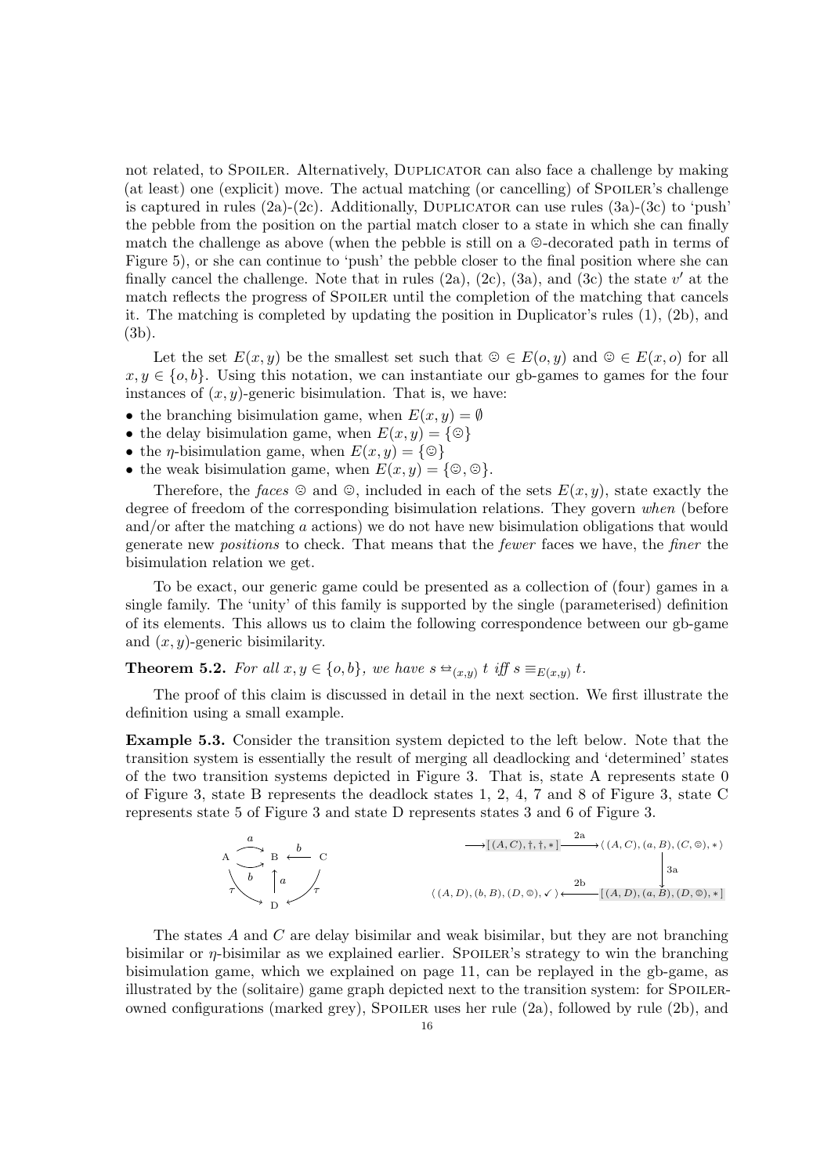not related, to SPOILER. Alternatively, DUPLICATOR can also face a challenge by making (at least) one (explicit) move. The actual matching (or cancelling) of SPOILER's challenge is captured in rules  $(2a)-(2c)$  $(2a)-(2c)$  $(2a)-(2c)$ . Additionally, DUPLICATOR can use rules  $(3a)-(3c)$  $(3a)-(3c)$  $(3a)-(3c)$  to 'push' the pebble from the position on the partial match closer to a state in which she can finally match the challenge as above (when the pebble is still on a  $\odot$ -decorated path in terms of Figure [5\)](#page-13-2), or she can continue to 'push' the pebble closer to the final position where she can finally cancel the challenge. Note that in rules  $(2a)$ ,  $(2c)$ ,  $(3a)$ , and  $(3c)$  the state  $v'$  at the match reflects the progress of SPOILER until the completion of the matching that cancels it. The matching is completed by updating the position in Duplicator's rules [\(1\)](#page-14-4), [\(2b\)](#page-14-9), and [\(3b\)](#page-14-10).

Let the set  $E(x, y)$  be the smallest set such that  $\mathcal{D} \in E(o, y)$  and  $\mathcal{D} \in E(x, o)$  for all  $x, y \in \{o, b\}$ . Using this notation, we can instantiate our gb-games to games for the four instances of  $(x, y)$ -generic bisimulation. That is, we have:

- the branching bisimulation game, when  $E(x, y) = \emptyset$
- the delay bisimulation game, when  $E(x, y) = \{\circledcirc\}$
- the *η*-bisimulation game, when  $E(x, y) = \{\circledcirc\}$
- the weak bisimulation game, when  $E(x, y) = \{\mathcal{Q}, \mathcal{Q}\}.$

Therefore, the faces  $\odot$  and  $\odot$ , included in each of the sets  $E(x, y)$ , state exactly the degree of freedom of the corresponding bisimulation relations. They govern when (before and/or after the matching a actions) we do not have new bisimulation obligations that would generate new positions to check. That means that the fewer faces we have, the finer the bisimulation relation we get.

To be exact, our generic game could be presented as a collection of (four) games in a single family. The 'unity' of this family is supported by the single (parameterised) definition of its elements. This allows us to claim the following correspondence between our gb-game and  $(x, y)$ -generic bisimilarity.

<span id="page-15-0"></span>**Theorem 5.2.** For all  $x, y \in \{o, b\}$ , we have  $s \triangleq_{(x,y)} t$  iff  $s \equiv_{E(x,y)} t$ .

The proof of this claim is discussed in detail in the next section. We first illustrate the definition using a small example.

<span id="page-15-1"></span>Example 5.3. Consider the transition system depicted to the left below. Note that the transition system is essentially the result of merging all deadlocking and 'determined' states of the two transition systems depicted in Figure [3.](#page-10-0) That is, state A represents state 0 of Figure [3,](#page-10-0) state B represents the deadlock states 1, 2, 4, 7 and 8 of Figure [3,](#page-10-0) state C represents state 5 of Figure [3](#page-10-0) and state D represents states 3 and 6 of Figure [3.](#page-10-0)

A  
\na  
\n
$$
\uparrow \qquad B \qquad C
$$
\n
$$
\uparrow \qquad \qquad \uparrow \qquad C
$$
\n
$$
\uparrow \qquad \qquad \uparrow \qquad \qquad \downarrow \qquad C
$$
\n
$$
\uparrow \qquad \qquad \downarrow \qquad C
$$
\n
$$
\uparrow \qquad \qquad \downarrow \qquad C
$$
\n
$$
\uparrow \qquad \qquad \downarrow \qquad C
$$
\n
$$
\uparrow \qquad \qquad \downarrow \qquad C
$$
\n
$$
\downarrow \qquad \qquad \downarrow \qquad C
$$
\n
$$
\downarrow \qquad \qquad \downarrow \qquad C
$$
\n
$$
\downarrow \qquad \qquad \downarrow \qquad C
$$
\n
$$
\downarrow \qquad \qquad \downarrow \qquad \downarrow \qquad \downarrow \qquad C
$$
\n
$$
\downarrow \qquad \qquad \downarrow \qquad \downarrow \qquad \downarrow \qquad \downarrow \qquad \downarrow \qquad \downarrow \qquad \downarrow \qquad \downarrow \qquad \downarrow \qquad \downarrow \qquad \downarrow \qquad \downarrow \qquad \downarrow \qquad \downarrow \qquad \downarrow \qquad \downarrow \qquad \downarrow \qquad \downarrow \qquad \downarrow \qquad \downarrow \qquad \downarrow \qquad \downarrow \qquad \downarrow \qquad \downarrow \qquad \downarrow \qquad \downarrow \qquad \downarrow \qquad \downarrow \qquad \downarrow \qquad \downarrow \qquad \downarrow \qquad \downarrow \qquad \downarrow \qquad \downarrow \qquad \downarrow \qquad \downarrow \qquad \downarrow \qquad \downarrow \qquad \downarrow \qquad \downarrow \qquad \downarrow \qquad \downarrow \qquad \downarrow \qquad \downarrow \qquad \downarrow \qquad \downarrow \qquad \downarrow \qquad \downarrow \qquad \downarrow \qquad \downarrow \qquad \downarrow \qquad \downarrow \qquad \downarrow \qquad \downarrow \qquad \downarrow \qquad \downarrow \qquad \downarrow \qquad \downarrow \qquad \downarrow \qquad \downarrow \qquad \downarrow \qquad \downarrow \qquad \downarrow \qquad \downarrow \qquad \downarrow \qquad \downarrow \qquad \downarrow \qquad \downarrow \qquad \downarrow \qquad \downarrow \qquad \downarrow \qquad \downarrow \qquad \downarrow \qquad \downarrow \qquad \downarrow \qquad \downarrow
$$

The states A and C are delay bisimilar and weak bisimilar, but they are not branching bisimilar or  $\eta$ -bisimilar as we explained earlier. Spoiler's strategy to win the branching bisimulation game, which we explained on page [11,](#page-10-0) can be replayed in the gb-game, as illustrated by the (solitaire) game graph depicted next to the transition system: for Spoilerowned configurations (marked grey), SPOILER uses her rule  $(2a)$ , followed by rule  $(2b)$ , and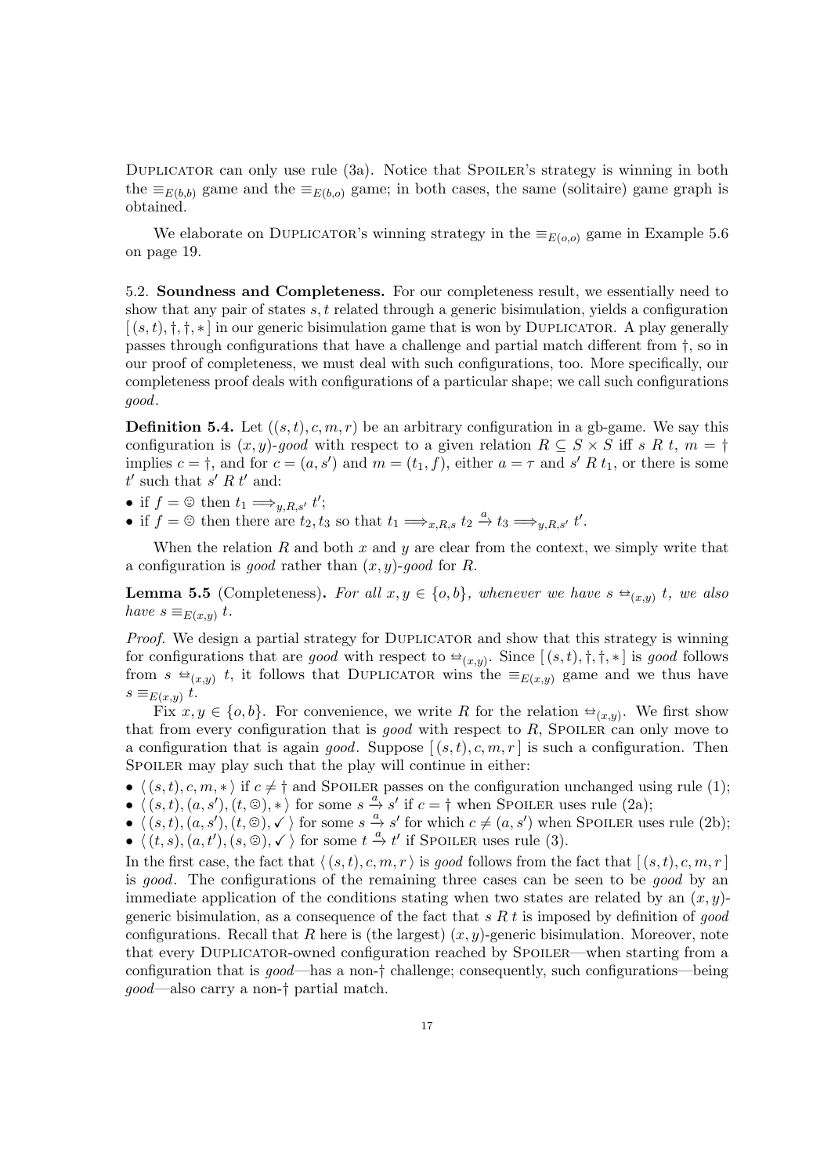DUPLICATOR can only use rule [\(3a\)](#page-14-7). Notice that SPOILER's strategy is winning in both the  $\equiv_{E(b,b)}$  game and the  $\equiv_{E(b,o)}$  game; in both cases, the same (solitaire) game graph is obtained.

We elaborate on DUPLICATOR's winning strategy in the  $\equiv_{E(o,o)}$  game in Example [5.6](#page-18-0) on page [19.](#page-18-0)

<span id="page-16-0"></span>5.2. Soundness and Completeness. For our completeness result, we essentially need to show that any pair of states  $s, t$  related through a generic bisimulation, yields a configuration  $[(s,t),\dagger,\dagger,\ast]$  in our generic bisimulation game that is won by DUPLICATOR. A play generally passes through configurations that have a challenge and partial match different from †, so in our proof of completeness, we must deal with such configurations, too. More specifically, our completeness proof deals with configurations of a particular shape; we call such configurations good.

**Definition 5.4.** Let  $((s, t), c, m, r)$  be an arbitrary configuration in a gb-game. We say this configuration is  $(x, y)$ -good with respect to a given relation  $R \subseteq S \times S$  iff s R t,  $m = \dagger$ implies  $c = \dagger$ , and for  $c = (a, s')$  and  $m = (t_1, f)$ , either  $a = \tau$  and  $s' R t_1$ , or there is some  $t'$  such that  $s' R t'$  and:

- if  $f = \mathcal{Q}$  then  $t_1 \Longrightarrow_{y,R,s'} t'$ ;
- if  $f = \textcircled{2}$  then there are  $t_2, t_3$  so that  $t_1 \Longrightarrow_{x,R,s} t_2 \stackrel{a}{\rightarrow} t_3 \Longrightarrow_{y,R,s'} t'$ .

When the relation  $R$  and both  $x$  and  $y$  are clear from the context, we simply write that a configuration is good rather than  $(x, y)$ -good for R.

<span id="page-16-1"></span>**Lemma 5.5** (Completeness). For all  $x, y \in \{o, b\}$ , whenever we have  $s \triangleq_{(x,y)} t$ , we also have  $s = (x, y, t)$ have  $s \equiv_{E(x,y)} t$ .

Proof. We design a partial strategy for DUPLICATOR and show that this strategy is winning for configurations that are good with respect to  $\trianglelefteq_{(x,y)}$ . Since  $[(s,t), \dagger, \dagger, *]$  is good follows from  $s \triangleq_{(x,y)} t$ , it follows that DUPLICATOR wins the  $\equiv_{E(x,y)}$  game and we thus have  $s \equiv_{E(x,y)} t$ .

Fix  $x, y \in \{o, b\}$ . For convenience, we write R for the relation  $\triangleq_{(x,y)}$ . We first show that from every configuration that is good with respect to  $R$ , SPOILER can only move to a configuration that is again good. Suppose  $[(s,t), c, m, r]$  is such a configuration. Then SPOILER may play such that the play will continue in either:

•  $\langle (s, t), c, m, * \rangle$  if  $c \neq \dagger$  and Spoiler passes on the configuration unchanged using rule [\(1\)](#page-14-0);

•  $\langle (s, t), (a, s'), (t, \odot), * \rangle$  for some  $s \stackrel{a}{\underset{a}{\rightarrow}} s'$  if  $c = \dagger$  when SpOILER uses rule [\(2a\)](#page-14-1);

 $\langle (s, t), (a, s'), (t, \otimes), \checkmark \rangle$  for some  $s \stackrel{a}{\rightarrow} s'$  for which  $c \neq (a, s')$  when SpOILER uses rule [\(2b\)](#page-14-2); •  $\langle (t, s), (a, t'), (s, \mathfrak{S}), \checkmark \rangle$  for some  $t \stackrel{a}{\to} t'$  if Spoiler uses rule [\(3\)](#page-14-3).

In the first case, the fact that  $\langle (s, t), c, m, r \rangle$  is good follows from the fact that  $[(s, t), c, m, r]$ is good. The configurations of the remaining three cases can be seen to be good by an immediate application of the conditions stating when two states are related by an  $(x, y)$ generic bisimulation, as a consequence of the fact that  $s R t$  is imposed by definition of good configurations. Recall that R here is (the largest)  $(x, y)$ -generic bisimulation. Moreover, note that every DUPLICATOR-owned configuration reached by SPOILER—when starting from a configuration that is good—has a non-† challenge; consequently, such configurations—being good—also carry a non-† partial match.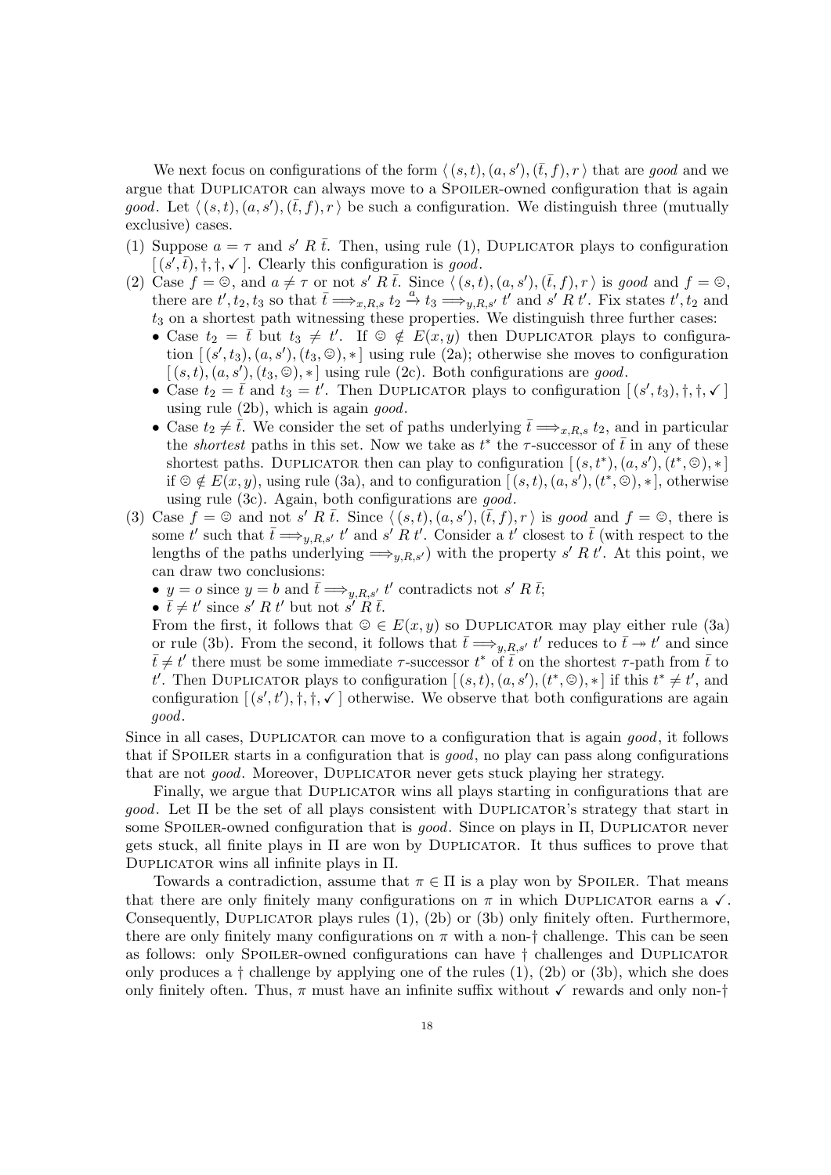We next focus on configurations of the form  $\langle (s, t), (a, s'),(\bar{t}, f), r \rangle$  that are good and we argue that Duplicator can always move to a Spoiler-owned configuration that is again good. Let  $\langle (s, t), (a, s'), (\bar{t}, f), r \rangle$  be such a configuration. We distinguish three (mutually exclusive) cases.

- [\(1\)](#page-14-4) Suppose  $a = \tau$  and s' R  $\bar{t}$ . Then, using rule (1), DUPLICATOR plays to configuration  $[(s', \overline{t}), \dagger, \dagger, \checkmark]$ . Clearly this configuration is good.
- (2) Case  $f = \mathcal{O}$ , and  $a \neq \tau$  or not s' R  $\overline{t}$ . Since  $\langle (s, t), (a, s'), (\overline{t}, f), r \rangle$  is good and  $f = \mathcal{O}$ , there are  $t', t_2, t_3$  so that  $\bar{t} \Longrightarrow_{x,R,s} t_2 \stackrel{a}{\to} t_3 \Longrightarrow_{y,R,s'} t'$  and  $s' R t'$ . Fix states  $t', t_2$  and  $t_3$  on a shortest path witnessing these properties. We distinguish three further cases:
	- Case  $t_2 = \overline{t}$  but  $t_3 \neq t'$ . If  $\odot \notin E(x, y)$  then DUPLICATOR plays to configuration  $[(s', t_3), (a, s'), (t_3, \mathcal{O}), *]$  using rule [\(2a\)](#page-14-5); otherwise she moves to configuration  $[(s,t),(a,s'),(t_3,\Theta),*]$  using rule [\(2c\)](#page-14-6). Both configurations are good.
	- Case  $t_2 = \overline{t}$  and  $t_3 = t'$ . Then DUPLICATOR plays to configuration  $[(s', t_3), \dagger, \dagger, \checkmark]$ using rule  $(2b)$ , which is again good.
	- Case  $t_2 \neq \overline{t}$ . We consider the set of paths underlying  $\overline{t} \Longrightarrow_{x,R,s} t_2$ , and in particular the *shortest* paths in this set. Now we take as  $t^*$  the  $\tau$ -successor of  $\bar{t}$  in any of these shortest paths. DUPLICATOR then can play to configuration  $[(s, t^*), (a, s'), (t^*, \otimes), *]$ if  $\mathcal{D} \notin E(x, y)$ , using rule [\(3a\)](#page-14-7), and to configuration  $[(s, t), (a, s'), (t^*, \mathcal{D}), *]$ , otherwise using rule [\(3c\)](#page-14-8). Again, both configurations are good.
- (3) Case  $f = \mathcal{O}$  and not s' R  $\overline{t}$ . Since  $\langle (s, t), (a, s'), (\overline{t}, f), r \rangle$  is good and  $f = \mathcal{O}$ , there is some t' such that  $\bar{t} \Longrightarrow_{y,R,s'} t'$  and  $s' R t'$ . Consider a t' closest to  $\bar{t}$  (with respect to the lengths of the paths underlying  $\Longrightarrow_{y,R,s'}$  with the property s' R t'. At this point, we can draw two conclusions:
	- $y = o$  since  $y = b$  and  $\bar{t} \Longrightarrow_{y,R,s'} t'$  contradicts not s' R  $\bar{t}$ ;
	- $\bar{t} \neq t'$  since s' R t' but not s' R  $\bar{t}$ .

From the first, it follows that  $\mathcal{Q} \in E(x, y)$  so DUPLICATOR may play either rule [\(3a\)](#page-14-7) or rule [\(3b\)](#page-14-10). From the second, it follows that  $\bar{t} \implies_{y,R,s'} t'$  reduces to  $\bar{t} \rightarrow t'$  and since  $\bar{t} \neq t'$  there must be some immediate  $\tau$ -successor  $t^*$  of  $\bar{t}$  on the shortest  $\tau$ -path from  $\bar{t}$  to t'. Then DUPLICATOR plays to configuration  $[(s,t), (a,s'), (t^*,\mathcal{D}), *]$  if this  $t^* \neq t'$ , and configuration  $[(s', t'), \dagger, \dagger, \mathcal{N}]$  otherwise. We observe that both configurations are again good.

Since in all cases, DUPLICATOR can move to a configuration that is again *good*, it follows that if SPOILER starts in a configuration that is good, no play can pass along configurations that are not good. Moreover, Duplicator never gets stuck playing her strategy.

Finally, we argue that DUPLICATOR wins all plays starting in configurations that are  $qood$ . Let  $\Pi$  be the set of all plays consistent with DUPLICATOR's strategy that start in some SPOILER-owned configuration that is  $good$ . Since on plays in  $\Pi$ , DUPLICATOR never gets stuck, all finite plays in  $\Pi$  are won by DUPLICATOR. It thus suffices to prove that Duplicator wins all infinite plays in Π.

Towards a contradiction, assume that  $\pi \in \Pi$  is a play won by SPOILER. That means that there are only finitely many configurations on  $\pi$  in which DUPLICATOR earns a  $\checkmark$ . Consequently, DUPLICATOR plays rules [\(1\)](#page-14-4), [\(2b\)](#page-14-9) or [\(3b\)](#page-14-10) only finitely often. Furthermore, there are only finitely many configurations on  $\pi$  with a non-† challenge. This can be seen as follows: only Spoiler-owned configurations can have † challenges and Duplicator only produces a  $\dagger$  challenge by applying one of the rules  $(1)$ ,  $(2b)$  or  $(3b)$ , which she does only finitely often. Thus,  $\pi$  must have an infinite suffix without  $\checkmark$  rewards and only non- $\dagger$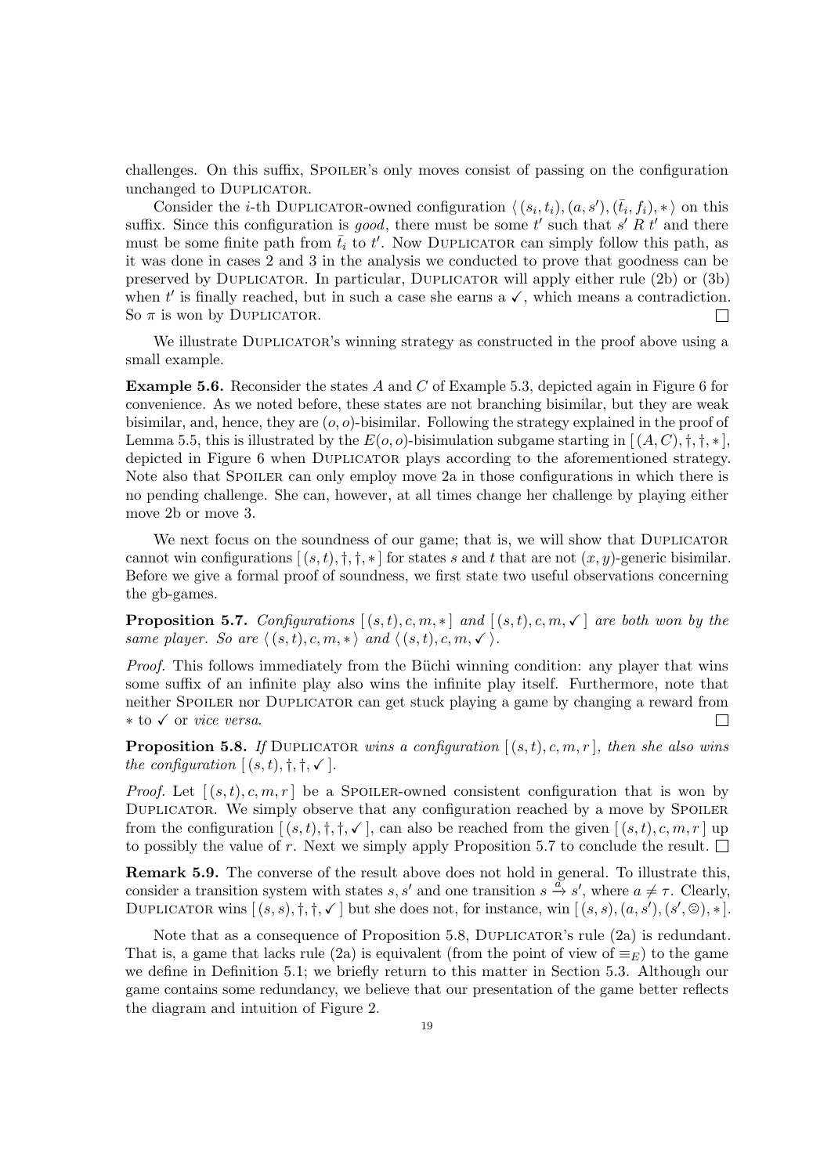challenges. On this suffix, SPOILER's only moves consist of passing on the configuration unchanged to Duplicator.

Consider the *i*-th DUPLICATOR-owned configuration  $\langle (s_i, t_i), (a, s'), (\bar{t}_i, f_i), * \rangle$  on this suffix. Since this configuration is good, there must be some t' such that  $s' R t'$  and there must be some finite path from  $\bar{t}_i$  to  $t'$ . Now DUPLICATOR can simply follow this path, as it was done in cases 2 and 3 in the analysis we conducted to prove that goodness can be preserved by Duplicator. In particular, Duplicator will apply either rule [\(2b\)](#page-14-9) or [\(3b\)](#page-14-10) when  $t'$  is finally reached, but in such a case she earns a  $\checkmark$ , which means a contradiction. So  $\pi$  is won by DUPLICATOR. П

We illustrate DUPLICATOR's winning strategy as constructed in the proof above using a small example.

<span id="page-18-0"></span>Example 5.6. Reconsider the states A and C of Example [5.3,](#page-15-1) depicted again in Figure [6](#page-19-0) for convenience. As we noted before, these states are not branching bisimilar, but they are weak bisimilar, and, hence, they are  $(o, o)$ -bisimilar. Following the strategy explained in the proof of Lemma [5.5,](#page-16-1) this is illustrated by the  $E(o, o)$ -bisimulation subgame starting in  $[(A, C), \dagger, \dagger, \ast]$ , depicted in Figure [6](#page-19-0) when Duplicator plays according to the aforementioned strategy. Note also that SPOILER can only employ move [2a](#page-14-1) in those configurations in which there is no pending challenge. She can, however, at all times change her challenge by playing either move [2b](#page-14-2) or move [3.](#page-14-3)

We next focus on the soundness of our game; that is, we will show that DUPLICATOR cannot win configurations  $[(s, t), \dagger, \dagger, *]$  for states s and t that are not  $(x, y)$ -generic bisimilar. Before we give a formal proof of soundness, we first state two useful observations concerning the gb-games.

<span id="page-18-1"></span>**Proposition 5.7.** Configurations  $[(s,t), c, m, *]$  and  $[(s,t), c, m, \checkmark]$  are both won by the same player. So are  $\langle (s, t), c, m, * \rangle$  and  $\langle (s, t), c, m, \checkmark \rangle$ .

*Proof.* This follows immediately from the Büchi winning condition: any player that wins some suffix of an infinite play also wins the infinite play itself. Furthermore, note that neither SPOILER nor DUPLICATOR can get stuck playing a game by changing a reward from ∗ to X or vice versa. П

<span id="page-18-2"></span>**Proposition 5.8.** If DUPLICATOR wins a configuration  $[(s,t), c, m, r]$ , then she also wins the configuration  $[(s,t), \dagger, \dagger, \checkmark].$ 

*Proof.* Let  $[(s, t), c, m, r]$  be a SPOILER-owned consistent configuration that is won by DUPLICATOR. We simply observe that any configuration reached by a move by SPOILER from the configuration  $[(s,t), \dagger, \dagger, \checkmark]$ , can also be reached from the given  $[(s,t), c, m, r]$  up to possibly the value of r. Next we simply apply Proposition [5.7](#page-18-1) to conclude the result.  $\Box$ 

Remark 5.9. The converse of the result above does not hold in general. To illustrate this, consider a transition system with states s, s' and one transition  $s \stackrel{\alpha}{\to} s'$ , where  $a \neq \tau$ . Clearly, DUPLICATOR wins  $[(s, s), \dagger, \dagger, \checkmark]$  but she does not, for instance, win  $[(s, s), (a, s'), (s', \circledcirc), *]$ .

Note that as a consequence of Proposition [5.8,](#page-18-2) DUPLICATOR's rule [\(2a\)](#page-14-5) is redundant. That is, a game that lacks rule [\(2a\)](#page-14-5) is equivalent (from the point of view of  $\equiv_E$ ) to the game we define in Definition [5.1;](#page-14-11) we briefly return to this matter in Section [5.3.](#page-21-0) Although our game contains some redundancy, we believe that our presentation of the game better reflects the diagram and intuition of Figure [2.](#page-9-1)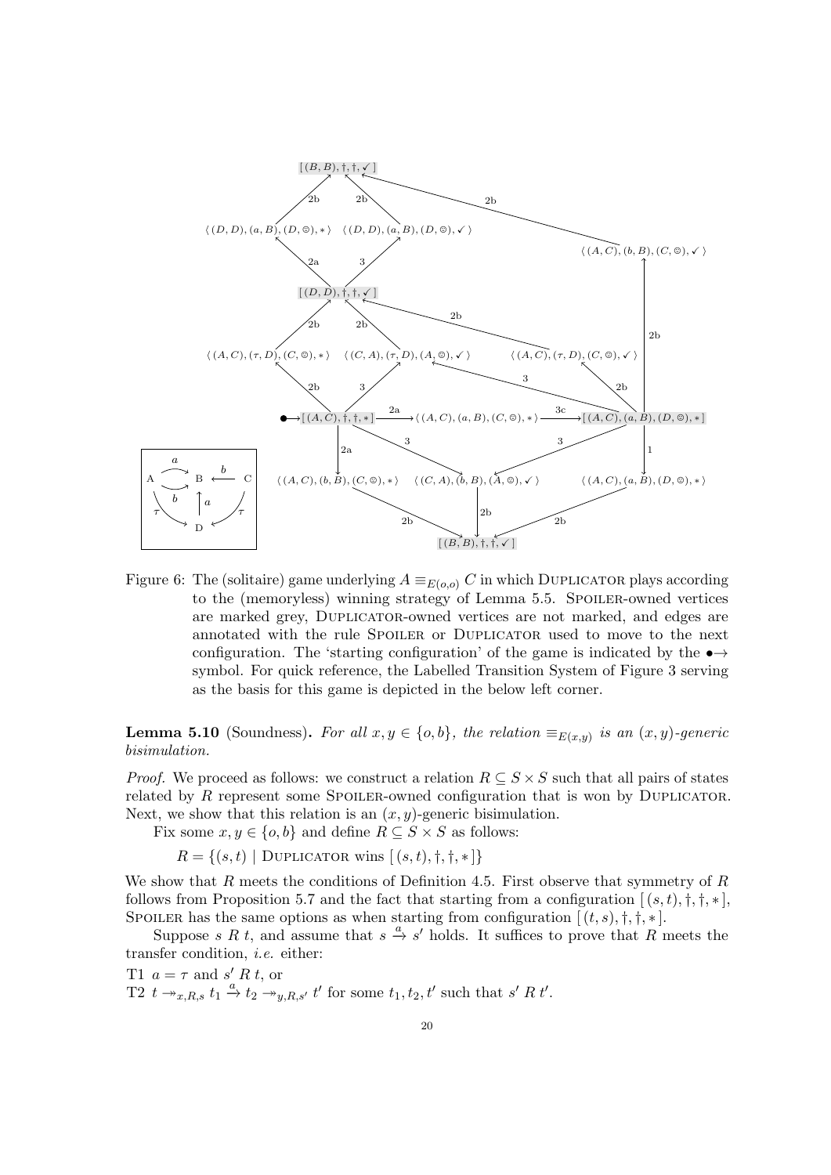

<span id="page-19-0"></span>Figure 6: The (solitaire) game underlying  $A \equiv_{E(o,o)} C$  in which DUPLICATOR plays according to the (memoryless) winning strategy of Lemma [5.5.](#page-16-1) Spoiler-owned vertices are marked grey, Duplicator-owned vertices are not marked, and edges are annotated with the rule Spoiler or Duplicator used to move to the next configuration. The 'starting configuration' of the game is indicated by the  $\rightarrow \rightarrow$ symbol. For quick reference, the Labelled Transition System of Figure [3](#page-10-0) serving as the basis for this game is depicted in the below left corner.

<span id="page-19-3"></span>**Lemma 5.10** (Soundness). For all  $x, y \in \{o, b\}$ , the relation  $\equiv_{E(x,y)}$  is an  $(x, y)$ -generic bisimulation.

*Proof.* We proceed as follows: we construct a relation  $R \subseteq S \times S$  such that all pairs of states related by R represent some SPOILER-owned configuration that is won by DUPLICATOR. Next, we show that this relation is an  $(x, y)$ -generic bisimulation.

Fix some  $x, y \in \{o, b\}$  and define  $R \subseteq S \times S$  as follows:

$$
R = \{(s, t) | \text{Duplicator wins } | (s, t), \dagger, \dagger, \dagger, \dagger \}
$$

We show that R meets the conditions of Definition [4.5.](#page-11-2) First observe that symmetry of R follows from Proposition [5.7](#page-18-1) and the fact that starting from a configuration  $[(s,t),\dagger,\dagger,\ast]$ , SPOILER has the same options as when starting from configuration  $[(t, s), \dagger, \dagger, *]$ .

Suppose s R t, and assume that  $s \stackrel{a}{\rightarrow} s'$  holds. It suffices to prove that R meets the transfer condition, i.e. either:

<span id="page-19-2"></span><span id="page-19-1"></span>T1  $a = \tau$  and  $s' R t$ , or T2  $t \rightarrow x, R, s$   $t_1 \stackrel{a}{\rightarrow} t_2 \rightarrow y, R, s'$  t' for some  $t_1, t_2, t'$  such that s' R t'.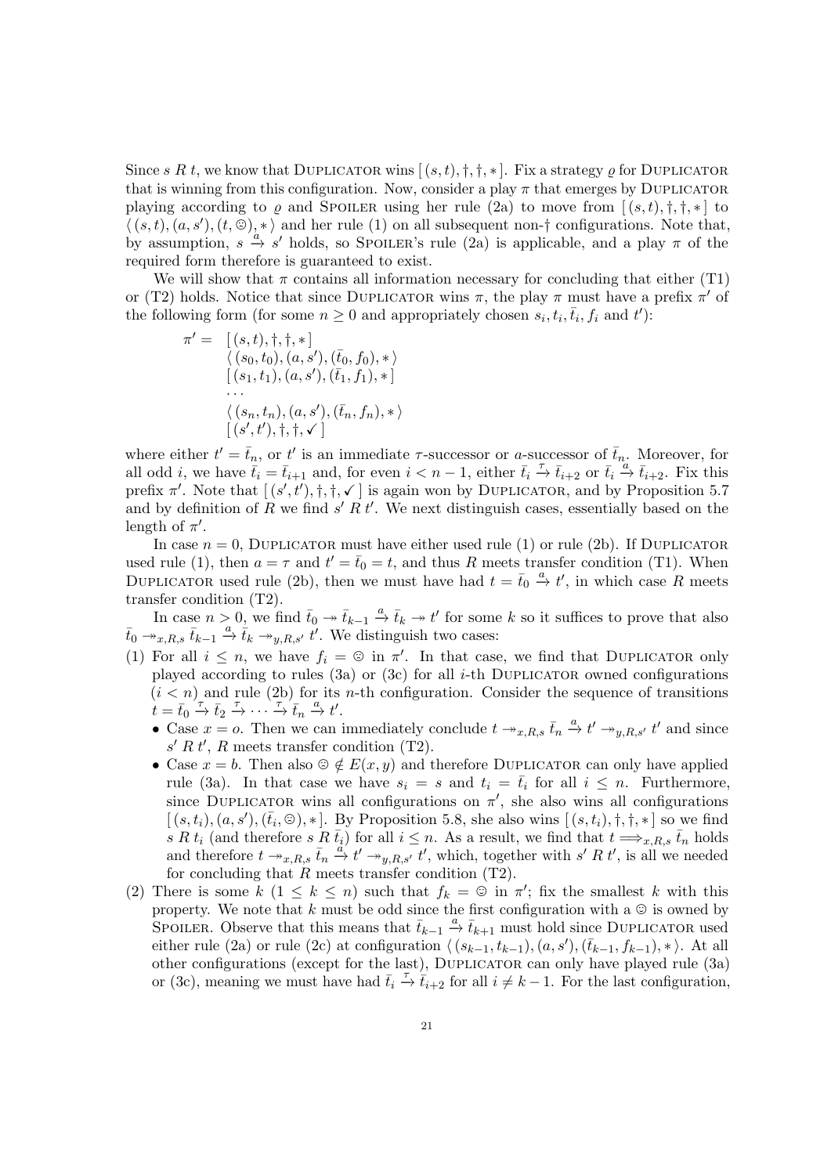Since s R t, we know that DUPLICATOR wins  $[(s,t), \dagger, \dagger, *]$ . Fix a strategy  $\rho$  for DUPLICATOR that is winning from this configuration. Now, consider a play  $\pi$  that emerges by DUPLICATOR playing according to  $\rho$  and SPOILER using her rule [\(2a\)](#page-14-1) to move from  $[(s,t), \dagger, \dagger, *]$  to  $\langle (s, t), (a, s'), (t, \mathbb{G})_n^* \rangle$  and her rule [\(1\)](#page-14-0) on all subsequent non-† configurations. Note that, by assumption,  $s \xrightarrow{a} s'$  holds, so SPOILER's rule [\(2a\)](#page-14-1) is applicable, and a play  $\pi$  of the required form therefore is guaranteed to exist.

We will show that  $\pi$  contains all information necessary for concluding that either [\(T1\)](#page-19-1) or [\(T2\)](#page-19-2) holds. Notice that since DUPLICATOR wins  $\pi$ , the play  $\pi$  must have a prefix  $\pi'$  of the following form (for some  $n \geq 0$  and appropriately chosen  $s_i, t_i, \bar{t}_i, f_i$  and  $t'$ ):

$$
\pi' = \begin{array}{l} [(s, t), \dagger, \dagger, *] \\ \langle (s_0, t_0), (a, s'), (\bar{t}_0, f_0), * \rangle \\ [(s_1, t_1), (a, s'), (\bar{t}_1, f_1), *] \\ \dots \\ \langle (s_n, t_n), (a, s'), (\bar{t}_n, f_n), * \rangle \\ [(s', t'), \dagger, \dagger, \checkmark] \end{array}
$$

where either  $t' = \bar{t}_n$ , or t' is an immediate  $\tau$ -successor or a-successor of  $\bar{t}_n$ . Moreover, for all odd *i*, we have  $\overline{t}_i = \overline{t}_{i+1}$  and, for even  $i < n-1$ , either  $\overline{t}_i \stackrel{\tau}{\to} \overline{t}_{i+2}$  or  $\overline{t}_i \stackrel{a}{\to} \overline{t}_{i+2}$ . Fix this prefix  $\pi'$ . Note that  $[(s', t'), \dagger, \dagger, \ell']$  is again won by DUPLICATOR, and by Proposition [5.7](#page-18-1) and by definition of R we find  $s' R t'$ . We next distinguish cases, essentially based on the length of  $\pi'$ .

In case  $n = 0$ , DUPLICATOR must have either used rule [\(1\)](#page-14-4) or rule [\(2b\)](#page-14-9). If DUPLICATOR used rule [\(1\)](#page-14-4), then  $a = \tau$  and  $t' = \bar{t}_0 = t$ , and thus R meets transfer condition [\(T1\)](#page-19-1). When DUPLICATOR used rule [\(2b\)](#page-14-9), then we must have had  $t = \bar{t}_0 \stackrel{a}{\rightarrow} t'$ , in which case R meets transfer condition [\(T2\)](#page-19-2).

In case  $n > 0$ , we find  $\bar{t}_0 \to \bar{t}_{k-1} \stackrel{a}{\to} \bar{t}_k \to t'$  for some k so it suffices to prove that also  $\bar{t}_0 \twoheadrightarrow_{x,R,s} \bar{t}_{k-1} \stackrel{a}{\to} \bar{t}_k \twoheadrightarrow_{y,R,s'} \overline{t}'$ . We distinguish two cases:

- (1) For all  $i \leq n$ , we have  $f_i = \mathfrak{D}$  in  $\pi'$ . In that case, we find that DUPLICATOR only played according to rules [\(3a\)](#page-14-7) or [\(3c\)](#page-14-8) for all *i*-th DUPLICATOR owned configurations  $(i < n)$  and rule [\(2b\)](#page-14-9) for its *n*-th configuration. Consider the sequence of transitions  $\dot{t} = \bar{t}_0 \xrightarrow{\tau} \bar{t}_2 \xrightarrow{\tau} \cdots \xrightarrow{\tau} \bar{t}_n \xrightarrow{a} t'.$ 
	- Case  $x = 0$ . Then we can immediately conclude  $t \to x, R, s \bar{t}_n \stackrel{a}{\to} t' \to y, R, s' t'$  and since  $s' R t'$ , R meets transfer condition [\(T2\)](#page-19-2).
	- Case  $x = b$ . Then also  $\mathfrak{S} \notin E(x, y)$  and therefore DUPLICATOR can only have applied rule [\(3a\)](#page-14-7). In that case we have  $s_i = s$  and  $t_i = \bar{t}_i$  for all  $i \leq n$ . Furthermore, since DUPLICATOR wins all configurations on  $\pi'$ , she also wins all configurations  $[(s,t_i), (a, s'), (\bar{t}_i, \mathcal{O}), *]$ . By Proposition [5.8,](#page-18-2) she also wins  $[(s,t_i), \dagger, \dagger, *]$  so we find s R  $t_i$  (and therefore s R  $\bar{t}_i$ ) for all  $i \leq n$ . As a result, we find that  $t \Longrightarrow_{x,R,s} \bar{t}_n$  holds and therefore  $t \to_{x,R,s} \bar{t}_n \stackrel{a'}{\to} t' \to_{y,R,s'} t'$ , which, together with s' R t', is all we needed for concluding that  $R$  meets transfer condition  $(T2)$ .
- (2) There is some  $k$   $(1 \leq k \leq n)$  such that  $f_k = \mathcal{Q}$  in  $\pi'$ ; fix the smallest k with this property. We note that k must be odd since the first configuration with a  $\odot$  is owned by SPOILER. Observe that this means that  $\bar{t}_{k-1} \stackrel{a}{\rightarrow} \bar{t}_{k+1}$  must hold since DUPLICATOR used either rule [\(2a\)](#page-14-5) or rule [\(2c\)](#page-14-6) at configuration  $\langle (s_{k-1}, t_{k-1}), (a, s'),(\bar{t}_{k-1}, f_{k-1}), *\rangle$ . At all other configurations (except for the last), Duplicator can only have played rule [\(3a\)](#page-14-7) or [\(3c\)](#page-14-8), meaning we must have had  $\bar{t}_i \stackrel{\tau}{\rightarrow} \tilde{t}_{i+2}$  for all  $i \neq k-1$ . For the last configuration,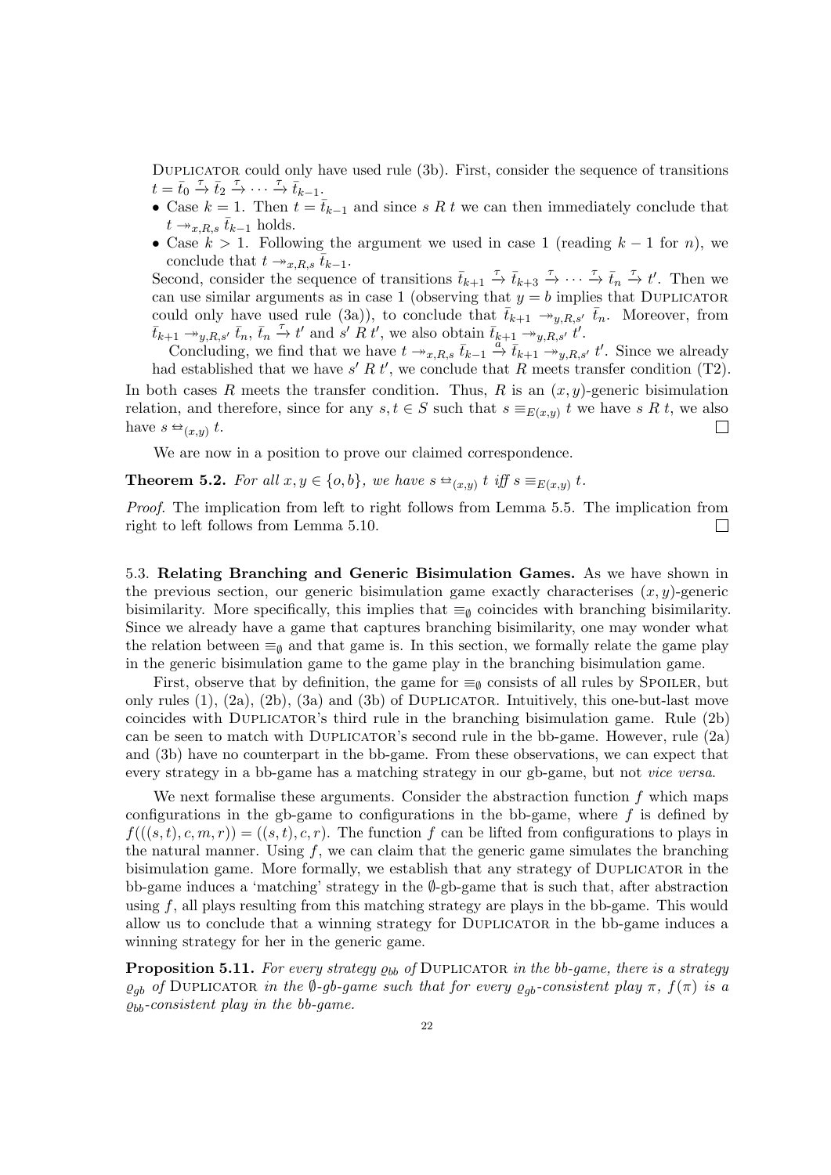DUPLICATOR could only have used rule [\(3b\)](#page-14-10). First, consider the sequence of transitions  $t = \bar{t}_0 \stackrel{\tau}{\rightarrow} \bar{t}_2 \stackrel{\tau}{\rightarrow} \cdots \stackrel{\tau}{\rightarrow} \bar{t}_{k-1}.$ 

- Case  $k = 1$ . Then  $t = \bar{t}_{k-1}$  and since s R t we can then immediately conclude that  $t \rightarrow_{x,R,s} \bar{t}_{k-1}$  holds.
- Case  $k > 1$ . Following the argument we used in case 1 (reading  $k 1$  for n), we conclude that  $t \rightarrow x.R.s$   $t_{k-1}$ .

Second, consider the sequence of transitions  $\bar{t}_{k+1} \stackrel{\tau}{\to} \bar{t}_{k+3} \stackrel{\tau}{\to} \cdots \stackrel{\tau}{\to} \bar{t}_n \stackrel{\tau}{\to} t'$ . Then we can use similar arguments as in case 1 (observing that  $y = b$  implies that DUPLICATOR could only have used rule [\(3a\)](#page-14-7)), to conclude that  $\bar{t}_{k+1} \rightarrow_{y,R,s'} \bar{t}_n$ . Moreover, from  $\overline{t}_{k+1} \rightarrow_{y,R,s'} \overline{t}_n, \overline{t}_n \stackrel{\tau}{\rightarrow} t'$  and  $\overline{s'} R t'$ , we also obtain  $\overline{t}_{k+1} \rightarrow_{y,R,s'} t'$ .

Concluding, we find that we have  $t \to_{x,R,s} \bar{t}_{k-1} \stackrel{\alpha}{\to} \bar{t}_{k+1} \stackrel{g_1,\epsilon,s}{\to}_{y,R,s'} t'$ . Since we already had established that we have  $s' R t'$ , we conclude that R meets transfer condition [\(T2\)](#page-19-2). In both cases R meets the transfer condition. Thus, R is an  $(x, y)$ -generic bisimulation relation, and therefore, since for any  $s, t \in S$  such that  $s \equiv_{E(x,y)} t$  we have s R t, we also have  $s \trianglelefteq_{(x,y)} t$ .  $\perp$ 

We are now in a position to prove our claimed correspondence.

**Theorem 5.2.** For all 
$$
x, y \in \{o, b\}
$$
, we have  $s \trianglelefteq_{(x,y)} t$  iff  $s \equiv_{E(x,y)} t$ .

Proof. The implication from left to right follows from Lemma [5.5.](#page-16-1) The implication from right to left follows from Lemma [5.10.](#page-19-3)  $\Box$ 

<span id="page-21-0"></span>5.3. Relating Branching and Generic Bisimulation Games. As we have shown in the previous section, our generic bisimulation game exactly characterises  $(x, y)$ -generic bisimilarity. More specifically, this implies that  $\equiv_{\emptyset}$  coincides with branching bisimilarity. Since we already have a game that captures branching bisimilarity, one may wonder what the relation between  $\equiv_0$  and that game is. In this section, we formally relate the game play in the generic bisimulation game to the game play in the branching bisimulation game.

First, observe that by definition, the game for  $\equiv_{\emptyset}$  consists of all rules by SPOILER, but only rules  $(1)$ ,  $(2a)$ ,  $(2b)$ ,  $(3a)$  and  $(3b)$  of DUPLICATOR. Intuitively, this one-but-last move coincides with Duplicator's third rule in the branching bisimulation game. Rule [\(2b\)](#page-14-9) can be seen to match with Duplicator's second rule in the bb-game. However, rule [\(2a\)](#page-14-5) and [\(3b\)](#page-14-10) have no counterpart in the bb-game. From these observations, we can expect that every strategy in a bb-game has a matching strategy in our gb-game, but not vice versa.

We next formalise these arguments. Consider the abstraction function  $f$  which maps configurations in the gb-game to configurations in the bb-game, where  $f$  is defined by  $f((s,t), c, m, r) = (s,t), c, r$ . The function f can be lifted from configurations to plays in the natural manner. Using  $f$ , we can claim that the generic game simulates the branching bisimulation game. More formally, we establish that any strategy of DUPLICATOR in the bb-game induces a 'matching' strategy in the ∅-gb-game that is such that, after abstraction using  $f$ , all plays resulting from this matching strategy are plays in the bb-game. This would allow us to conclude that a winning strategy for Duplicator in the bb-game induces a winning strategy for her in the generic game.

<span id="page-21-1"></span>**Proposition 5.11.** For every strategy  $\rho_{bb}$  of DUPLICATOR in the bb-game, there is a strategy  $\varrho_{qb}$  of DUPLICATOR in the Ø-gb-game such that for every  $\varrho_{qb}$ -consistent play  $\pi$ ,  $f(\pi)$  is a  $\rho_{bb}$ -consistent play in the bb-game.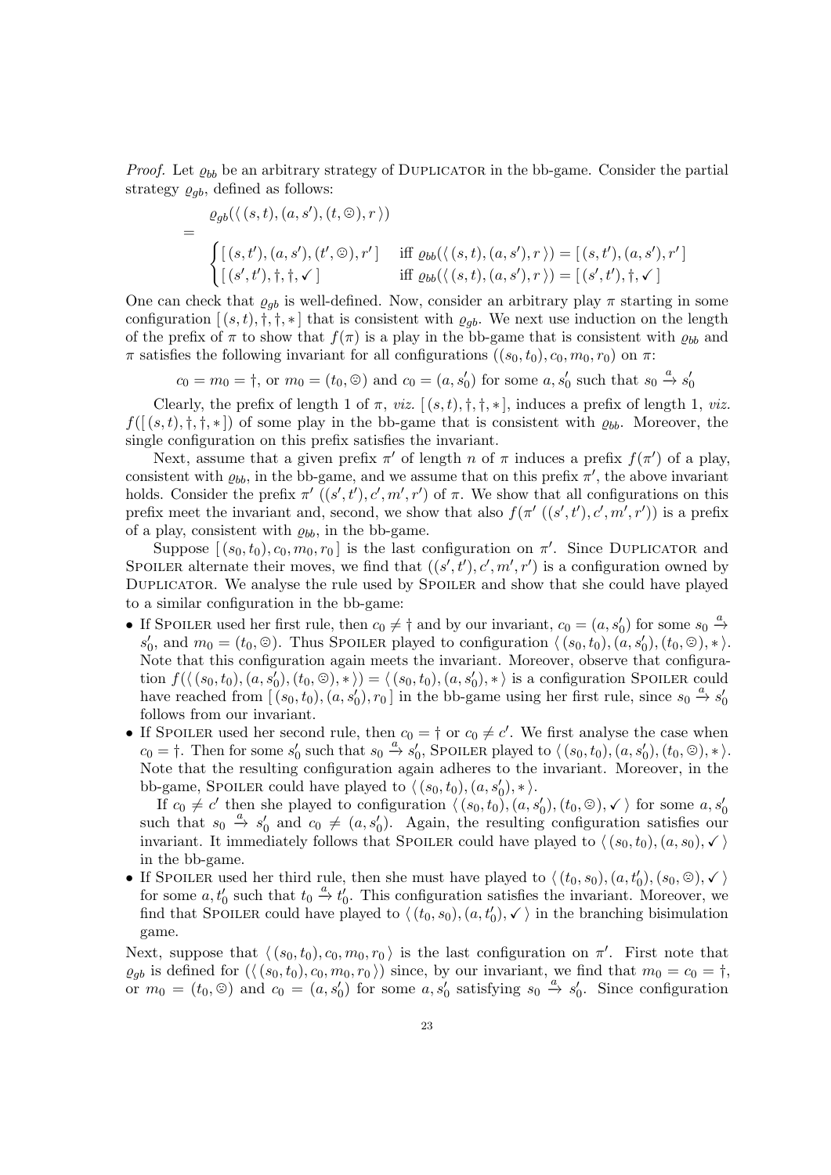*Proof.* Let  $\varrho_{bb}$  be an arbitrary strategy of DUPLICATOR in the bb-game. Consider the partial strategy  $\varrho_{ab}$ , defined as follows:

$$
= \frac{\varrho_{gb}(\langle (s,t), (a,s'), (t,\circledcirc), r \rangle)}{\begin{cases} \left[ (s,t'), (a,s'), (t',\circledcirc), r' \right] & \text{iff } \varrho_{bb}(\langle (s,t), (a,s'), r \rangle) = \left[ (s,t'), (a,s'), r' \right] \\ \left[ (s',t'), \dagger, \dagger, \checkmark \right] & \text{iff } \varrho_{bb}(\langle (s,t), (a,s'), r \rangle) = \left[ (s',t'), \dagger, \checkmark \right] \end{cases}}
$$

One can check that  $\varrho_{gb}$  is well-defined. Now, consider an arbitrary play  $\pi$  starting in some configuration  $[(s,t),\dagger,\dagger,\ast]$  that is consistent with  $\varrho_{qb}$ . We next use induction on the length of the prefix of  $\pi$  to show that  $f(\pi)$  is a play in the bb-game that is consistent with  $\rho_{bb}$  and  $\pi$  satisfies the following invariant for all configurations  $((s_0, t_0), c_0, m_0, r_0)$  on  $\pi$ :

 $c_0 = m_0 = \dagger$ , or  $m_0 = (t_0, \circledcirc)$  and  $c_0 = (a, s'_0)$  for some  $a, s'_0$  such that  $s_0 \stackrel{a}{\rightarrow} s'_0$ 

Clearly, the prefix of length 1 of  $\pi$ , *viz.*  $[(s, t), \dagger, \dagger, *]$ , induces a prefix of length 1, *viz.*  $f([ (s,t),\dagger,\dagger,\ast] )$  of some play in the bb-game that is consistent with  $\rho_{bb}$ . Moreover, the single configuration on this prefix satisfies the invariant.

Next, assume that a given prefix  $\pi'$  of length n of  $\pi$  induces a prefix  $f(\pi')$  of a play, consistent with  $\varrho_{bb}$ , in the bb-game, and we assume that on this prefix  $\pi'$ , the above invariant holds. Consider the prefix  $\pi'$   $((s', t'), c', m', r')$  of  $\pi$ . We show that all configurations on this prefix meet the invariant and, second, we show that also  $f(\pi'((s',t'),c',m',r'))$  is a prefix of a play, consistent with  $\rho_{bb}$ , in the bb-game.

Suppose  $[(s_0, t_0), c_0, m_0, r_0]$  is the last configuration on  $\pi'$ . Since DUPLICATOR and SPOILER alternate their moves, we find that  $((s', t'), c', m', r')$  is a configuration owned by Duplicator. We analyse the rule used by Spoiler and show that she could have played to a similar configuration in the bb-game:

- If SPOILER used her first rule, then  $c_0 \neq \dagger$  and by our invariant,  $c_0 = (a, s'_0)$  for some  $s_0 \stackrel{a}{\rightarrow}$  $s'_0$ , and  $m_0 = (t_0, \odot)$ . Thus SPOILER played to configuration  $\langle (s_0, t_0), (a, s'_0), (t_0, \odot), * \rangle$ . Note that this configuration again meets the invariant. Moreover, observe that configuration  $f(\langle (s_0, t_0), (a, s'_0), (t_0, \odot), *\rangle) = \langle (s_0, t_0), (a, s'_0), *\rangle$  is a configuration Spoiler could have reached from  $[(s_0, t_0), (a, s'_0), r_0]$  in the bb-game using her first rule, since  $s_0 \stackrel{a}{\rightarrow} s'_0$ follows from our invariant.
- If SPOILER used her second rule, then  $c_0 = \dagger$  or  $c_0 \neq c'$ . We first analyse the case when  $c_0 = \dagger$ . Then for some  $s'_0$  such that  $s_0 \stackrel{a}{\rightarrow} s'_0$ , Spoiler played to  $\langle (s_0, t_0), (a, s'_0), (t_0, \odot), * \rangle$ . Note that the resulting configuration again adheres to the invariant. Moreover, in the bb-game, SPOILER could have played to  $\langle (s_0, t_0), (a, s'_0), * \rangle$ .

If  $c_0 \neq c'$  then she played to configuration  $\langle (s_0, t_0), (a, s'_0), (t_0, \mathcal{O}), \checkmark \rangle$  for some  $a, s'_0$ such that  $s_0 \stackrel{a}{\rightarrow} s'_0$  and  $c_0 \neq (a, s'_0)$ . Again, the resulting configuration satisfies our invariant. It immediately follows that SPOILER could have played to  $\langle (s_0, t_0), (a, s_0), \checkmark \rangle$ in the bb-game.

• If SPOILER used her third rule, then she must have played to  $\langle (t_0, s_0), (a, t'_0), (s_0, \odot), \checkmark \rangle$ for some  $a, t'_0$  such that  $t_0 \stackrel{a}{\rightarrow} t'_0$ . This configuration satisfies the invariant. Moreover, we find that SPOILER could have played to  $\langle (t_0, s_0), (a, t'_0), \checkmark \rangle$  in the branching bisimulation game.

Next, suppose that  $\langle (s_0, t_0), c_0, m_0, r_0 \rangle$  is the last configuration on  $\pi'$ . First note that  $\varrho_{gb}$  is defined for  $(\langle (s_0, t_0), c_0, m_0, r_0 \rangle)$  since, by our invariant, we find that  $m_0 = c_0 = \dagger$ , or  $m_0 = (t_0, \textcircled{e})$  and  $c_0 = (a, s'_0)$  for some  $a, s'_0$  satisfying  $s_0 \xrightarrow{a} s'_0$ . Since configuration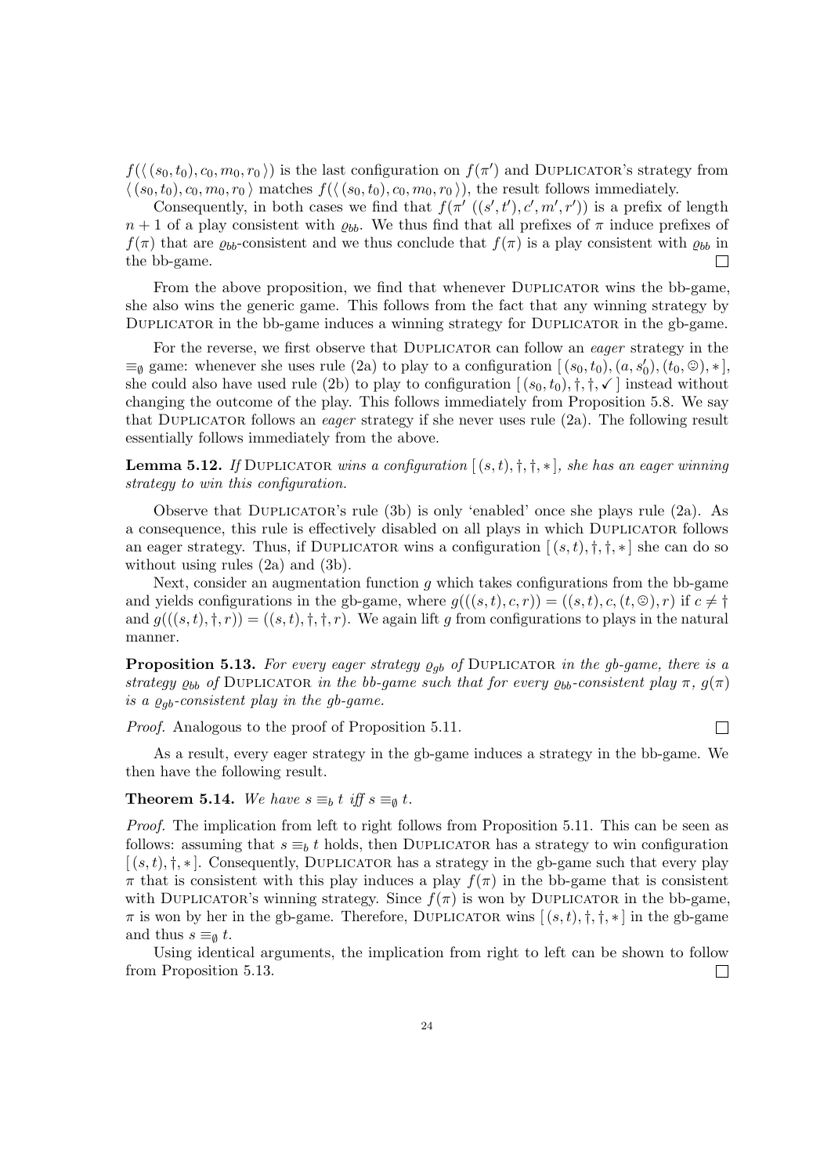$f(\langle (s_0, t_0), c_0, m_0, r_0 \rangle)$  is the last configuration on  $f(\pi')$  and DUPLICATOR's strategy from  $\langle (s_0, t_0), c_0, m_0, r_0 \rangle$  matches  $f(\langle (s_0, t_0), c_0, m_0, r_0 \rangle)$ , the result follows immediately.

Consequently, in both cases we find that  $f(\pi'((s',t'),c',m',r'))$  is a prefix of length  $n+1$  of a play consistent with  $\rho_{bb}$ . We thus find that all prefixes of  $\pi$  induce prefixes of  $f(\pi)$  that are  $\rho_{bb}$ -consistent and we thus conclude that  $f(\pi)$  is a play consistent with  $\rho_{bb}$  in the bb-game.  $\Box$ 

From the above proposition, we find that whenever DUPLICATOR wins the bb-game, she also wins the generic game. This follows from the fact that any winning strategy by Duplicator in the bb-game induces a winning strategy for Duplicator in the gb-game.

For the reverse, we first observe that DUPLICATOR can follow an *eager* strategy in the  $\equiv_{\emptyset}$  game: whenever she uses rule [\(2a\)](#page-14-5) to play to a configuration  $[(s_0, t_0), (a, s'_0), (t_0, \odot), *]$ she could also have used rule [\(2b\)](#page-14-9) to play to configuration  $[(s_0, t_0), \dagger, \dagger, \mathbf{\checkmark}]$  instead without changing the outcome of the play. This follows immediately from Proposition [5.8.](#page-18-2) We say that DUPLICATOR follows an *eager* strategy if she never uses rule  $(2a)$ . The following result essentially follows immediately from the above.

**Lemma 5.12.** If DUPLICATOR wins a configuration  $[(s,t), \dagger, \dagger, *]$ , she has an eager winning strategy to win this configuration.

Observe that Duplicator's rule [\(3b\)](#page-14-10) is only 'enabled' once she plays rule [\(2a\)](#page-14-5). As a consequence, this rule is effectively disabled on all plays in which Duplicator follows an eager strategy. Thus, if DUPLICATOR wins a configuration  $[(s,t),t,t^*]$  she can do so without using rules [\(2a\)](#page-14-5) and [\(3b\)](#page-14-10).

Next, consider an augmentation function q which takes configurations from the bb-game and yields configurations in the gb-game, where  $g(((s,t),c,r)) = ((s,t),c,(t,\odot),r)$  if  $c \neq \dagger$ and  $q((s,t), \dagger, r) = (s,t), \dagger, \dagger, r$ . We again lift q from configurations to plays in the natural manner.

<span id="page-23-1"></span>**Proposition 5.13.** For every eager strategy  $\varrho_{qb}$  of DUPLICATOR in the gb-game, there is a strategy  $\varrho_{bb}$  of DUPLICATOR in the bb-game such that for every  $\varrho_{bb}$ -consistent play  $\pi$ ,  $g(\pi)$ is a  $\varrho_{ab}$ -consistent play in the gb-game.

Proof. Analogous to the proof of Proposition [5.11.](#page-21-1)

As a result, every eager strategy in the gb-game induces a strategy in the bb-game. We then have the following result.

 $\Box$ 

# <span id="page-23-0"></span>**Theorem 5.14.** We have  $s \equiv_b t$  iff  $s \equiv_\emptyset t$ .

Proof. The implication from left to right follows from Proposition [5.11.](#page-21-1) This can be seen as follows: assuming that  $s \equiv_b t$  holds, then DUPLICATOR has a strategy to win configuration  $[(s,t),\dagger,*]$ . Consequently, DUPLICATOR has a strategy in the gb-game such that every play  $\pi$  that is consistent with this play induces a play  $f(\pi)$  in the bb-game that is consistent with DUPLICATOR's winning strategy. Since  $f(\pi)$  is won by DUPLICATOR in the bb-game,  $\pi$  is won by her in the gb-game. Therefore, DUPLICATOR wins  $[(s,t),\dagger,\dagger,\ast]$  in the gb-game and thus  $s \equiv_{\emptyset} t$ .

Using identical arguments, the implication from right to left can be shown to follow from Proposition [5.13.](#page-23-1) П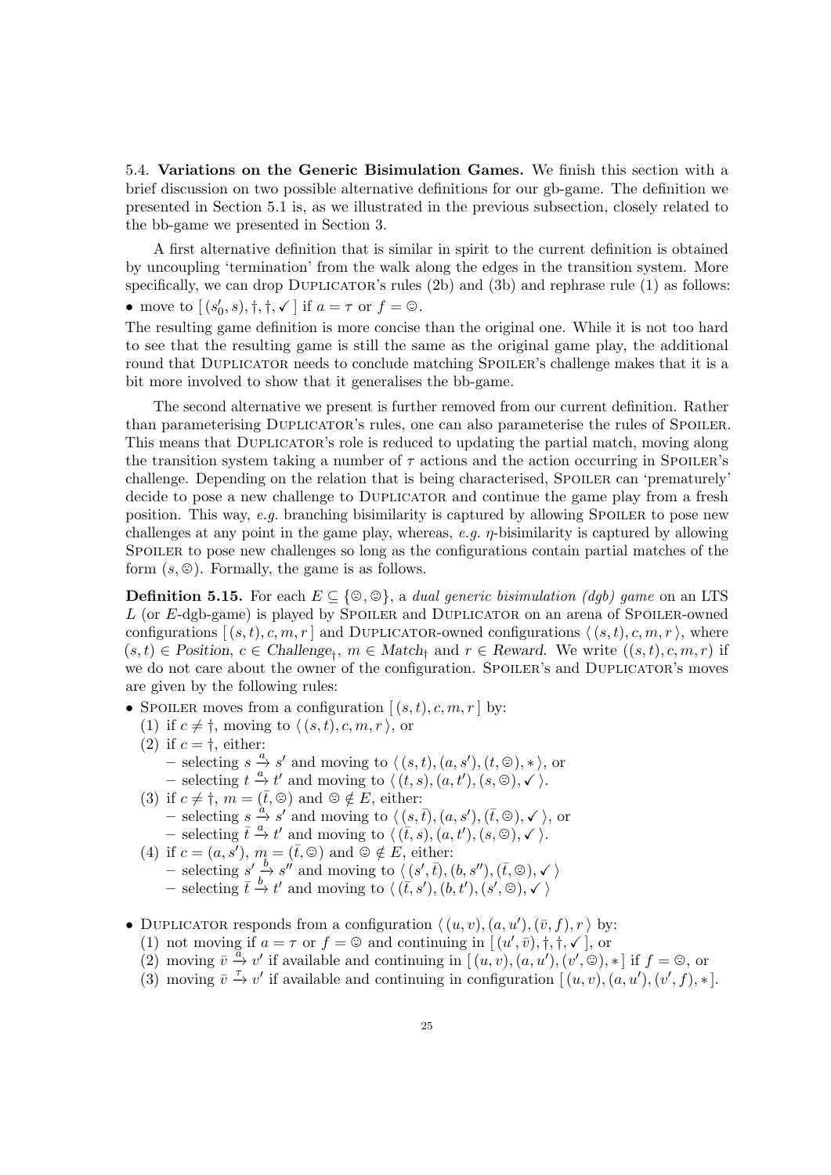<span id="page-24-0"></span>5.4. Variations on the Generic Bisimulation Games. We finish this section with a brief discussion on two possible alternative definitions for our gb-game. The definition we presented in Section [5.1](#page-13-1) is, as we illustrated in the previous subsection, closely related to the bb-game we presented in Section [3.](#page-4-0)

A first alternative definition that is similar in spirit to the current definition is obtained by uncoupling 'termination' from the walk along the edges in the transition system. More specifically, we can drop DUPLICATOR's rules  $(2b)$  and  $(3b)$  and rephrase rule  $(1)$  as follows: • move to  $[(s'_0, s), \dagger, \dagger, \checkmark]$  if  $a = \tau$  or  $f = \mathcal{D}$ .

The resulting game definition is more concise than the original one. While it is not too hard to see that the resulting game is still the same as the original game play, the additional round that DUPLICATOR needs to conclude matching SPOILER's challenge makes that it is a bit more involved to show that it generalises the bb-game.

The second alternative we present is further removed from our current definition. Rather than parameterising Duplicator's rules, one can also parameterise the rules of Spoiler. This means that DUPLICATOR's role is reduced to updating the partial match, moving along the transition system taking a number of  $\tau$  actions and the action occurring in SPOILER's challenge. Depending on the relation that is being characterised, SPOILER can 'prematurely' decide to pose a new challenge to DUPLICATOR and continue the game play from a fresh position. This way,  $e.g.$  branching bisimilarity is captured by allowing SPOILER to pose new challenges at any point in the game play, whereas, e.g.  $\eta$ -bisimilarity is captured by allowing SPOILER to pose new challenges so long as the configurations contain partial matches of the form  $(s, \mathcal{D})$ . Formally, the game is as follows.

**Definition 5.15.** For each  $E \subseteq \{\emptyset, \emptyset\}$ , a dual generic bisimulation (dgb) game on an LTS  $L$  (or  $E$ -dgb-game) is played by SPOILER and DUPLICATOR on an arena of SPOILER-owned configurations  $[(s,t), c, m, r]$  and DUPLICATOR-owned configurations  $\langle (s, t), c, m, r \rangle$ , where  $(s,t) \in$  Position,  $c \in$  Challenge<sub>†</sub>,  $m \in$  Match<sub>†</sub> and  $r \in$  Reward. We write  $((s,t), c, m, r)$  if we do not care about the owner of the configuration. SPOILER's and DUPLICATOR's moves are given by the following rules:

- SPOILER moves from a configuration  $[(s,t), c, m, r]$  by:
	- (1) if  $c \neq \dagger$ , moving to  $\langle (s, t), c, m, r \rangle$ , or
	- (2) if  $c = \dagger$ , either:
		- selecting  $s \xrightarrow{a} s'$  and moving to  $\langle (s,t), (a, s'), (t, \textcircled{s}), * \rangle$ , or
		- selecting  $t \stackrel{a}{\rightarrow} t'$  and moving to  $\langle (t, s), (a, t'), (s, \odot), \checkmark \rangle$ .
	- (3) if  $c \neq \dagger$ ,  $m = (\bar{t}, \circledcirc)$  and  $\circledcirc \notin E$ , either: – selecting  $s \overset{\alpha}{\rightarrow} s'$  and moving to  $\langle (s,\bar{t}), (a, s'), (\bar{t}, \odot), \checkmark \rangle$ , or – selecting  $\overline{t} \stackrel{a}{\rightarrow} t'$  and moving to  $\langle (\overline{t}, s), (a, t'), (s, \circledcirc), \checkmark \rangle$ .
	- (4) if  $c = (a, s')$ ,  $m = (\bar{t}, \odot)$  and  $\odot \notin E$ , either:  $-\text{ selecting } s' \xrightarrow{b} s'' \text{ and moving to } \langle (s',\bar{t}), (b, s''), (\bar{t}, \textcircled{S}), \checkmark \rangle$ <br>  $-\text{ selecting } \bar{t} \xrightarrow{b} t' \text{ and moving to } \langle (\bar{t}, s'), (b, t'), (s', \textcircled{S}), \checkmark \rangle$
- DUPLICATOR responds from a configuration  $\langle (u, v), (a, u'), (\bar{v}, f), r \rangle$  by:
	- (1) not moving if  $a = \tau$  or  $f = \mathcal{Q}$  and continuing in  $[(u', \bar{v}), \dagger, \dagger, \sqrt{\ }]$ , or
	- (2) moving  $\overline{v} \stackrel{a}{\rightarrow} v'$  if available and continuing in  $[(u, v), (a, u'), (v', \stackrel{\frown}{\circ} ), *]$  if  $f = \circledcirc$ , or
	- (3) moving  $\bar{v} \stackrel{\tau}{\rightarrow} v'$  if available and continuing in configuration  $[(u, v), (a, u'), (v', f), *]$ .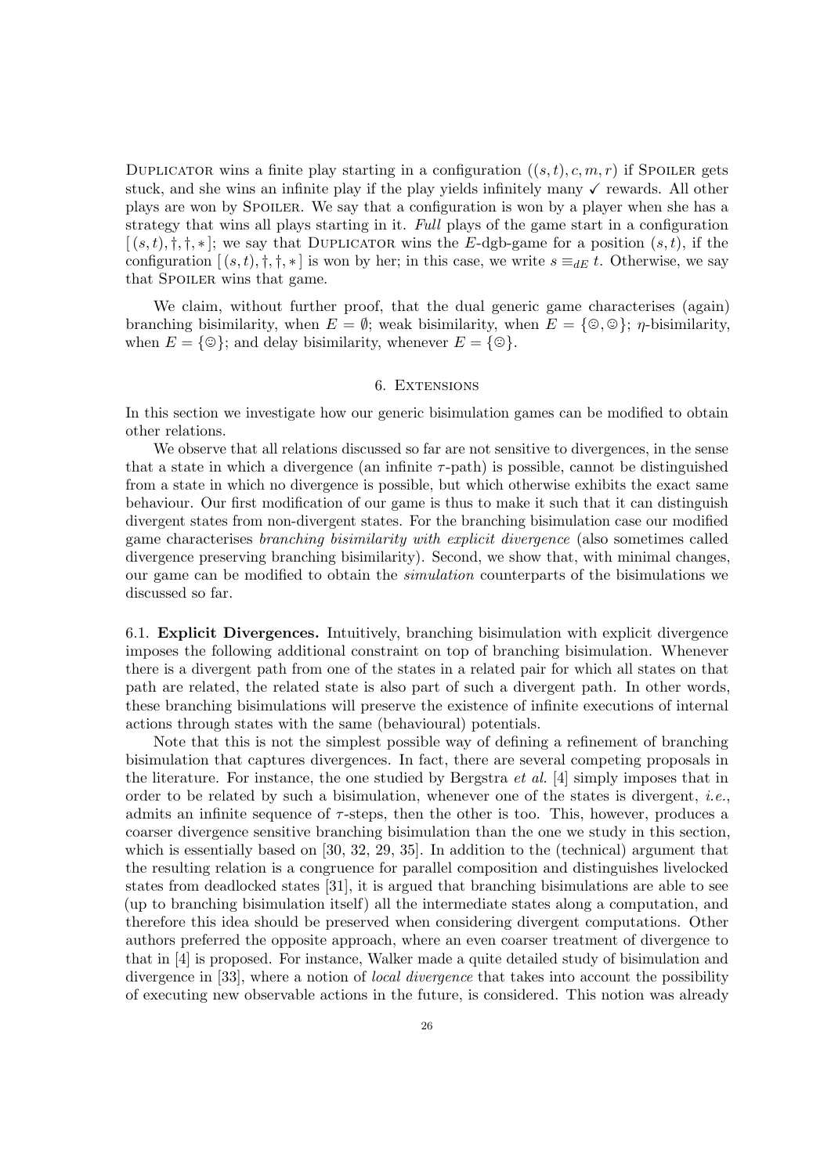DUPLICATOR wins a finite play starting in a configuration  $((s,t), c, m, r)$  if Spoiler gets stuck, and she wins an infinite play if the play yields infinitely many  $\checkmark$  rewards. All other plays are won by Spoiler. We say that a configuration is won by a player when she has a strategy that wins all plays starting in it. Full plays of the game start in a configuration  $[(s,t),\dagger,\dagger,\ast]$ ; we say that DUPLICATOR wins the E-dgb-game for a position  $(s,t)$ , if the configuration  $[(s,t),\dagger,\dagger,\ast]$  is won by her; in this case, we write  $s \equiv_{dE} t$ . Otherwise, we say that SPOILER wins that game.

We claim, without further proof, that the dual generic game characterises (again) branching bisimilarity, when  $E = \emptyset$ ; weak bisimilarity, when  $E = \{\circledcirc, \circledcirc\}; \eta$ -bisimilarity, when  $E = \{ \circledcirc\};$  and delay bisimilarity, whenever  $E = \{ \circledcirc\}.$ 

## 6. EXTENSIONS

<span id="page-25-0"></span>In this section we investigate how our generic bisimulation games can be modified to obtain other relations.

We observe that all relations discussed so far are not sensitive to divergences, in the sense that a state in which a divergence (an infinite  $\tau$ -path) is possible, cannot be distinguished from a state in which no divergence is possible, but which otherwise exhibits the exact same behaviour. Our first modification of our game is thus to make it such that it can distinguish divergent states from non-divergent states. For the branching bisimulation case our modified game characterises branching bisimilarity with explicit divergence (also sometimes called divergence preserving branching bisimilarity). Second, we show that, with minimal changes, our game can be modified to obtain the simulation counterparts of the bisimulations we discussed so far.

6.1. Explicit Divergences. Intuitively, branching bisimulation with explicit divergence imposes the following additional constraint on top of branching bisimulation. Whenever there is a divergent path from one of the states in a related pair for which all states on that path are related, the related state is also part of such a divergent path. In other words, these branching bisimulations will preserve the existence of infinite executions of internal actions through states with the same (behavioural) potentials.

Note that this is not the simplest possible way of defining a refinement of branching bisimulation that captures divergences. In fact, there are several competing proposals in the literature. For instance, the one studied by Bergstra  $et$  al. [\[4\]](#page-37-6) simply imposes that in order to be related by such a bisimulation, whenever one of the states is divergent, *i.e.*, admits an infinite sequence of  $\tau$ -steps, then the other is too. This, however, produces a coarser divergence sensitive branching bisimulation than the one we study in this section, which is essentially based on [\[30,](#page-38-2) [32,](#page-38-1) [29,](#page-38-0) [35\]](#page-39-1). In addition to the (technical) argument that the resulting relation is a congruence for parallel composition and distinguishes livelocked states from deadlocked states [\[31\]](#page-38-21), it is argued that branching bisimulations are able to see (up to branching bisimulation itself) all the intermediate states along a computation, and therefore this idea should be preserved when considering divergent computations. Other authors preferred the opposite approach, where an even coarser treatment of divergence to that in [\[4\]](#page-37-6) is proposed. For instance, Walker made a quite detailed study of bisimulation and divergence in [\[33\]](#page-38-22), where a notion of *local divergence* that takes into account the possibility of executing new observable actions in the future, is considered. This notion was already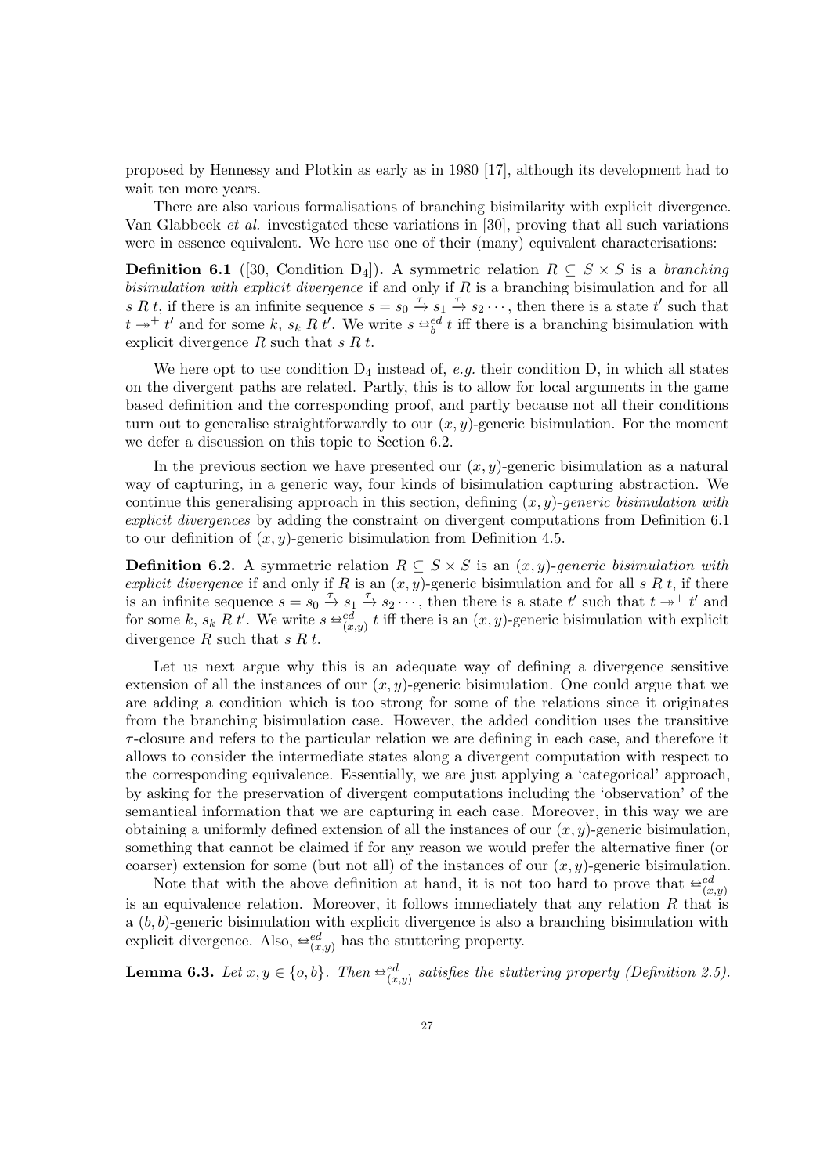proposed by Hennessy and Plotkin as early as in 1980 [\[17\]](#page-38-23), although its development had to wait ten more years.

There are also various formalisations of branching bisimilarity with explicit divergence. Van Glabbeek et al. investigated these variations in [\[30\]](#page-38-2), proving that all such variations were in essence equivalent. We here use one of their (many) equivalent characterisations:

<span id="page-26-0"></span>**Definition 6.1** ([\[30,](#page-38-2) Condition D<sub>4</sub>]). A symmetric relation  $R \subseteq S \times S$  is a branching bisimulation with explicit divergence if and only if  $R$  is a branching bisimulation and for all s R t, if there is an infinite sequence  $s = s_0 \stackrel{\tau}{\to} s_1 \stackrel{\tau}{\to} s_2 \cdots$ , then there is a state t' such that  $t \rightarrow t'$  and for some k,  $s_k R t'$ . We write  $s \leftrightarrow_b^{\text{ed}} t$  iff there is a branching bisimulation with evolvisit divergence R such that  $s R t$ explicit divergence  $R$  such that  $s R t$ .

We here opt to use condition  $D_4$  instead of, *e.g.* their condition D, in which all states on the divergent paths are related. Partly, this is to allow for local arguments in the game based definition and the corresponding proof, and partly because not all their conditions turn out to generalise straightforwardly to our  $(x, y)$ -generic bisimulation. For the moment we defer a discussion on this topic to Section [6.2.](#page-31-1)

In the previous section we have presented our  $(x, y)$ -generic bisimulation as a natural way of capturing, in a generic way, four kinds of bisimulation capturing abstraction. We continue this generalising approach in this section, defining  $(x, y)$ -generic bisimulation with explicit divergences by adding the constraint on divergent computations from Definition [6.1](#page-26-0) to our definition of  $(x, y)$ -generic bisimulation from Definition [4.5.](#page-11-2)

**Definition 6.2.** A symmetric relation  $R \subseteq S \times S$  is an  $(x, y)$ -generic bisimulation with explicit divergence if and only if R is an  $(x, y)$ -generic bisimulation and for all s R t, if there is an infinite sequence  $s = s_0 \stackrel{\tau}{\to} s_1 \stackrel{\tau}{\to} s_2 \cdots$ , then there is a state t' such that  $t \to^+ t'$  and for some k,  $s_k R t'$ . We write  $s \stackrel{\text{def}}{=} \binom{x}{(x,y)} t$  iff there is an  $(x, y)$ -generic bisimulation with explicit divergence  $R$  such that  $s R t$ .

Let us next argue why this is an adequate way of defining a divergence sensitive extension of all the instances of our  $(x, y)$ -generic bisimulation. One could argue that we are adding a condition which is too strong for some of the relations since it originates from the branching bisimulation case. However, the added condition uses the transitive  $\tau$ -closure and refers to the particular relation we are defining in each case, and therefore it allows to consider the intermediate states along a divergent computation with respect to the corresponding equivalence. Essentially, we are just applying a 'categorical' approach, by asking for the preservation of divergent computations including the 'observation' of the semantical information that we are capturing in each case. Moreover, in this way we are obtaining a uniformly defined extension of all the instances of our  $(x, y)$ -generic bisimulation, something that cannot be claimed if for any reason we would prefer the alternative finer (or coarser) extension for some (but not all) of the instances of our  $(x, y)$ -generic bisimulation.

Note that with the above definition at hand, it is not too hard to prove that  $\oplus_{(d,y)}^{ed}$ is an equivalence relation. Moreover, it follows immediately that any relation  $R$  that is a  $(b, b)$ -generic bisimulation with explicit divergence is also a branching bisimulation with explicit divergence. Also,  $\triangleq_{(x,y)}^{ed}$  has the stuttering property.

<span id="page-26-1"></span>**Lemma 6.3.** Let  $x, y \in \{o, b\}$ . Then  $\triangleq_{(x,y)}^{ed}$  satisfies the stuttering property (Definition [2.5\)](#page-4-2).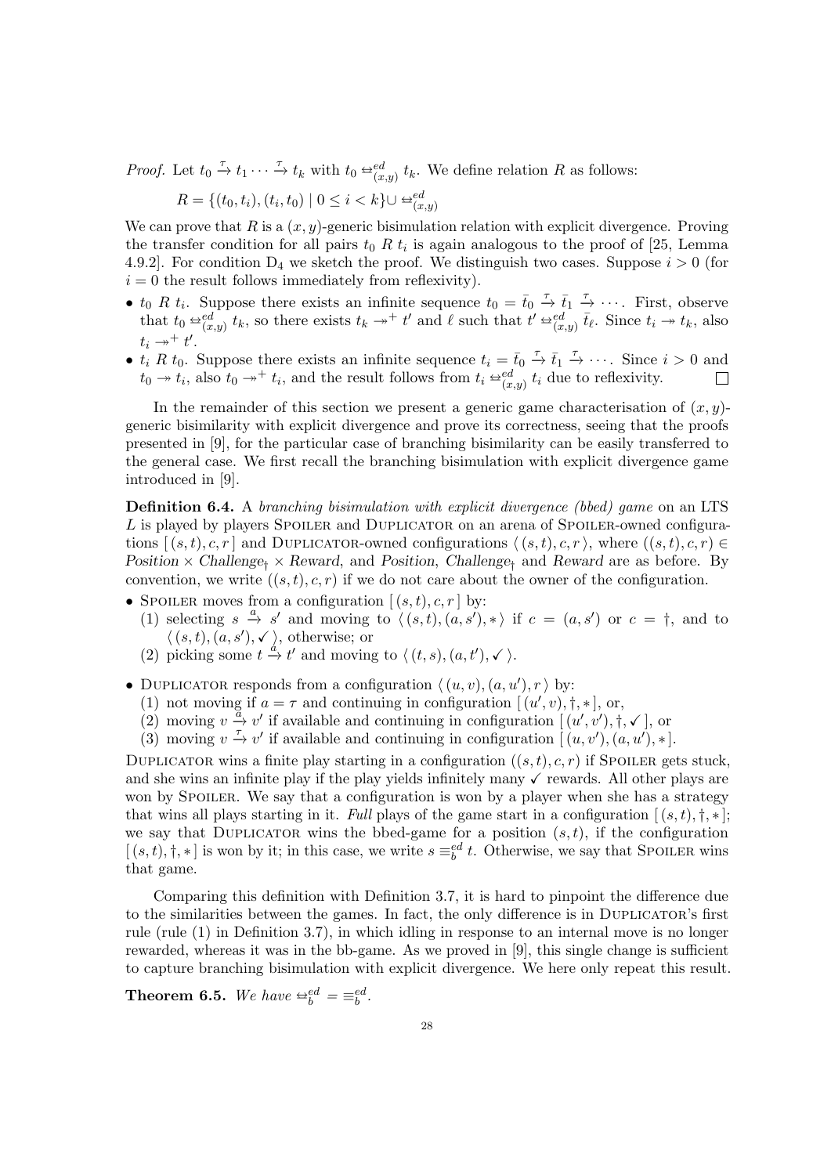*Proof.* Let  $t_0 \stackrel{\tau}{\to} t_1 \cdots \stackrel{\tau}{\to} t_k$  with  $t_0 \stackrel{\leftarrow} {\to}^{ed}_{(x,y)} t_k$ . We define relation R as follows:

$$
R = \{(t_0, t_i), (t_i, t_0) \mid 0 \le i < k\} \cup \triangleq_{(x, y)}^{ed}
$$

We can prove that R is a  $(x, y)$ -generic bisimulation relation with explicit divergence. Proving the transfer condition for all pairs  $t_0 R t_i$  is again analogous to the proof of [\[25,](#page-38-18) Lemma 4.9.2. For condition  $D_4$  we sketch the proof. We distinguish two cases. Suppose  $i > 0$  (for  $i = 0$  the result follows immediately from reflexivity).

- $t_0$  R  $t_i$ . Suppose there exists an infinite sequence  $t_0 = \bar{t}_0 \stackrel{\tau}{\rightarrow} \bar{t}_1 \stackrel{\tau}{\rightarrow} \cdots$ . First, observe that  $t_0 \stackrel{\triangle}{=} \frac{e^{ed}}{(x,y)} t_k$ , so there exists  $t_k \rightarrow^+ t'$  and  $\ell$  such that  $t' \stackrel{\triangle}{=} \frac{e^{ed}}{(x,y)} \bar{t}_{\ell}$ . Since  $t_i \rightarrow t_k$ , also  $t_i \rightarrow t'.$
- $t_i$  R  $t_0$ . Suppose there exists an infinite sequence  $t_i = \bar{t}_0 \stackrel{\tau}{\rightarrow} \bar{t}_1 \stackrel{\tau}{\rightarrow} \cdots$ . Since  $i > 0$  and  $t_0 \to t_i$ , also  $t_0 \to^+ t_i$ , and the result follows from  $t_i \stackrel{\triangle}{\to}^{\text{ed}}_{(x,y)} t_i$  due to reflexivity.

In the remainder of this section we present a generic game characterisation of  $(x, y)$ generic bisimilarity with explicit divergence and prove its correctness, seeing that the proofs presented in [\[9\]](#page-38-8), for the particular case of branching bisimilarity can be easily transferred to the general case. We first recall the branching bisimulation with explicit divergence game introduced in [\[9\]](#page-38-8).

<span id="page-27-0"></span>Definition 6.4. A branching bisimulation with explicit divergence (bbed) game on an LTS L is played by players SPOILER and DUPLICATOR on an arena of SPOILER-owned configurations  $[(s,t), c, r]$  and DUPLICATOR-owned configurations  $\langle (s,t), c, r \rangle$ , where  $((s,t), c, r) \in$ Position  $\times$  Challenge<sub>†</sub>  $\times$  Reward, and Position, Challenge<sub>†</sub> and Reward are as before. By convention, we write  $((s, t), c, r)$  if we do not care about the owner of the configuration.

- SPOILER moves from a configuration  $[(s,t),c,r]$  by:
	- (1) selecting  $s \stackrel{a}{\to} s'$  and moving to  $\langle (s, t), (a, s'), * \rangle$  if  $c = (a, s')$  or  $c = \dagger$ , and to  $\langle (s,t), (a, s'), \checkmark \rangle$ , otherwise; or
	- (2) picking some  $t \stackrel{d}{\to} t'$  and moving to  $\langle (t, s), (a, t'), \checkmark \rangle$ .
- DUPLICATOR responds from a configuration  $\langle (u, v), (a, u'), r \rangle$  by:
	- (1) not moving if  $a = \tau$  and continuing in configuration  $[(u', v), \dagger, *]$ , or,
	- (2) moving  $v \stackrel{a}{\rightarrow} v'$  if available and continuing in configuration  $((u', v'), \dagger, \checkmark)$ , or
	- (3) moving  $v \to v'$  if available and continuing in configuration  $\left[ \frac{\partial u}{\partial y}, \frac{\partial v}{\partial x}, u' \right], *$ ].

DUPLICATOR wins a finite play starting in a configuration  $((s, t), c, r)$  if Spoiler gets stuck, and she wins an infinite play if the play yields infinitely many  $\checkmark$  rewards. All other plays are won by SPOILER. We say that a configuration is won by a player when she has a strategy that wins all plays starting in it. Full plays of the game start in a configuration  $[(s,t), \dagger, *]$ ; we say that DUPLICATOR wins the bbed-game for a position  $(s, t)$ , if the configuration  $[(s,t),\dagger,*]$  is won by it; in this case, we write  $s \equiv_b^{ed} t$ . Otherwise, we say that SPOILER wins that game.

Comparing this definition with Definition [3.7,](#page-7-1) it is hard to pinpoint the difference due to the similarities between the games. In fact, the only difference is in Duplicator's first rule (rule [\(1\)](#page-8-0) in Definition [3.7\)](#page-7-1), in which idling in response to an internal move is no longer rewarded, whereas it was in the bb-game. As we proved in [\[9\]](#page-38-8), this single change is sufficient to capture branching bisimulation with explicit divergence. We here only repeat this result.

**Theorem 6.5.** We have  $\triangleq_b^{ed} = \equiv_b^{ed}$ .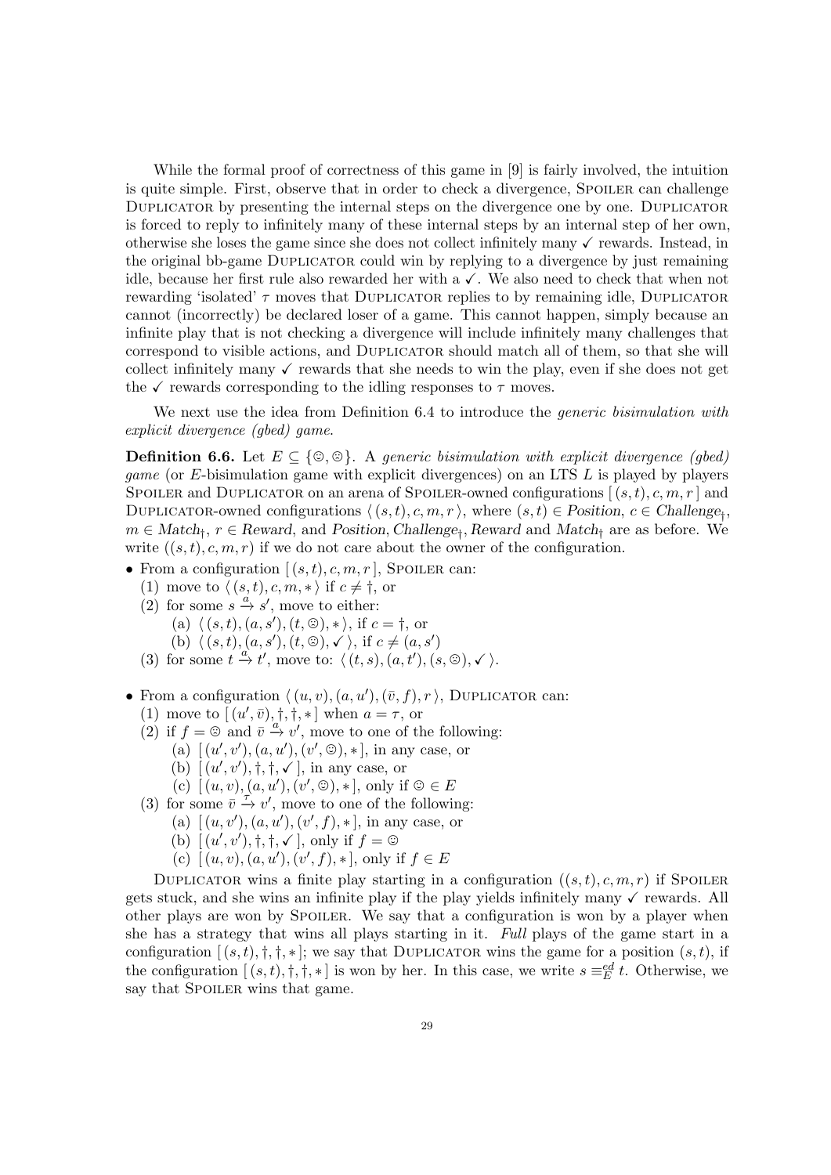While the formal proof of correctness of this game in [\[9\]](#page-38-8) is fairly involved, the intuition is quite simple. First, observe that in order to check a divergence, SPOILER can challenge DUPLICATOR by presenting the internal steps on the divergence one by one. DUPLICATOR is forced to reply to infinitely many of these internal steps by an internal step of her own, otherwise she loses the game since she does not collect infinitely many  $\checkmark$  rewards. Instead, in the original bb-game Duplicator could win by replying to a divergence by just remaining idle, because her first rule also rewarded her with a  $\checkmark$ . We also need to check that when not rewarding 'isolated'  $\tau$  moves that DUPLICATOR replies to by remaining idle, DUPLICATOR cannot (incorrectly) be declared loser of a game. This cannot happen, simply because an infinite play that is not checking a divergence will include infinitely many challenges that correspond to visible actions, and Duplicator should match all of them, so that she will collect infinitely many  $\checkmark$  rewards that she needs to win the play, even if she does not get the  $\checkmark$  rewards corresponding to the idling responses to  $\tau$  moves.

We next use the idea from Definition [6.4](#page-27-0) to introduce the *generic bisimulation with* explicit divergence (gbed) game.

<span id="page-28-11"></span>**Definition 6.6.** Let  $E \subseteq \{\emptyset, \emptyset\}$ . A generic bisimulation with explicit divergence (gbed) *game* (or  $E$ -bisimulation game with explicit divergences) on an LTS  $L$  is played by players SPOILER and DUPLICATOR on an arena of SPOILER-owned configurations  $[(s,t), c, m, r]$  and DUPLICATOR-owned configurations  $\langle (s, t), c, m, r \rangle$ , where  $(s, t) \in$  Position,  $c \in$  Challenge<sub>†</sub>,  $m \in Match_{\dagger}$ ,  $r \in Reward$ , and Position, Challenge<sub>†</sub>, Reward and Match<sub>†</sub> are as before. We write  $((s, t), c, m, r)$  if we do not care about the owner of the configuration.

- <span id="page-28-1"></span><span id="page-28-0"></span>• From a configuration  $[(s,t), c, m, r]$ , Spoiler can:
	- (1) move to  $\langle (s, t), c, m, * \rangle$  if  $c \neq \dagger$ , or
	- (2) for some  $s \stackrel{a}{\rightarrow} s'$ , move to either:
		- (a)  $\langle (s, t), (a, s'), (t, \mathcal{D}), * \rangle$ , if  $c = \dagger$ , or
		- (b)  $\langle (s, t), (a, s'), (t, \odot), \checkmark \rangle$ , if  $c \neq (a, s')$
	- (3) for some  $t \stackrel{\alpha}{\to} t'$ , move to:  $\langle (t, s), (a, t'), (s, \mathcal{O}), \checkmark \rangle$ .
- <span id="page-28-8"></span><span id="page-28-7"></span><span id="page-28-5"></span><span id="page-28-4"></span><span id="page-28-3"></span><span id="page-28-2"></span>• From a configuration  $\langle (u, v), (a, u'), (\bar{v}, f), r \rangle$ , DUPLICATOR can:
	- (1) move to  $[(u', \bar{v}), \dagger, \dagger, \ast]$  when  $a = \tau$ , or
	- (2) if  $f = \bigcirc$  and  $\overline{v} \xrightarrow{a} v'$ , move to one of the following:
		- (a)  $[(u', v'), (a, u'), (v', \mathcal{D}), *]$ , in any case, or
		- (b)  $\left[ (u', v'), \dagger, \dagger, \sqrt{} \right]$ , in any case, or
		- (c)  $[(u, v), (a, u'), (v', \mathbb{G}), *]$ , only if  $\mathbb{G} \in E$
	- (3) for some  $\overline{v} \stackrel{\overbrace{\tau}}{\rightarrow} v'$ , move to one of the following:
		- (a)  $[(u, v'), (a, u'), (v', f), *]$ , in any case, or
		- (b)  $[(u', v'), \dagger, \dagger, \checkmark]$ , only if  $f = \mathcal{O}$
		- (c)  $[(u, v), (a, u'), (v', f), *],$  only if  $f \in E$

<span id="page-28-10"></span><span id="page-28-9"></span><span id="page-28-6"></span>DUPLICATOR wins a finite play starting in a configuration  $((s,t), c, m, r)$  if Spoiler gets stuck, and she wins an infinite play if the play yields infinitely many  $\checkmark$  rewards. All other plays are won by Spoiler. We say that a configuration is won by a player when she has a strategy that wins all plays starting in it. Full plays of the game start in a configuration  $[(s,t),\dagger,\dagger,\ast]$ ; we say that DUPLICATOR wins the game for a position  $(s,t)$ , if the configuration  $[(s,t),\dagger,\dagger,\ast]$  is won by her. In this case, we write  $s \equiv_{E}^{ed} t$ . Otherwise, we say that SPOILER wins that game.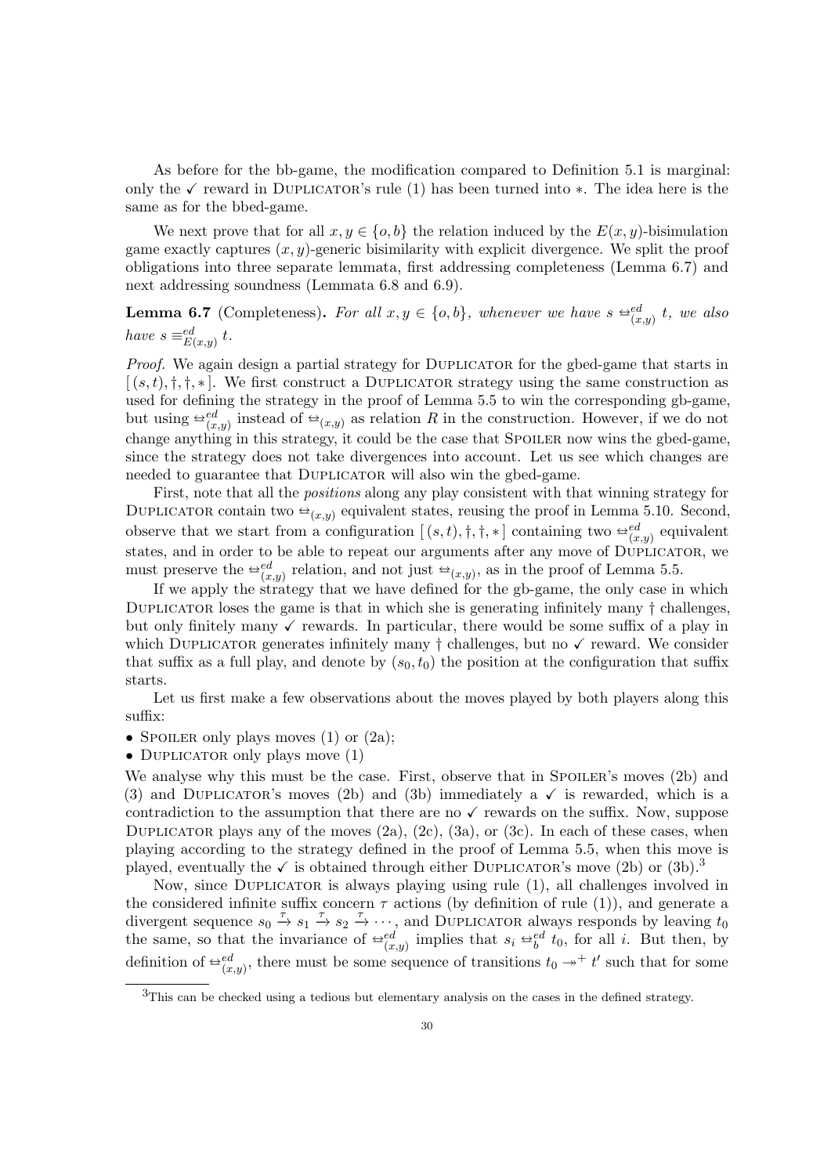As before for the bb-game, the modification compared to Definition [5.1](#page-14-11) is marginal: only the  $\checkmark$  reward in DUPLICATOR's rule [\(1\)](#page-14-4) has been turned into  $*$ . The idea here is the same as for the bbed-game.

We next prove that for all  $x, y \in \{o, b\}$  the relation induced by the  $E(x, y)$ -bisimulation game exactly captures  $(x, y)$ -generic bisimilarity with explicit divergence. We split the proof obligations into three separate lemmata, first addressing completeness (Lemma [6.7\)](#page-29-0) and next addressing soundness (Lemmata [6.8](#page-30-0) and [6.9\)](#page-30-1).

<span id="page-29-0"></span>**Lemma 6.7** (Completeness). For all  $x, y \in \{o, b\}$ , whenever we have  $s \triangleq_{(x,y)}^{ed} t$ , we also have  $s \equiv_{E(x,y)}^{ed} t$ .

Proof. We again design a partial strategy for DUPLICATOR for the gbed-game that starts in  $[(s,t),\dagger,\dagger,\ast]$ . We first construct a DUPLICATOR strategy using the same construction as used for defining the strategy in the proof of Lemma [5.5](#page-16-1) to win the corresponding gb-game, but using  $\stackrel{\leftrightarrow}{=}{}_{(x,y)}^d$  instead of  $\stackrel{\leftrightarrow}{=}{}_{(x,y)}^d$  as relation R in the construction. However, if we do not change anything in this strategy, it could be the case that SPOILER now wins the gbed-game, since the strategy does not take divergences into account. Let us see which changes are needed to guarantee that DUPLICATOR will also win the gbed-game.

First, note that all the positions along any play consistent with that winning strategy for DUPLICATOR contain two  $\triangleq_{(x,y)}$  equivalent states, reusing the proof in Lemma [5.10.](#page-19-3) Second, observe that we start from a configuration  $[(s,t),\dagger,\dagger,\ast]$  containing two  $\oplus_{(x,y)}^{ed}$  equivalent states, and in order to be able to repeat our arguments after any move of  $\text{D}\text{UPLICATOR}$ , we must preserve the  $\cong_{(x,y)}^{ed}$  relation, and not just  $\cong_{(x,y)}$ , as in the proof of Lemma [5.5.](#page-16-1)

If we apply the strategy that we have defined for the gb-game, the only case in which DUPLICATOR loses the game is that in which she is generating infinitely many  $\dagger$  challenges, but only finitely many  $\checkmark$  rewards. In particular, there would be some suffix of a play in which DUPLICATOR generates infinitely many  $\dagger$  challenges, but no  $\checkmark$  reward. We consider that suffix as a full play, and denote by  $(s_0, t_0)$  the position at the configuration that suffix starts.

Let us first make a few observations about the moves played by both players along this suffix:

- SPOILER only plays moves  $(1)$  or  $(2a)$ ;
- DUPLICATOR only plays move  $(1)$

We analyse why this must be the case. First, observe that in SPOILER's moves [\(2b\)](#page-28-3) and [\(3\)](#page-28-4) and DUPLICATOR's moves [\(2b\)](#page-28-5) and [\(3b\)](#page-28-6) immediately a  $\checkmark$  is rewarded, which is a contradiction to the assumption that there are no  $\checkmark$  rewards on the suffix. Now, suppose DUPLICATOR plays any of the moves  $(2a)$ ,  $(2c)$ ,  $(3a)$ , or  $(3c)$ . In each of these cases, when playing according to the strategy defined in the proof of Lemma [5.5,](#page-16-1) when this move is played, eventually the  $\checkmark$  is obtained through either DUPLICATOR's move [\(2b\)](#page-28-5) or [\(3b\)](#page-28-6).<sup>[3](#page-29-1)</sup>

Now, since Duplicator is always playing using rule [\(1\)](#page-28-2), all challenges involved in the considered infinite suffix concern  $\tau$  actions (by definition of rule [\(1\)](#page-28-2)), and generate a divergent sequence  $s_0 \stackrel{\tau}{\to} s_1 \stackrel{\tau}{\to} s_2 \stackrel{\tau}{\to} \cdots$ , and DUPLICATOR always responds by leaving  $t_0$ the same, so that the invariance of  $\triangleq_{(x,y)}^{ed}$  implies that  $s_i \triangleq_b^{ed} t_0$ , for all i. But then, by definition of  $\triangleq_{(x,y)}^{ed}$ , there must be some sequence of transitions  $t_0 \rightarrow^+ t'$  such that for some

<span id="page-29-1"></span><sup>3</sup>This can be checked using a tedious but elementary analysis on the cases in the defined strategy.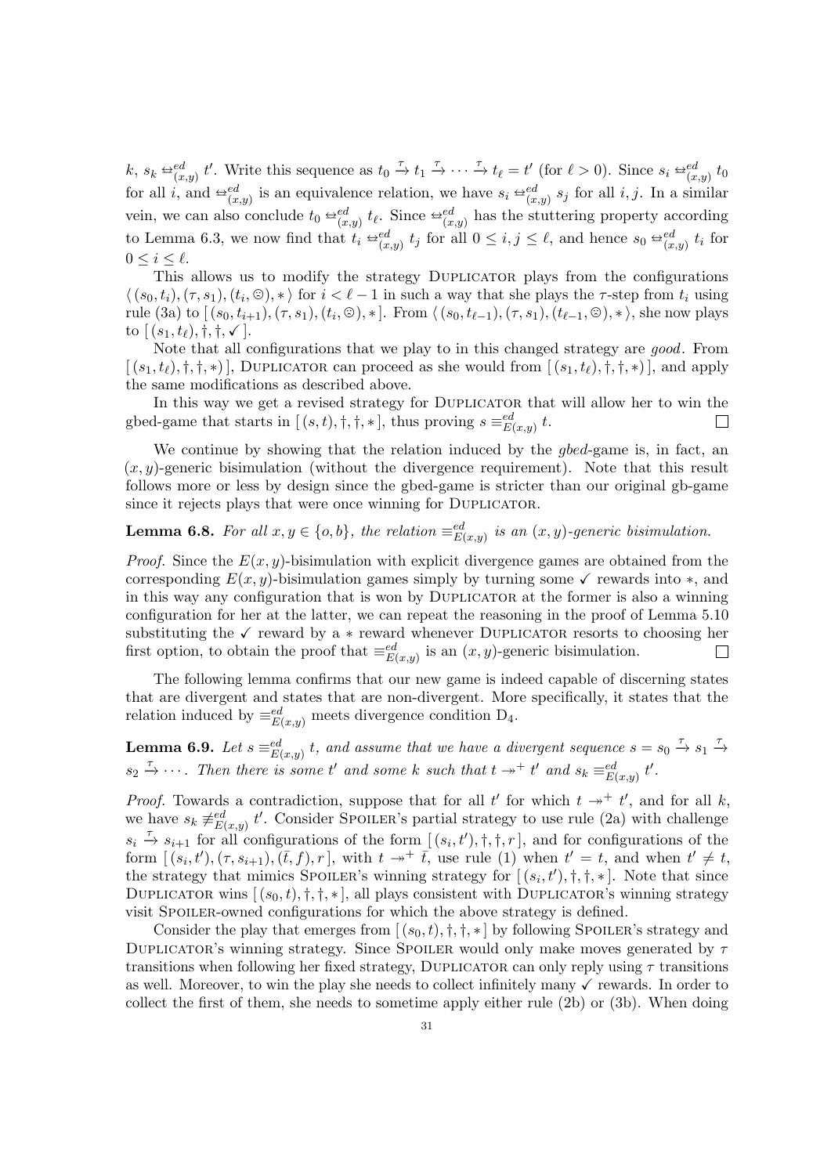k,  $s_k \stackrel{\leftrightarrow}{=} \stackrel{ed}{(x,y)} t'$ . Write this sequence as  $t_0 \stackrel{\tau}{\to} t_1 \stackrel{\tau}{\to} \cdots \stackrel{\tau}{\to} t_\ell = t'$  (for  $\ell > 0$ ). Since  $s_i \stackrel{\leftrightarrow}{=} \stackrel{ed}{(x,y)} t_0$ for all *i*, and  $\triangleq_{(x,y)}^{ed}$  is an equivalence relation, we have  $s_i \triangleq_{(x,y)}^{ed} s_j$  for all *i*, *j*. In a similar vein, we can also conclude  $t_0 \stackrel{\leftrightarrow}{} e_{(x,y)}^d t_\ell$ . Since  $\stackrel{\leftrightarrow}{} e_{(x,y)}^d$  has the stuttering property according to Lemma [6.3,](#page-26-1) we now find that  $t_i \triangleq_{(x,y)}^{ed} t_j$  for all  $0 \leq i, j \leq \ell$ , and hence  $s_0 \triangleq_{(x,y)}^{ed} t_i$  for  $0 \leq i \leq \ell$ .

This allows us to modify the strategy Duplicator plays from the configurations  $\langle (s_0, t_i), (\tau, s_1), (t_i, \mathcal{D}), * \rangle$  for  $i < \ell - 1$  in such a way that she plays the  $\tau$ -step from  $t_i$  using rule  $(3a)$  to  $[(s_0, t_{i+1}), (\tau, s_1), (t_i, \otimes), *]$ . From  $\langle (s_0, t_{\ell-1}), (\tau, s_1), (t_{\ell-1}, \otimes), * \rangle$ , she now plays to  $[(s_1, t_1), \dagger, \dagger, \checkmark].$ 

Note that all configurations that we play to in this changed strategy are good. From  $[(s_1, t_\ell), \dagger, \dagger, \dagger)$ , DUPLICATOR can proceed as she would from  $[(s_1, t_\ell), \dagger, \dagger, \dagger)$ , and apply the same modifications as described above.

In this way we get a revised strategy for DUPLICATOR that will allow her to win the gbed-game that starts in  $[(s,t),\dagger,\dagger,\ast]$ , thus proving  $s \equiv_{E(x,y)}^{ed} t$ . П

We continue by showing that the relation induced by the *gbed*-game is, in fact, an  $(x, y)$ -generic bisimulation (without the divergence requirement). Note that this result follows more or less by design since the gbed-game is stricter than our original gb-game since it rejects plays that were once winning for DUPLICATOR.

# <span id="page-30-0"></span>**Lemma 6.8.** For all  $x, y \in \{o, b\}$ , the relation  $\equiv_{E(x,y)}^{ed}$  is an  $(x, y)$ -generic bisimulation.

*Proof.* Since the  $E(x, y)$ -bisimulation with explicit divergence games are obtained from the corresponding  $E(x, y)$ -bisimulation games simply by turning some  $\checkmark$  rewards into  $\ast$ , and in this way any configuration that is won by Duplicator at the former is also a winning configuration for her at the latter, we can repeat the reasoning in the proof of Lemma [5.10](#page-19-3) substituting the  $\checkmark$  reward by a  $*$  reward whenever DUPLICATOR resorts to choosing her first option, to obtain the proof that  $\equiv_{E(x,y)}^{ed}$  is an  $(x, y)$ -generic bisimulation.  $\Box$ 

The following lemma confirms that our new game is indeed capable of discerning states that are divergent and states that are non-divergent. More specifically, it states that the relation induced by  $\equiv_{E(x,y)}^{ed}$  meets divergence condition D<sub>4</sub>.

<span id="page-30-1"></span>**Lemma 6.9.** Let  $s \equiv_{E(x,y)}^{ed} t$ , and assume that we have a divergent sequence  $s = s_0 \stackrel{\tau}{\rightarrow} s_1 \stackrel{\tau}{\rightarrow} s_2$  $s_2 \stackrel{\tau}{\rightarrow} \cdots$ . Then there is some t' and some k such that  $t \rightarrow^+ t'$  and  $s_k \equiv_{E(x,y)}^{ed} t'.$ 

*Proof.* Towards a contradiction, suppose that for all t' for which  $t \rightarrow t'$ , and for all k, we have  $s_k \neq_{E(x,y)}^{ed} t'$ . Consider Spoiler's partial strategy to use rule [\(2a\)](#page-28-1) with challenge  $s_i \stackrel{\tau}{\rightarrow} s_{i+1}$  for all configurations of the form  $[(s_i, t'), \dagger, \dagger, r]$ , and for configurations of the form  $[(s_i,t'),(\tau,s_{i+1}),(\bar{t},f),r]$ , with  $t \to^+ \bar{t}$ , use rule [\(1\)](#page-28-0) when  $t' = t$ , and when  $t' \neq t$ , the strategy that mimics SPOILER's winning strategy for  $[(s_i, t'), \dagger, \dagger, \ast]$ . Note that since DUPLICATOR wins  $[(s_0, t), t, t, *]$ , all plays consistent with DUPLICATOR's winning strategy visit SPOILER-owned configurations for which the above strategy is defined.

Consider the play that emerges from  $[(s_0, t), \dagger, \dagger, \ast]$  by following SPOILER's strategy and DUPLICATOR's winning strategy. Since SPOILER would only make moves generated by  $\tau$ transitions when following her fixed strategy, DUPLICATOR can only reply using  $\tau$  transitions as well. Moreover, to win the play she needs to collect infinitely many  $\checkmark$  rewards. In order to collect the first of them, she needs to sometime apply either rule [\(2b\)](#page-28-5) or [\(3b\)](#page-28-6). When doing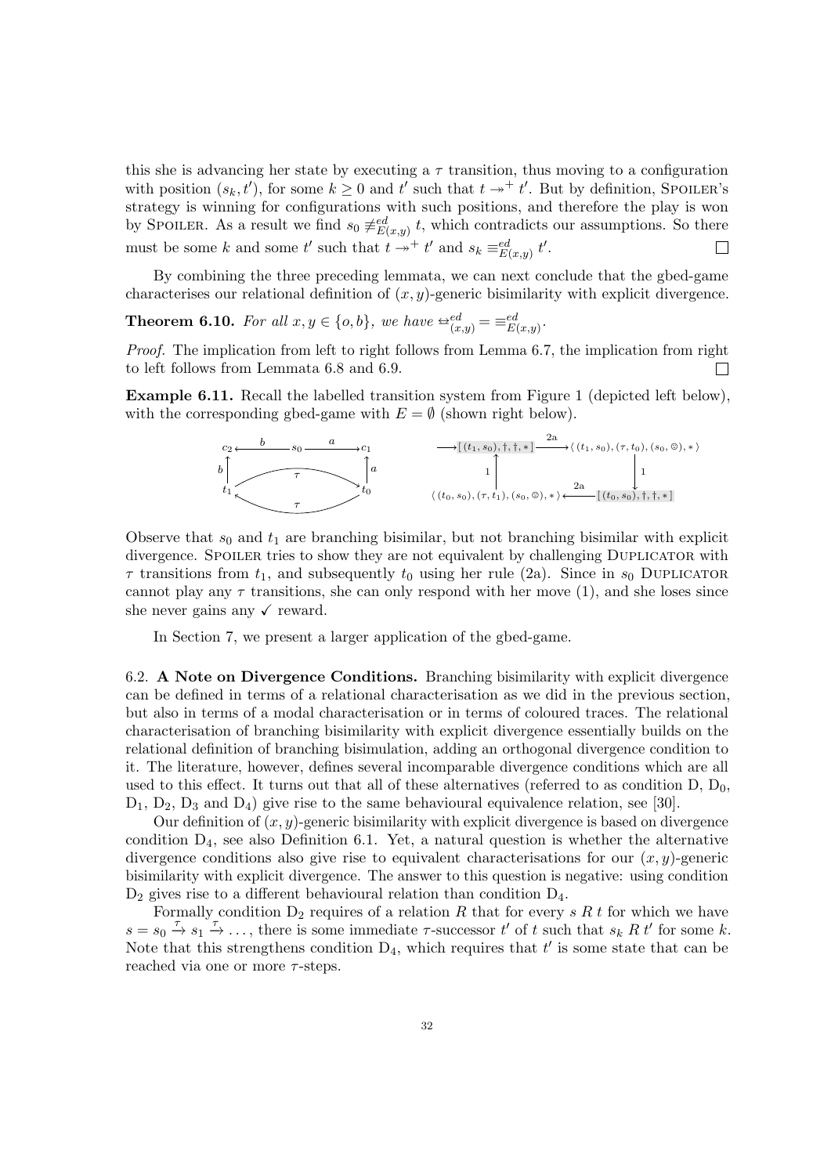this she is advancing her state by executing a  $\tau$  transition, thus moving to a configuration with position  $(s_k, t')$ , for some  $k \geq 0$  and  $t'$  such that  $t \rightarrow t'$ . But by definition, SPOILER's strategy is winning for configurations with such positions, and therefore the play is won by SPOILER. As a result we find  $s_0 \neq_{E(x,y)}^{ed} t$ , which contradicts our assumptions. So there must be some k and some t' such that  $t \rightarrow t'$  and  $s_k \equiv_{E(x,y)}^{ed} t'.$ 

By combining the three preceding lemmata, we can next conclude that the gbed-game characterises our relational definition of  $(x, y)$ -generic bisimilarity with explicit divergence.

<span id="page-31-0"></span>**Theorem 6.10.** For all  $x, y \in \{o, b\}$ , we have  $\triangleq_{(x,y)}^{ed} = \equiv_{E(x,y)}^{ed}$ .

Proof. The implication from left to right follows from Lemma [6.7,](#page-29-0) the implication from right to left follows from Lemmata [6.8](#page-30-0) and [6.9.](#page-30-1) П

Example 6.11. Recall the labelled transition system from Figure [1](#page-7-0) (depicted left below), with the corresponding gbed-game with  $E = \emptyset$  (shown right below).



Observe that  $s_0$  and  $t_1$  are branching bisimilar, but not branching bisimilar with explicit divergence. SPOILER tries to show they are not equivalent by challenging DUPLICATOR with  $\tau$  transitions from  $t_1$ , and subsequently  $t_0$  using her rule [\(2a\)](#page-28-1). Since in  $s_0$  DUPLICATOR cannot play any  $\tau$  transitions, she can only respond with her move [\(1\)](#page-28-2), and she loses since she never gains any  $\checkmark$  reward.

In Section [7,](#page-34-0) we present a larger application of the gbed-game.

<span id="page-31-1"></span>6.2. A Note on Divergence Conditions. Branching bisimilarity with explicit divergence can be defined in terms of a relational characterisation as we did in the previous section, but also in terms of a modal characterisation or in terms of coloured traces. The relational characterisation of branching bisimilarity with explicit divergence essentially builds on the relational definition of branching bisimulation, adding an orthogonal divergence condition to it. The literature, however, defines several incomparable divergence conditions which are all used to this effect. It turns out that all of these alternatives (referred to as condition  $D, D_0$ ,  $D_1$ ,  $D_2$ ,  $D_3$  and  $D_4$ ) give rise to the same behavioural equivalence relation, see [\[30\]](#page-38-2).

Our definition of  $(x, y)$ -generic bisimilarity with explicit divergence is based on divergence condition  $D_4$ , see also Definition [6.1.](#page-26-0) Yet, a natural question is whether the alternative divergence conditions also give rise to equivalent characterisations for our  $(x, y)$ -generic bisimilarity with explicit divergence. The answer to this question is negative: using condition  $D_2$  gives rise to a different behavioural relation than condition  $D_4$ .

Formally condition  $D_2$  requires of a relation R that for every s R t for which we have  $s = s_0 \stackrel{\tau}{\rightarrow} s_1 \stackrel{\tau}{\rightarrow} \ldots$ , there is some immediate  $\tau$ -successor t' of t such that  $s_k R t'$  for some k. Note that this strengthens condition  $D_4$ , which requires that  $t'$  is some state that can be reached via one or more  $\tau$ -steps.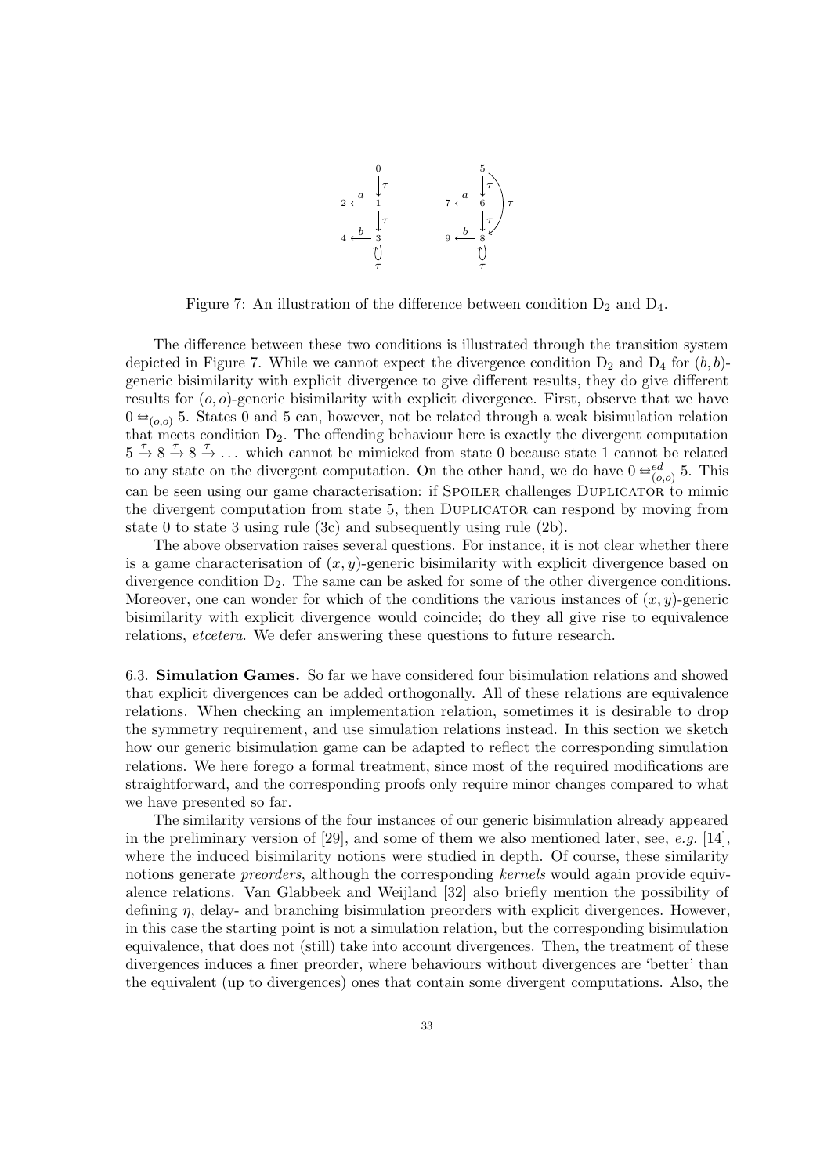

<span id="page-32-0"></span>Figure 7: An illustration of the difference between condition  $D_2$  and  $D_4$ .

The difference between these two conditions is illustrated through the transition system depicted in Figure [7.](#page-32-0) While we cannot expect the divergence condition  $D_2$  and  $D_4$  for  $(b, b)$ generic bisimilarity with explicit divergence to give different results, they do give different results for  $(o, o)$ -generic bisimilarity with explicit divergence. First, observe that we have  $0 \triangleq_{(0,0)} 5$ . States 0 and 5 can, however, not be related through a weak bisimulation relation that meets condition  $D_2$ . The offending behaviour here is exactly the divergent computation  $5 \stackrel{\tau}{\rightarrow} 8 \stackrel{\tau}{\rightarrow} 8 \stackrel{\tau}{\rightarrow} \ldots$  which cannot be mimicked from state 0 because state 1 cannot be related to any state on the divergent computation. On the other hand, we do have  $0 \stackrel{\leftrightarrow}{}^{\text{ed}}_{(o,o)} 5$ . This can be seen using our game characterisation: if SPOILER challenges DUPLICATOR to mimic the divergent computation from state 5, then Duplicator can respond by moving from state 0 to state 3 using rule [\(3c\)](#page-28-10) and subsequently using rule [\(2b\)](#page-28-5).

The above observation raises several questions. For instance, it is not clear whether there is a game characterisation of  $(x, y)$ -generic bisimilarity with explicit divergence based on divergence condition  $D_2$ . The same can be asked for some of the other divergence conditions. Moreover, one can wonder for which of the conditions the various instances of  $(x, y)$ -generic bisimilarity with explicit divergence would coincide; do they all give rise to equivalence relations, etcetera. We defer answering these questions to future research.

6.3. Simulation Games. So far we have considered four bisimulation relations and showed that explicit divergences can be added orthogonally. All of these relations are equivalence relations. When checking an implementation relation, sometimes it is desirable to drop the symmetry requirement, and use simulation relations instead. In this section we sketch how our generic bisimulation game can be adapted to reflect the corresponding simulation relations. We here forego a formal treatment, since most of the required modifications are straightforward, and the corresponding proofs only require minor changes compared to what we have presented so far.

The similarity versions of the four instances of our generic bisimulation already appeared in the preliminary version of [\[29\]](#page-38-0), and some of them we also mentioned later, see, e.g. [\[14\]](#page-38-24), where the induced bisimilarity notions were studied in depth. Of course, these similarity notions generate *preorders*, although the corresponding kernels would again provide equivalence relations. Van Glabbeek and Weijland [\[32\]](#page-38-1) also briefly mention the possibility of defining  $\eta$ , delay- and branching bisimulation preorders with explicit divergences. However, in this case the starting point is not a simulation relation, but the corresponding bisimulation equivalence, that does not (still) take into account divergences. Then, the treatment of these divergences induces a finer preorder, where behaviours without divergences are 'better' than the equivalent (up to divergences) ones that contain some divergent computations. Also, the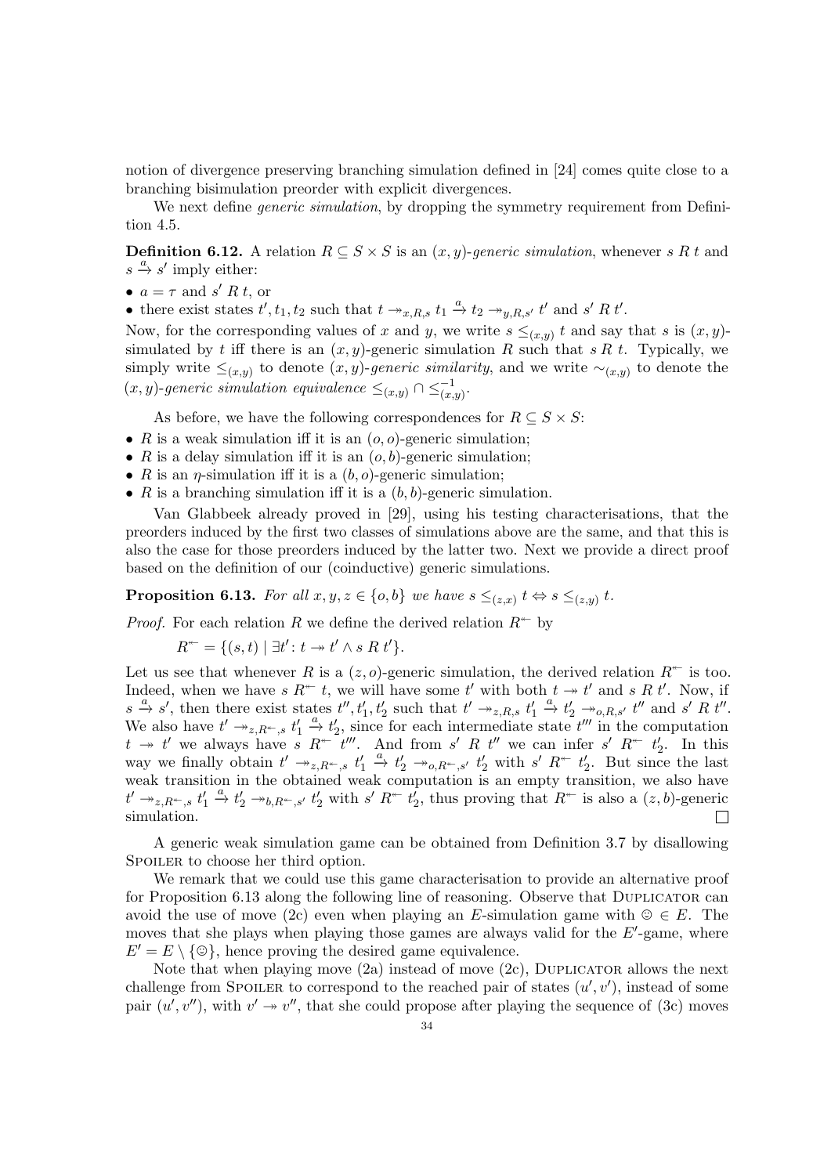notion of divergence preserving branching simulation defined in [\[24\]](#page-38-25) comes quite close to a branching bisimulation preorder with explicit divergences.

We next define *generic simulation*, by dropping the symmetry requirement from Definition [4.5.](#page-11-2)

**Definition 6.12.** A relation  $R \subseteq S \times S$  is an  $(x, y)$ -generic simulation, whenever s R t and  $s \stackrel{a}{\rightarrow} s'$  imply either:

- $a = \tau$  and s' R t, or
- there exist states  $t', t_1, t_2$  such that  $t \to_{x,R,s} t_1 \stackrel{a}{\to} t_2 \to_{y,R,s'} t'$  and  $s' R t'$ .

Now, for the corresponding values of x and y, we write  $s \leq_{(x,y)} t$  and say that s is  $(x, y)$ . simulated by t iff there is an  $(x, y)$ -generic simulation R such that s R t. Typically, we simply write  $\leq_{(x,y)}$  to denote  $(x, y)$ -generic similarity, and we write  $\sim_{(x,y)}$  to denote the  $(x, y)$ -generic simulation equivalence  $\leq_{(x,y)} \cap \leq_{(x,y)}^{-1}$ .

As before, we have the following correspondences for  $R \subseteq S \times S$ :

- $R$  is a weak simulation iff it is an  $(o, o)$ -generic simulation;
- R is a delay simulation iff it is an  $(o, b)$ -generic simulation;
- R is an  $\eta$ -simulation iff it is a  $(b, o)$ -generic simulation;
- $R$  is a branching simulation iff it is a  $(b, b)$ -generic simulation.

Van Glabbeek already proved in [\[29\]](#page-38-0), using his testing characterisations, that the preorders induced by the first two classes of simulations above are the same, and that this is also the case for those preorders induced by the latter two. Next we provide a direct proof based on the definition of our (coinductive) generic simulations.

<span id="page-33-0"></span>**Proposition 6.13.** For all  $x, y, z \in \{o, b\}$  we have  $s \leq_{(z,x)} t \Leftrightarrow s \leq_{(z,y)} t$ .

*Proof.* For each relation R we define the derived relation  $R^*$  by

 $R^{\leftarrow} = \{ (s, t) \mid \exists t' \colon t \to t' \land s \mathrel{R} t' \}.$ 

Let us see that whenever R is a  $(z, o)$ -generic simulation, the derived relation  $R^*$  is too. Indeed, when we have s  $R^*$  t, we will have some t' with both  $t \to t'$  and s R t'. Now, if  $s \stackrel{a}{\to} s'$ , then there exist states  $t'', t'_1, t'_2$  such that  $t' \twoheadrightarrow_{z,R,s} t'_1 \stackrel{a}{\to} t'_2 \twoheadrightarrow_{o,R,s'} t''$  and  $s' R t''$ . We also have  $t' \rightarrow z, R^*, s' \rightarrow t'_1 \stackrel{a}{\rightarrow} t'_2$ , since for each intermediate state  $t''$  in the computation  $t \to t'$  we always have s  $R^{\leftarrow} t'''$ . And from s' R  $t''$  we can infer s'  $R^{\leftarrow} t_2'$ . In this way we finally obtain  $t' \rightarrow z R^-, s \ t'_1 \stackrel{a}{\rightarrow} t'_2 \rightarrow z R^-, s' \ t'_2 \ with \ s' R^+ \ t'_2$ . But since the last weak transition in the obtained weak computation is an empty transition, we also have  $t' \twoheadrightarrow_{z,R^*,s} t'_1 \stackrel{a}{\to} t'_2 \twoheadrightarrow_{b,R^*,s'} t'_2$  with  $s' R^{*} t'_2$ , thus proving that  $R^{*}$  is also a  $(z, b)$ -generic simulation.  $\Box$ 

A generic weak simulation game can be obtained from Definition [3.7](#page-7-1) by disallowing SPOILER to choose her third option.

We remark that we could use this game characterisation to provide an alternative proof for Proposition [6.13](#page-33-0) along the following line of reasoning. Observe that DUPLICATOR can avoid the use of move [\(2c\)](#page-28-8) even when playing an E-simulation game with  $\mathcal{Q} \in E$ . The moves that she plays when playing those games are always valid for the  $E'$ -game, where  $E' = E \setminus \{\circledcirc\}$ , hence proving the desired game equivalence.

Note that when playing move  $(2a)$  instead of move  $(2c)$ , DUPLICATOR allows the next challenge from SPOILER to correspond to the reached pair of states  $(u', v')$ , instead of some pair  $(u', v'')$ , with  $v' \rightarrow v''$ , that she could propose after playing the sequence of [\(3c\)](#page-14-8) moves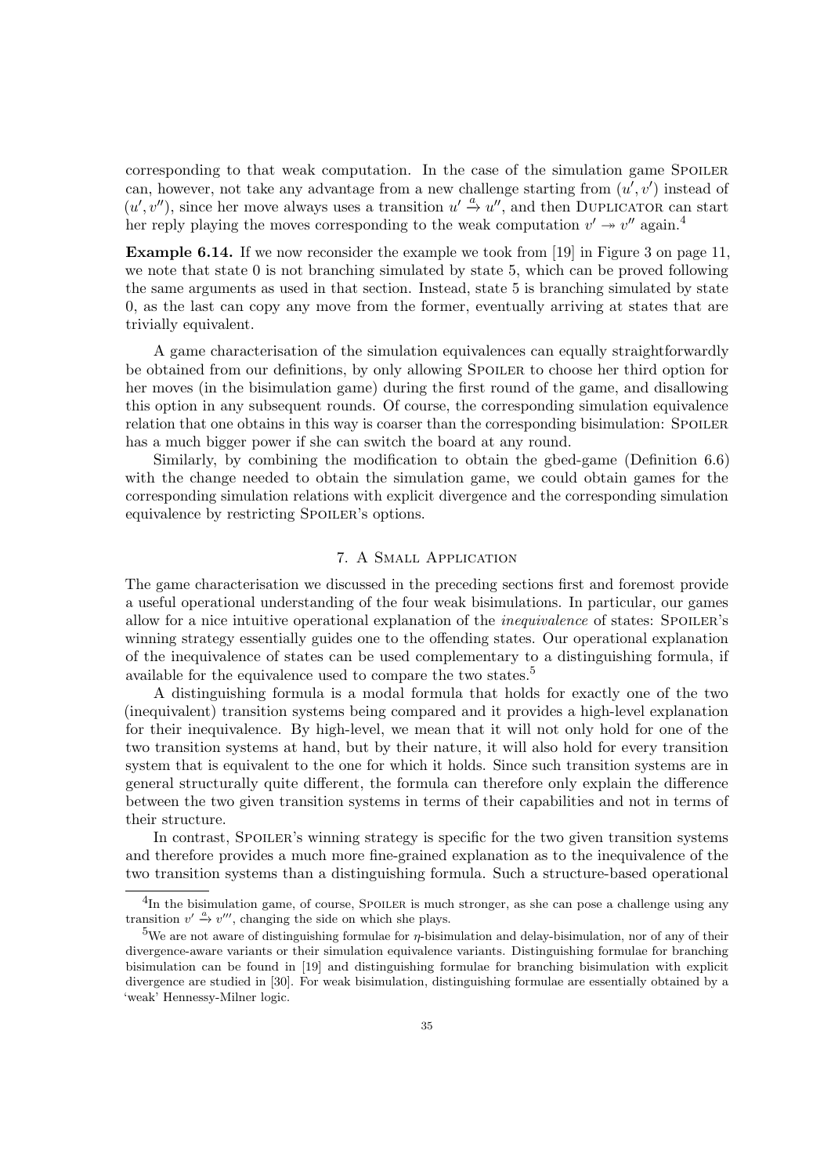corresponding to that weak computation. In the case of the simulation game SPOILER can, however, not take any advantage from a new challenge starting from  $(u', v')$  instead of  $(u', v'')$ , since her move always uses a transition  $u' \stackrel{a}{\rightarrow} u''$ , and then DUPLICATOR can start her reply playing the moves corresponding to the weak computation  $v' \rightarrow v''$  again.<sup>[4](#page-34-1)</sup>

Example 6.14. If we now reconsider the example we took from [\[19\]](#page-38-20) in Figure [3](#page-10-0) on page [11,](#page-10-0) we note that state 0 is not branching simulated by state 5, which can be proved following the same arguments as used in that section. Instead, state 5 is branching simulated by state 0, as the last can copy any move from the former, eventually arriving at states that are trivially equivalent.

A game characterisation of the simulation equivalences can equally straightforwardly be obtained from our definitions, by only allowing Spoiler to choose her third option for her moves (in the bisimulation game) during the first round of the game, and disallowing this option in any subsequent rounds. Of course, the corresponding simulation equivalence relation that one obtains in this way is coarser than the corresponding bisimulation: SPOILER has a much bigger power if she can switch the board at any round.

Similarly, by combining the modification to obtain the gbed-game (Definition [6.6\)](#page-28-11) with the change needed to obtain the simulation game, we could obtain games for the corresponding simulation relations with explicit divergence and the corresponding simulation equivalence by restricting SPOILER's options.

# 7. A Small Application

<span id="page-34-0"></span>The game characterisation we discussed in the preceding sections first and foremost provide a useful operational understanding of the four weak bisimulations. In particular, our games allow for a nice intuitive operational explanation of the *inequivalence* of states: SPOILER's winning strategy essentially guides one to the offending states. Our operational explanation of the inequivalence of states can be used complementary to a distinguishing formula, if available for the equivalence used to compare the two states.<sup>[5](#page-34-2)</sup>

A distinguishing formula is a modal formula that holds for exactly one of the two (inequivalent) transition systems being compared and it provides a high-level explanation for their inequivalence. By high-level, we mean that it will not only hold for one of the two transition systems at hand, but by their nature, it will also hold for every transition system that is equivalent to the one for which it holds. Since such transition systems are in general structurally quite different, the formula can therefore only explain the difference between the two given transition systems in terms of their capabilities and not in terms of their structure.

In contrast, SPOILER's winning strategy is specific for the two given transition systems and therefore provides a much more fine-grained explanation as to the inequivalence of the two transition systems than a distinguishing formula. Such a structure-based operational

<span id="page-34-1"></span><sup>&</sup>lt;sup>4</sup>In the bisimulation game, of course, SPOILER is much stronger, as she can pose a challenge using any transition  $v' \stackrel{a}{\rightarrow} v'''$ , changing the side on which she plays.

<span id="page-34-2"></span><sup>&</sup>lt;sup>5</sup>We are not aware of distinguishing formulae for  $\eta$ -bisimulation and delay-bisimulation, nor of any of their divergence-aware variants or their simulation equivalence variants. Distinguishing formulae for branching bisimulation can be found in [\[19\]](#page-38-20) and distinguishing formulae for branching bisimulation with explicit divergence are studied in [\[30\]](#page-38-2). For weak bisimulation, distinguishing formulae are essentially obtained by a 'weak' Hennessy-Milner logic.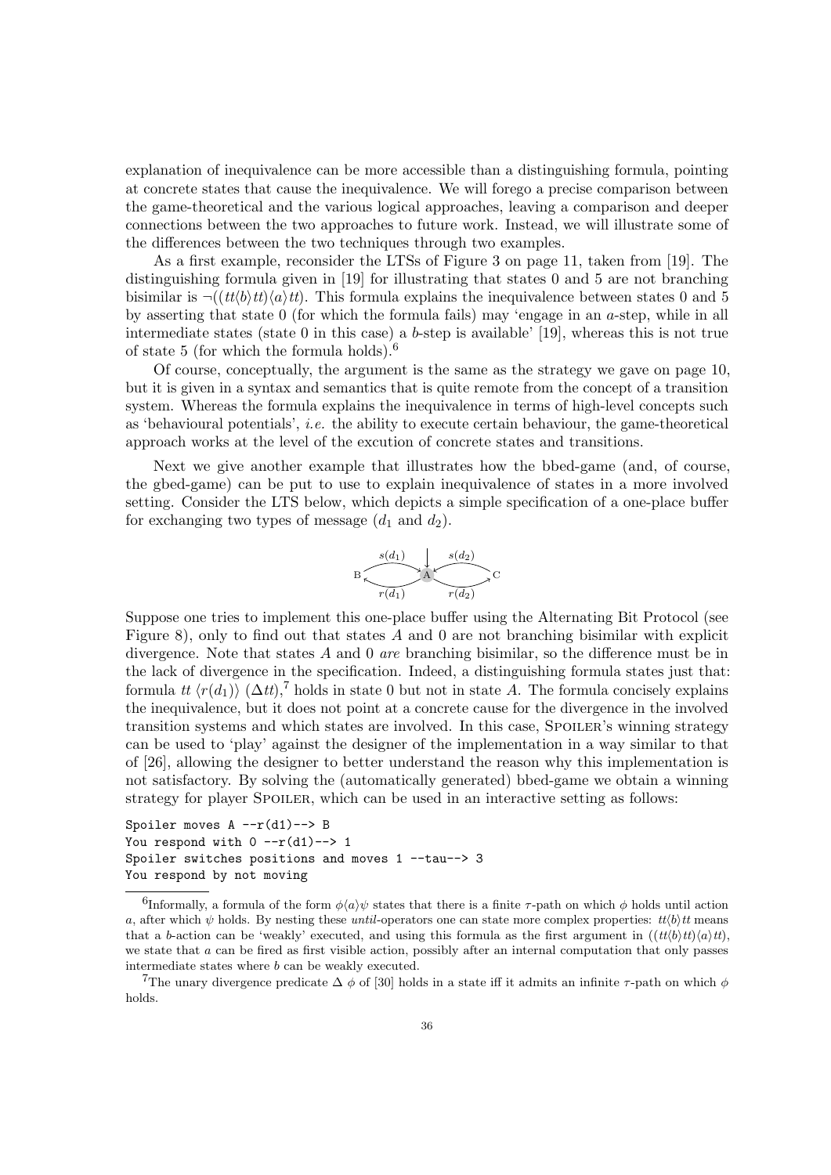explanation of inequivalence can be more accessible than a distinguishing formula, pointing at concrete states that cause the inequivalence. We will forego a precise comparison between the game-theoretical and the various logical approaches, leaving a comparison and deeper connections between the two approaches to future work. Instead, we will illustrate some of the differences between the two techniques through two examples.

As a first example, reconsider the LTSs of Figure [3](#page-10-0) on page [11,](#page-10-0) taken from [\[19\]](#page-38-20). The distinguishing formula given in [\[19\]](#page-38-20) for illustrating that states 0 and 5 are not branching bisimilar is  $\neg((tt/b)tt)\langle a\rangle tt)$ . This formula explains the inequivalence between states 0 and 5 by asserting that state 0 (for which the formula fails) may 'engage in an a-step, while in all intermediate states (state 0 in this case) a b-step is available' [\[19\]](#page-38-20), whereas this is not true of state 5 (for which the formula holds).[6](#page-35-0)

Of course, conceptually, the argument is the same as the strategy we gave on page [10,](#page-10-0) but it is given in a syntax and semantics that is quite remote from the concept of a transition system. Whereas the formula explains the inequivalence in terms of high-level concepts such as 'behavioural potentials', i.e. the ability to execute certain behaviour, the game-theoretical approach works at the level of the excution of concrete states and transitions.

Next we give another example that illustrates how the bbed-game (and, of course, the gbed-game) can be put to use to explain inequivalence of states in a more involved setting. Consider the LTS below, which depicts a simple specification of a one-place buffer for exchanging two types of message  $(d_1 \text{ and } d_2)$ .



Suppose one tries to implement this one-place buffer using the Alternating Bit Protocol (see Figure [8\)](#page-36-1), only to find out that states  $\tilde{A}$  and 0 are not branching bisimilar with explicit divergence. Note that states A and 0 are branching bisimilar, so the difference must be in the lack of divergence in the specification. Indeed, a distinguishing formula states just that: formula tt  $\langle r(d_1) \rangle$  ( $\Delta t$ ),<sup>[7](#page-35-1)</sup> holds in state 0 but not in state A. The formula concisely explains the inequivalence, but it does not point at a concrete cause for the divergence in the involved transition systems and which states are involved. In this case, SPOILER's winning strategy can be used to 'play' against the designer of the implementation in a way similar to that of [\[26\]](#page-38-6), allowing the designer to better understand the reason why this implementation is not satisfactory. By solving the (automatically generated) bbed-game we obtain a winning strategy for player SPOILER, which can be used in an interactive setting as follows:

Spoiler moves A --r(d1)--> B You respond with  $0 -r(d1) \rightarrow 1$ Spoiler switches positions and moves 1 --tau--> 3 You respond by not moving

<span id="page-35-0"></span><sup>&</sup>lt;sup>6</sup>Informally, a formula of the form  $\phi\langle a \rangle \psi$  states that there is a finite  $\tau$ -path on which  $\phi$  holds until action a, after which  $\psi$  holds. By nesting these until-operators one can state more complex properties:  $tt/b$ t means that a b-action can be 'weakly' executed, and using this formula as the first argument in  $((tt/b)tt)(a)tt)$ , we state that a can be fired as first visible action, possibly after an internal computation that only passes intermediate states where b can be weakly executed.

<span id="page-35-1"></span><sup>&</sup>lt;sup>7</sup>The unary divergence predicate  $\Delta \phi$  of [\[30\]](#page-38-2) holds in a state iff it admits an infinite  $\tau$ -path on which  $\phi$ holds.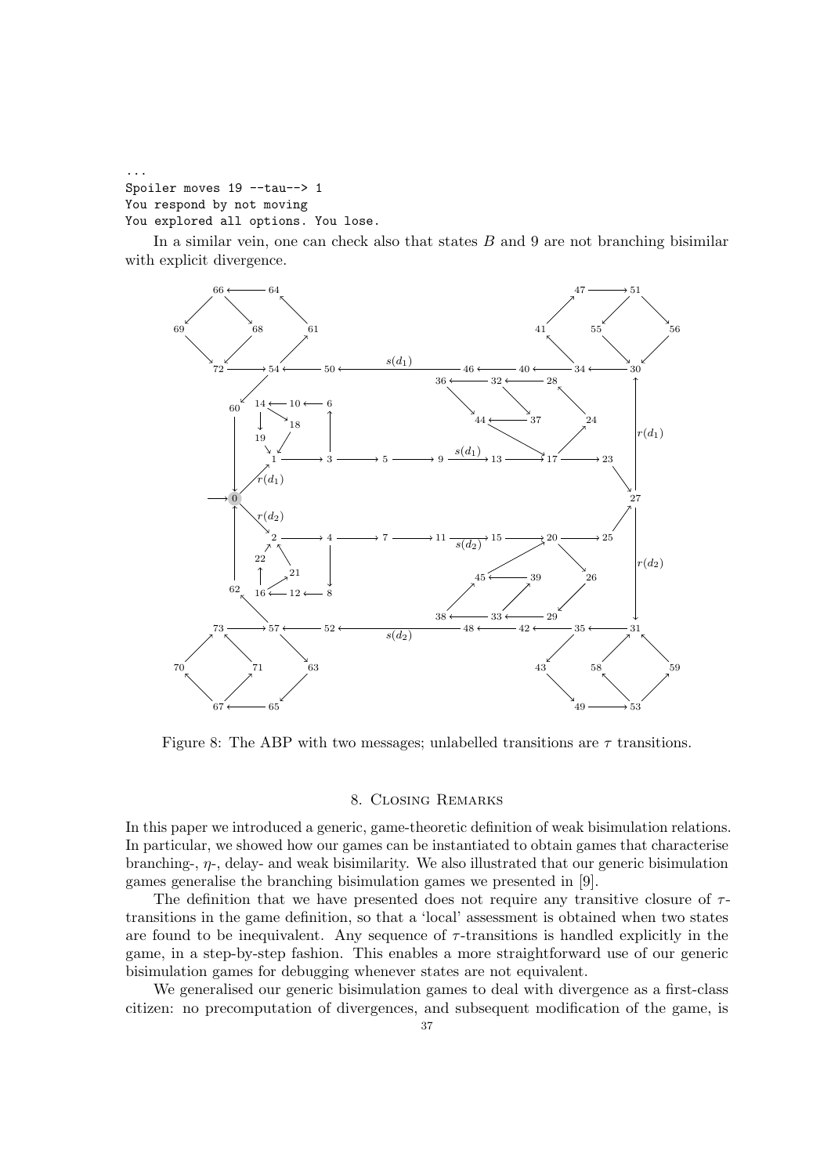```
...
Spoiler moves 19 --tau--> 1
You respond by not moving
You explored all options. You lose.
```
In a similar vein, one can check also that states  $B$  and  $9$  are not branching bisimilar with explicit divergence.



<span id="page-36-1"></span>Figure 8: The ABP with two messages; unlabelled transitions are  $\tau$  transitions.

# 8. Closing Remarks

<span id="page-36-0"></span>In this paper we introduced a generic, game-theoretic definition of weak bisimulation relations. In particular, we showed how our games can be instantiated to obtain games that characterise branching-,  $\eta$ -, delay- and weak bisimilarity. We also illustrated that our generic bisimulation games generalise the branching bisimulation games we presented in [\[9\]](#page-38-8).

The definition that we have presented does not require any transitive closure of  $\tau$ transitions in the game definition, so that a 'local' assessment is obtained when two states are found to be inequivalent. Any sequence of  $\tau$ -transitions is handled explicitly in the game, in a step-by-step fashion. This enables a more straightforward use of our generic bisimulation games for debugging whenever states are not equivalent.

We generalised our generic bisimulation games to deal with divergence as a first-class citizen: no precomputation of divergences, and subsequent modification of the game, is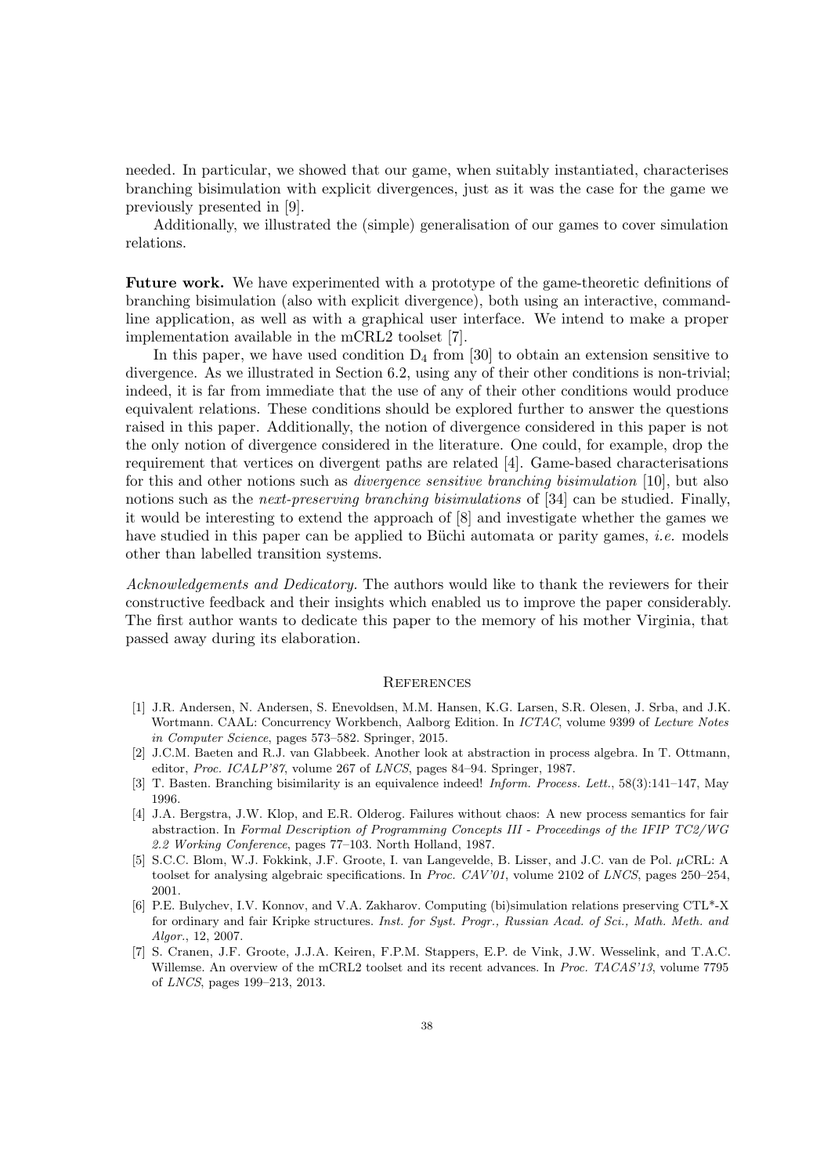needed. In particular, we showed that our game, when suitably instantiated, characterises branching bisimulation with explicit divergences, just as it was the case for the game we previously presented in [\[9\]](#page-38-8).

Additionally, we illustrated the (simple) generalisation of our games to cover simulation relations.

Future work. We have experimented with a prototype of the game-theoretic definitions of branching bisimulation (also with explicit divergence), both using an interactive, commandline application, as well as with a graphical user interface. We intend to make a proper implementation available in the mCRL2 toolset [\[7\]](#page-37-1).

In this paper, we have used condition  $D_4$  from [\[30\]](#page-38-2) to obtain an extension sensitive to divergence. As we illustrated in Section [6.2,](#page-31-1) using any of their other conditions is non-trivial; indeed, it is far from immediate that the use of any of their other conditions would produce equivalent relations. These conditions should be explored further to answer the questions raised in this paper. Additionally, the notion of divergence considered in this paper is not the only notion of divergence considered in the literature. One could, for example, drop the requirement that vertices on divergent paths are related [\[4\]](#page-37-6). Game-based characterisations for this and other notions such as *divergence sensitive branching bisimulation* [\[10\]](#page-38-11), but also notions such as the next-preserving branching bisimulations of [\[34\]](#page-39-2) can be studied. Finally, it would be interesting to extend the approach of [\[8\]](#page-38-15) and investigate whether the games we have studied in this paper can be applied to Büchi automata or parity games, *i.e.* models other than labelled transition systems.

Acknowledgements and Dedicatory. The authors would like to thank the reviewers for their constructive feedback and their insights which enabled us to improve the paper considerably. The first author wants to dedicate this paper to the memory of his mother Virginia, that passed away during its elaboration.

### **REFERENCES**

- <span id="page-37-2"></span>[1] J.R. Andersen, N. Andersen, S. Enevoldsen, M.M. Hansen, K.G. Larsen, S.R. Olesen, J. Srba, and J.K. Wortmann. CAAL: Concurrency Workbench, Aalborg Edition. In ICTAC, volume 9399 of Lecture Notes in Computer Science, pages 573–582. Springer, 2015.
- <span id="page-37-4"></span>[2] J.C.M. Baeten and R.J. van Glabbeek. Another look at abstraction in process algebra. In T. Ottmann, editor, Proc. ICALP'87, volume 267 of LNCS, pages 84–94. Springer, 1987.
- <span id="page-37-5"></span>[3] T. Basten. Branching bisimilarity is an equivalence indeed! Inform. Process. Lett., 58(3):141–147, May 1996.
- <span id="page-37-6"></span>[4] J.A. Bergstra, J.W. Klop, and E.R. Olderog. Failures without chaos: A new process semantics for fair abstraction. In Formal Description of Programming Concepts III - Proceedings of the IFIP TC2/WG 2.2 Working Conference, pages 77–103. North Holland, 1987.
- <span id="page-37-0"></span>[5] S.C.C. Blom, W.J. Fokkink, J.F. Groote, I. van Langevelde, B. Lisser, and J.C. van de Pol. µCRL: A toolset for analysing algebraic specifications. In Proc. CAV'01, volume 2102 of LNCS, pages 250–254, 2001.
- <span id="page-37-3"></span>[6] P.E. Bulychev, I.V. Konnov, and V.A. Zakharov. Computing (bi)simulation relations preserving CTL\*-X for ordinary and fair Kripke structures. Inst. for Syst. Progr., Russian Acad. of Sci., Math. Meth. and Algor., 12, 2007.
- <span id="page-37-1"></span>[7] S. Cranen, J.F. Groote, J.J.A. Keiren, F.P.M. Stappers, E.P. de Vink, J.W. Wesselink, and T.A.C. Willemse. An overview of the mCRL2 toolset and its recent advances. In Proc. TACAS'13, volume 7795 of LNCS, pages 199–213, 2013.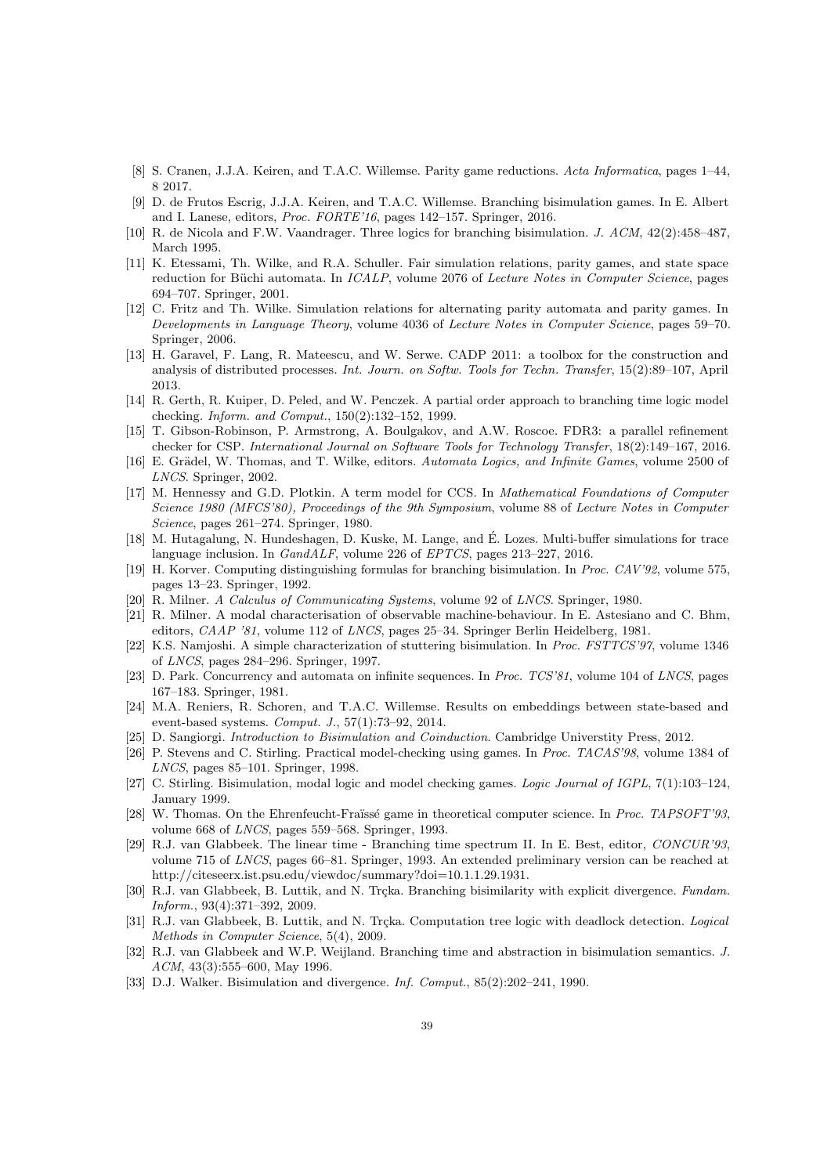- <span id="page-38-15"></span>[8] S. Cranen, J.J.A. Keiren, and T.A.C. Willemse. Parity game reductions. Acta Informatica, pages 1–44, 8 2017.
- <span id="page-38-8"></span>[9] D. de Frutos Escrig, J.J.A. Keiren, and T.A.C. Willemse. Branching bisimulation games. In E. Albert and I. Lanese, editors, Proc. FORTE'16, pages 142–157. Springer, 2016.
- <span id="page-38-11"></span>[10] R. de Nicola and F.W. Vaandrager. Three logics for branching bisimulation. J. ACM, 42(2):458–487, March 1995.
- <span id="page-38-13"></span>[11] K. Etessami, Th. Wilke, and R.A. Schuller. Fair simulation relations, parity games, and state space reduction for Büchi automata. In *ICALP*, volume 2076 of *Lecture Notes in Computer Science*, pages 694–707. Springer, 2001.
- <span id="page-38-14"></span>[12] C. Fritz and Th. Wilke. Simulation relations for alternating parity automata and parity games. In Developments in Language Theory, volume 4036 of Lecture Notes in Computer Science, pages 59–70. Springer, 2006.
- <span id="page-38-3"></span>[13] H. Garavel, F. Lang, R. Mateescu, and W. Serwe. CADP 2011: a toolbox for the construction and analysis of distributed processes. Int. Journ. on Softw. Tools for Techn. Transfer, 15(2):89–107, April 2013.
- <span id="page-38-24"></span>[14] R. Gerth, R. Kuiper, D. Peled, and W. Penczek. A partial order approach to branching time logic model checking. Inform. and Comput., 150(2):132–152, 1999.
- <span id="page-38-5"></span>[15] T. Gibson-Robinson, P. Armstrong, A. Boulgakov, and A.W. Roscoe. FDR3: a parallel refinement checker for CSP. International Journal on Software Tools for Technology Transfer, 18(2):149–167, 2016.
- <span id="page-38-19"></span>[16] E. Grädel, W. Thomas, and T. Wilke, editors. Automata Logics, and Infinite Games, volume 2500 of LNCS. Springer, 2002.
- <span id="page-38-23"></span>[17] M. Hennessy and G.D. Plotkin. A term model for CCS. In Mathematical Foundations of Computer Science 1980 (MFCS'80), Proceedings of the 9th Symposium, volume 88 of Lecture Notes in Computer Science, pages 261–274. Springer, 1980.
- <span id="page-38-12"></span>[18] M. Hutagalung, N. Hundeshagen, D. Kuske, M. Lange, and E. Lozes. Multi-buffer simulations for trace ´ language inclusion. In GandALF, volume 226 of EPTCS, pages 213–227, 2016.
- <span id="page-38-20"></span>[19] H. Korver. Computing distinguishing formulas for branching bisimulation. In Proc. CAV'92, volume 575, pages 13–23. Springer, 1992.
- <span id="page-38-4"></span>[20] R. Milner. A Calculus of Communicating Systems, volume 92 of LNCS. Springer, 1980.
- <span id="page-38-16"></span>[21] R. Milner. A modal characterisation of observable machine-behaviour. In E. Astesiano and C. Bhm, editors, CAAP '81, volume 112 of LNCS, pages 25–34. Springer Berlin Heidelberg, 1981.
- <span id="page-38-10"></span>[22] K.S. Namjoshi. A simple characterization of stuttering bisimulation. In Proc. FSTTCS'97, volume 1346 of LNCS, pages 284–296. Springer, 1997.
- <span id="page-38-17"></span>[23] D. Park. Concurrency and automata on infinite sequences. In Proc. TCS'81, volume 104 of LNCS, pages 167–183. Springer, 1981.
- <span id="page-38-25"></span>[24] M.A. Reniers, R. Schoren, and T.A.C. Willemse. Results on embeddings between state-based and event-based systems. Comput. J., 57(1):73–92, 2014.
- <span id="page-38-18"></span>[25] D. Sangiorgi. Introduction to Bisimulation and Coinduction. Cambridge Universtity Press, 2012.
- <span id="page-38-6"></span>[26] P. Stevens and C. Stirling. Practical model-checking using games. In Proc. TACAS'98, volume 1384 of LNCS, pages 85–101. Springer, 1998.
- <span id="page-38-9"></span>[27] C. Stirling. Bisimulation, modal logic and model checking games. Logic Journal of IGPL, 7(1):103–124, January 1999.
- <span id="page-38-7"></span>[28] W. Thomas. On the Ehrenfeucht-Fraïssé game in theoretical computer science. In Proc. TAPSOFT'93, volume 668 of LNCS, pages 559–568. Springer, 1993.
- <span id="page-38-0"></span>[29] R.J. van Glabbeek. The linear time - Branching time spectrum II. In E. Best, editor, CONCUR'93, volume 715 of LNCS, pages 66–81. Springer, 1993. An extended preliminary version can be reached at [http://citeseerx.ist.psu.edu/viewdoc/summary?doi=10.1.1.29.1931.](http://citeseerx.ist.psu.edu/viewdoc/summary?doi=10.1.1.29.1931)
- <span id="page-38-2"></span>[30] R.J. van Glabbeek, B. Luttik, and N. Trçka. Branching bisimilarity with explicit divergence. Fundam. Inform., 93(4):371–392, 2009.
- <span id="page-38-21"></span>[31] R.J. van Glabbeek, B. Luttik, and N. Trçka. Computation tree logic with deadlock detection. Logical Methods in Computer Science, 5(4), 2009.
- <span id="page-38-1"></span>[32] R.J. van Glabbeek and W.P. Weijland. Branching time and abstraction in bisimulation semantics. J. ACM, 43(3):555-600, May 1996.
- <span id="page-38-22"></span>[33] D.J. Walker. Bisimulation and divergence. Inf. Comput., 85(2):202–241, 1990.